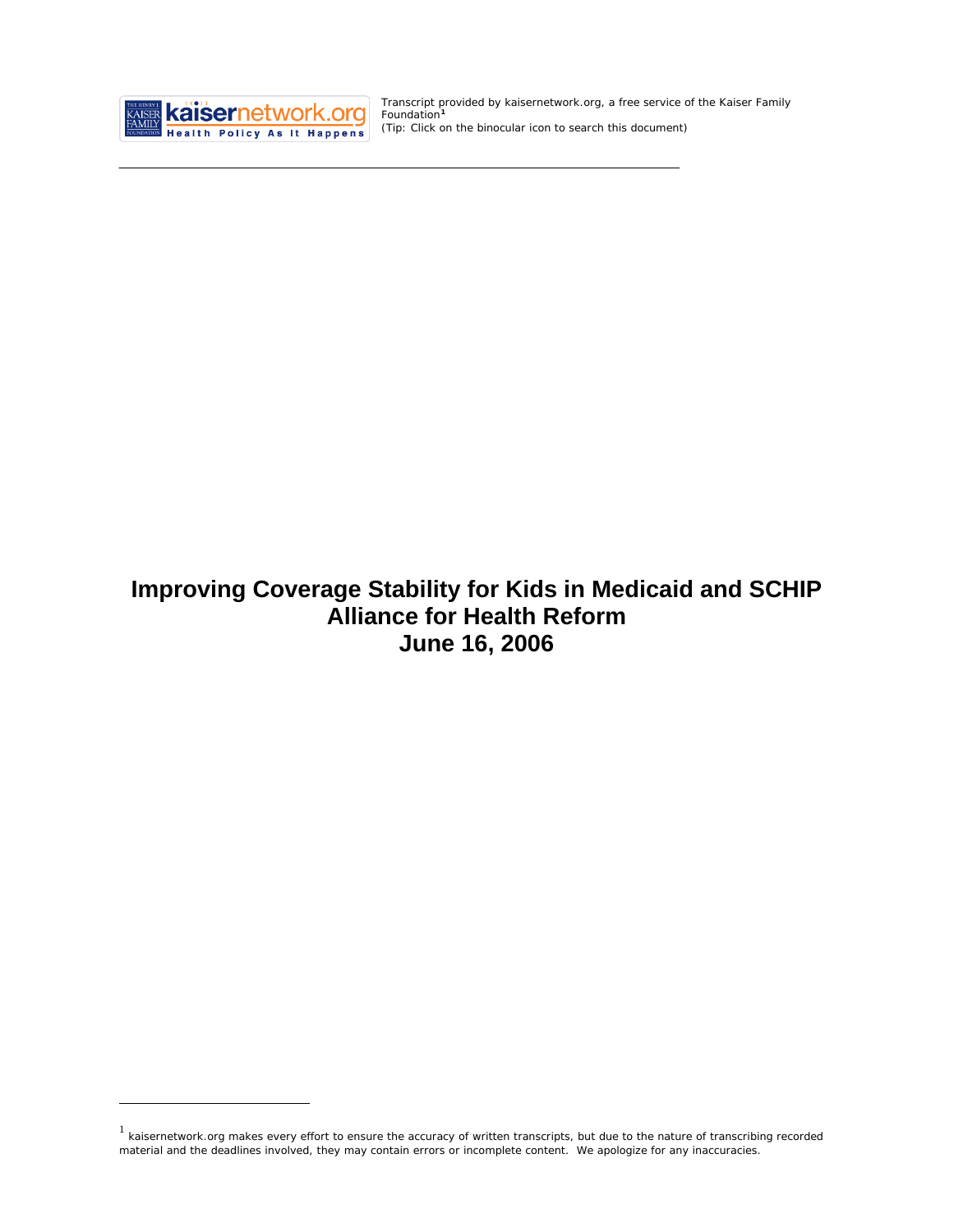

<u>.</u>

Transcript provided by kaisernetwork.org, a free service of the Kaiser Family Foundation**[1](#page-0-0)** *(Tip: Click on the binocular icon to search this document)* 

# **Improving Coverage Stability for Kids in Medicaid and SCHIP Alliance for Health Reform June 16, 2006**

<span id="page-0-0"></span> $1$  kaisernetwork.org makes every effort to ensure the accuracy of written transcripts, but due to the nature of transcribing recorded material and the deadlines involved, they may contain errors or incomplete content. We apologize for any inaccuracies.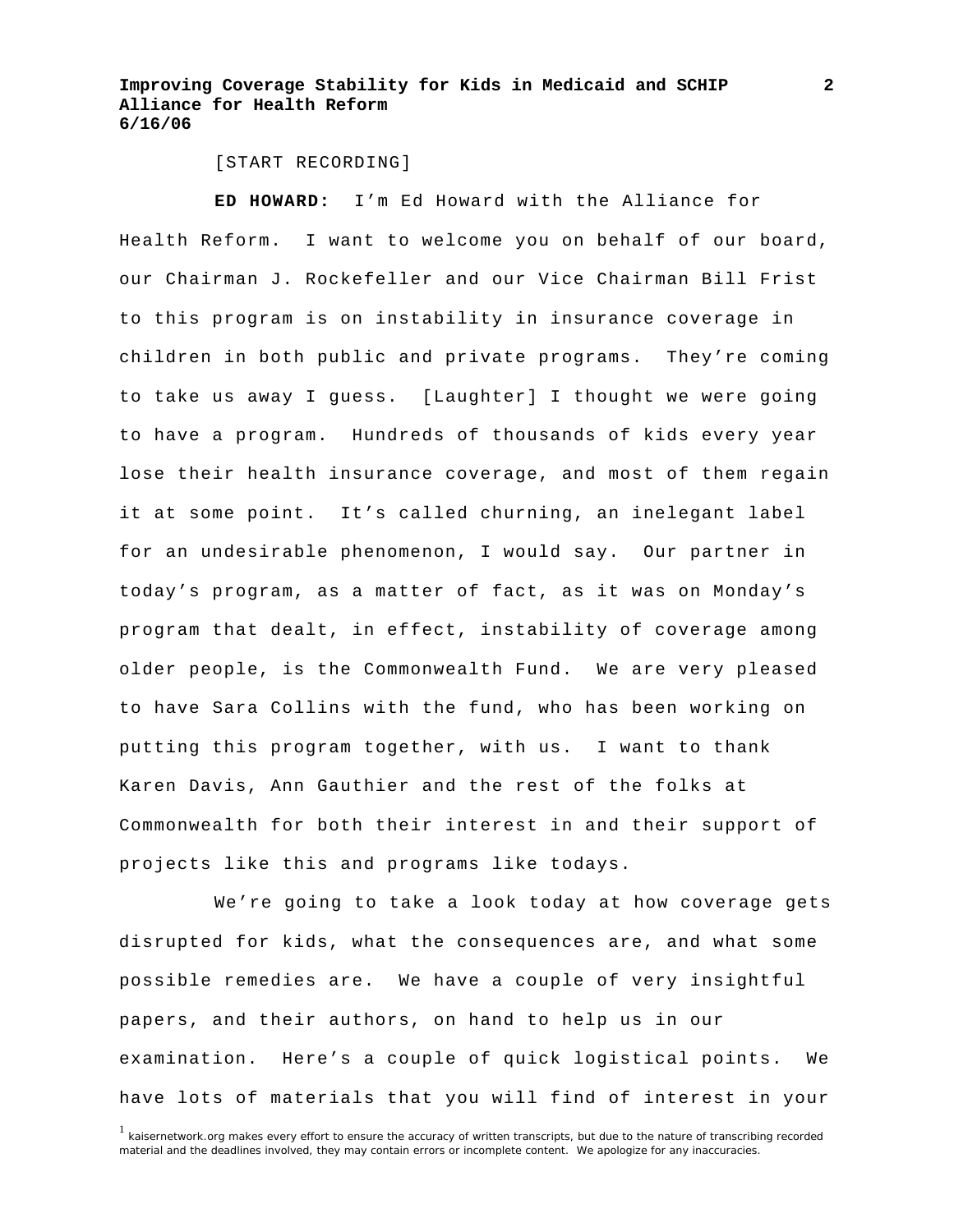[START RECORDING]

**ED HOWARD:** I'm Ed Howard with the Alliance for Health Reform. I want to welcome you on behalf of our board, our Chairman J. Rockefeller and our Vice Chairman Bill Frist to this program is on instability in insurance coverage in children in both public and private programs. They're coming to take us away I guess. [Laughter] I thought we were going to have a program. Hundreds of thousands of kids every year lose their health insurance coverage, and most of them regain it at some point. It's called churning, an inelegant label for an undesirable phenomenon, I would say. Our partner in today's program, as a matter of fact, as it was on Monday's program that dealt, in effect, instability of coverage among older people, is the Commonwealth Fund. We are very pleased to have Sara Collins with the fund, who has been working on putting this program together, with us. I want to thank Karen Davis, Ann Gauthier and the rest of the folks at Commonwealth for both their interest in and their support of projects like this and programs like todays.

 We're going to take a look today at how coverage gets disrupted for kids, what the consequences are, and what some possible remedies are. We have a couple of very insightful papers, and their authors, on hand to help us in our examination. Here's a couple of quick logistical points. We have lots of materials that you will find of interest in your

<sup>&</sup>lt;sup>1</sup> kaisernetwork.org makes every effort to ensure the accuracy of written transcripts, but due to the nature of transcribing recorded material and the deadlines involved, they may contain errors or incomplete content. We apologize for any inaccuracies.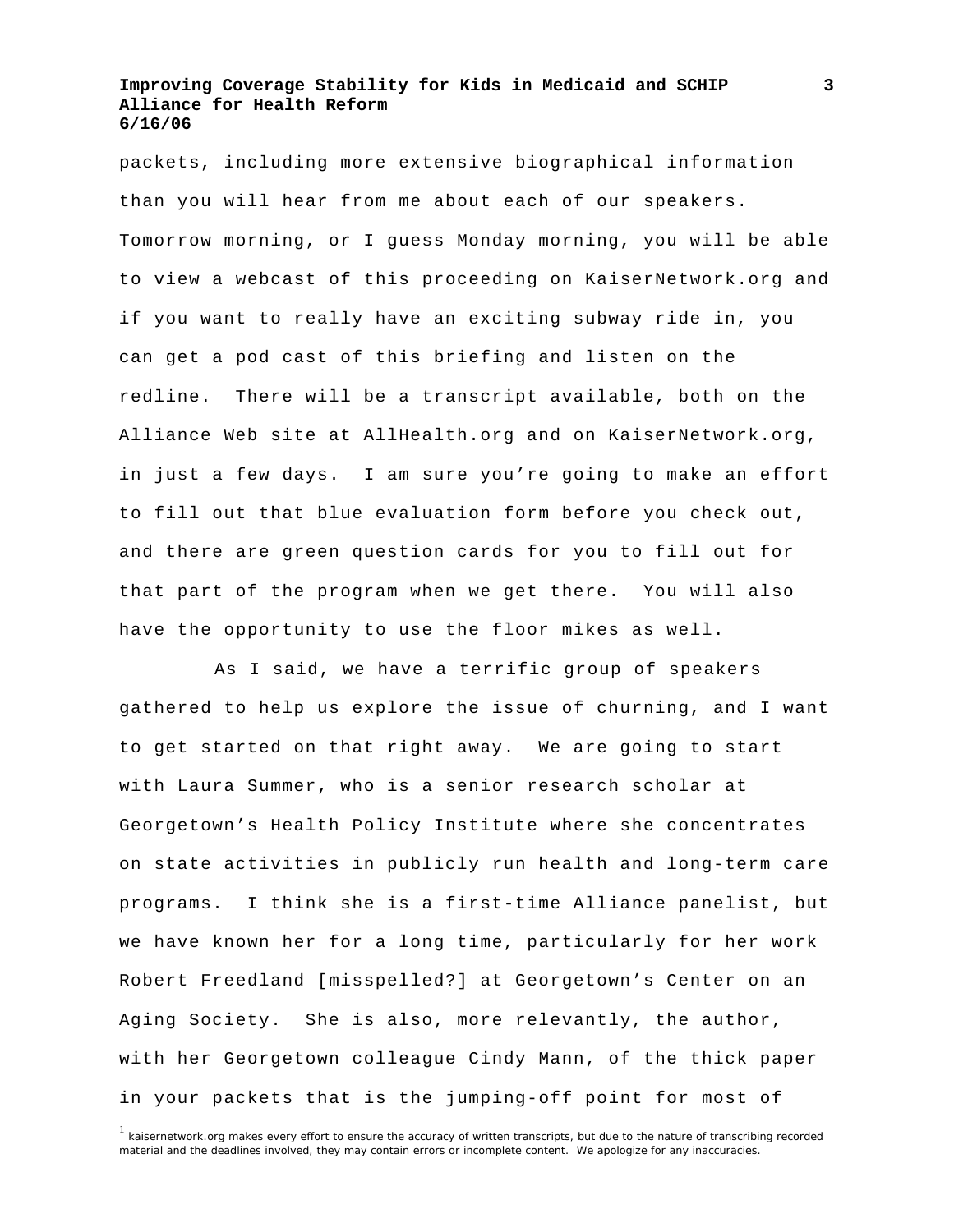packets, including more extensive biographical information than you will hear from me about each of our speakers. Tomorrow morning, or I guess Monday morning, you will be able to view a webcast of this proceeding on KaiserNetwork.org and if you want to really have an exciting subway ride in, you can get a pod cast of this briefing and listen on the redline. There will be a transcript available, both on the Alliance Web site at AllHealth.org and on KaiserNetwork.org, in just a few days. I am sure you're going to make an effort to fill out that blue evaluation form before you check out, and there are green question cards for you to fill out for that part of the program when we get there. You will also have the opportunity to use the floor mikes as well.

 As I said, we have a terrific group of speakers gathered to help us explore the issue of churning, and I want to get started on that right away. We are going to start with Laura Summer, who is a senior research scholar at Georgetown's Health Policy Institute where she concentrates on state activities in publicly run health and long-term care programs. I think she is a first-time Alliance panelist, but we have known her for a long time, particularly for her work Robert Freedland [misspelled?] at Georgetown's Center on an Aging Society. She is also, more relevantly, the author, with her Georgetown colleague Cindy Mann, of the thick paper in your packets that is the jumping-off point for most of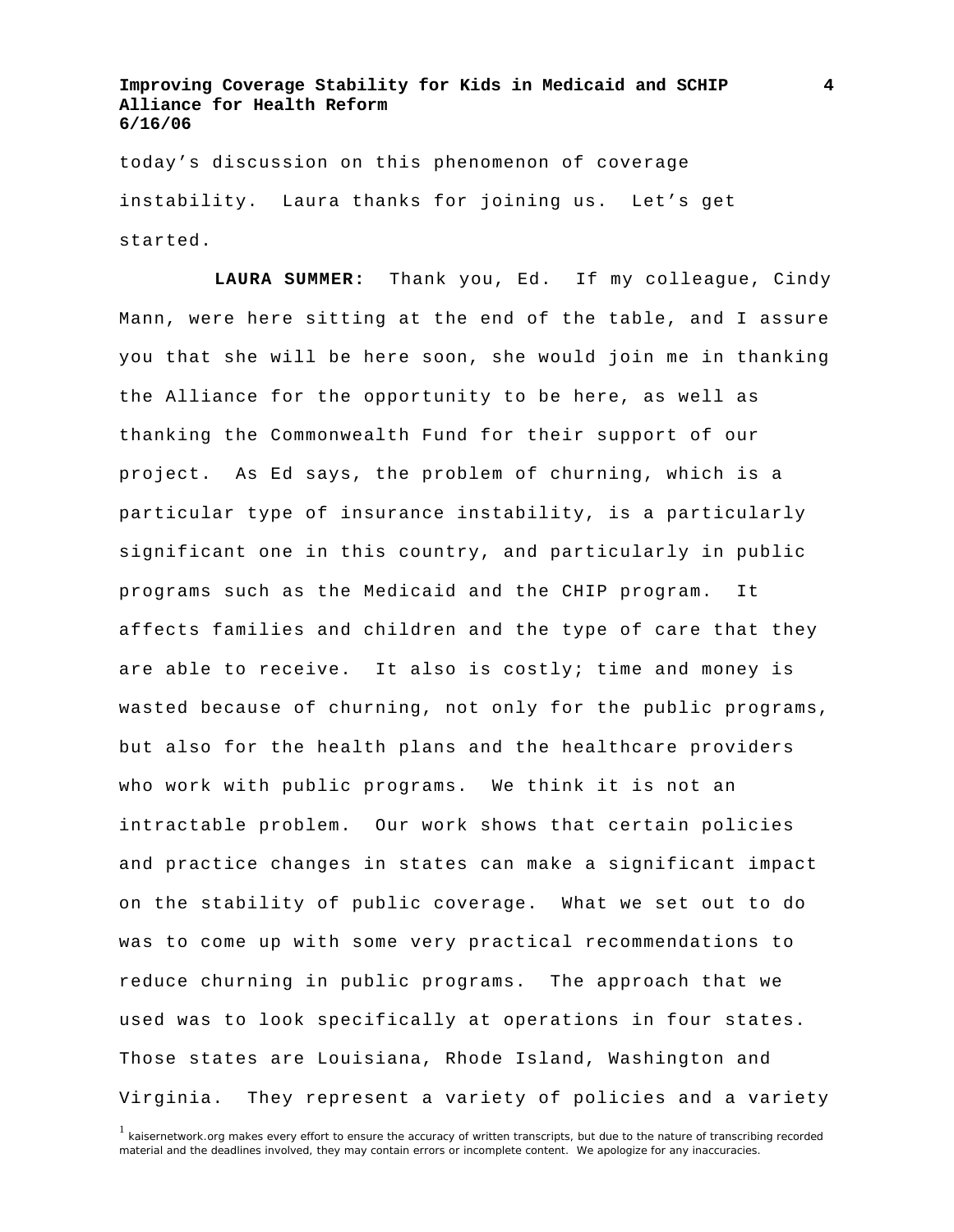today's discussion on this phenomenon of coverage instability. Laura thanks for joining us. Let's get started.

**LAURA SUMMER:** Thank you, Ed. If my colleague, Cindy Mann, were here sitting at the end of the table, and I assure you that she will be here soon, she would join me in thanking the Alliance for the opportunity to be here, as well as thanking the Commonwealth Fund for their support of our project. As Ed says, the problem of churning, which is a particular type of insurance instability, is a particularly significant one in this country, and particularly in public programs such as the Medicaid and the CHIP program. It affects families and children and the type of care that they are able to receive. It also is costly; time and money is wasted because of churning, not only for the public programs, but also for the health plans and the healthcare providers who work with public programs. We think it is not an intractable problem. Our work shows that certain policies and practice changes in states can make a significant impact on the stability of public coverage. What we set out to do was to come up with some very practical recommendations to reduce churning in public programs. The approach that we used was to look specifically at operations in four states. Those states are Louisiana, Rhode Island, Washington and Virginia. They represent a variety of policies and a variety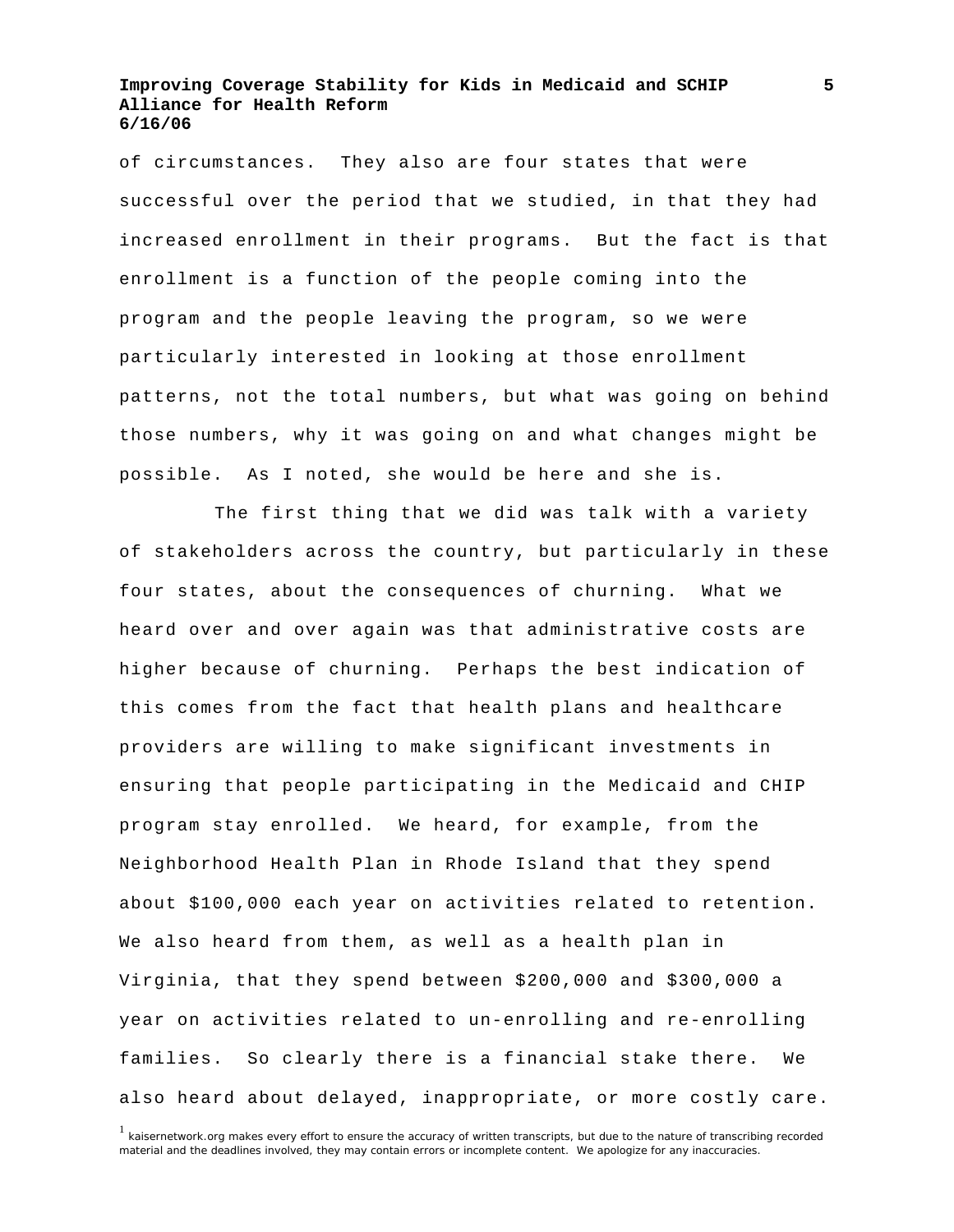of circumstances. They also are four states that were successful over the period that we studied, in that they had increased enrollment in their programs. But the fact is that enrollment is a function of the people coming into the program and the people leaving the program, so we were particularly interested in looking at those enrollment patterns, not the total numbers, but what was going on behind those numbers, why it was going on and what changes might be possible. As I noted, she would be here and she is.

 The first thing that we did was talk with a variety of stakeholders across the country, but particularly in these four states, about the consequences of churning. What we heard over and over again was that administrative costs are higher because of churning. Perhaps the best indication of this comes from the fact that health plans and healthcare providers are willing to make significant investments in ensuring that people participating in the Medicaid and CHIP program stay enrolled. We heard, for example, from the Neighborhood Health Plan in Rhode Island that they spend about \$100,000 each year on activities related to retention. We also heard from them, as well as a health plan in Virginia, that they spend between \$200,000 and \$300,000 a year on activities related to un-enrolling and re-enrolling families. So clearly there is a financial stake there. We also heard about delayed, inappropriate, or more costly care.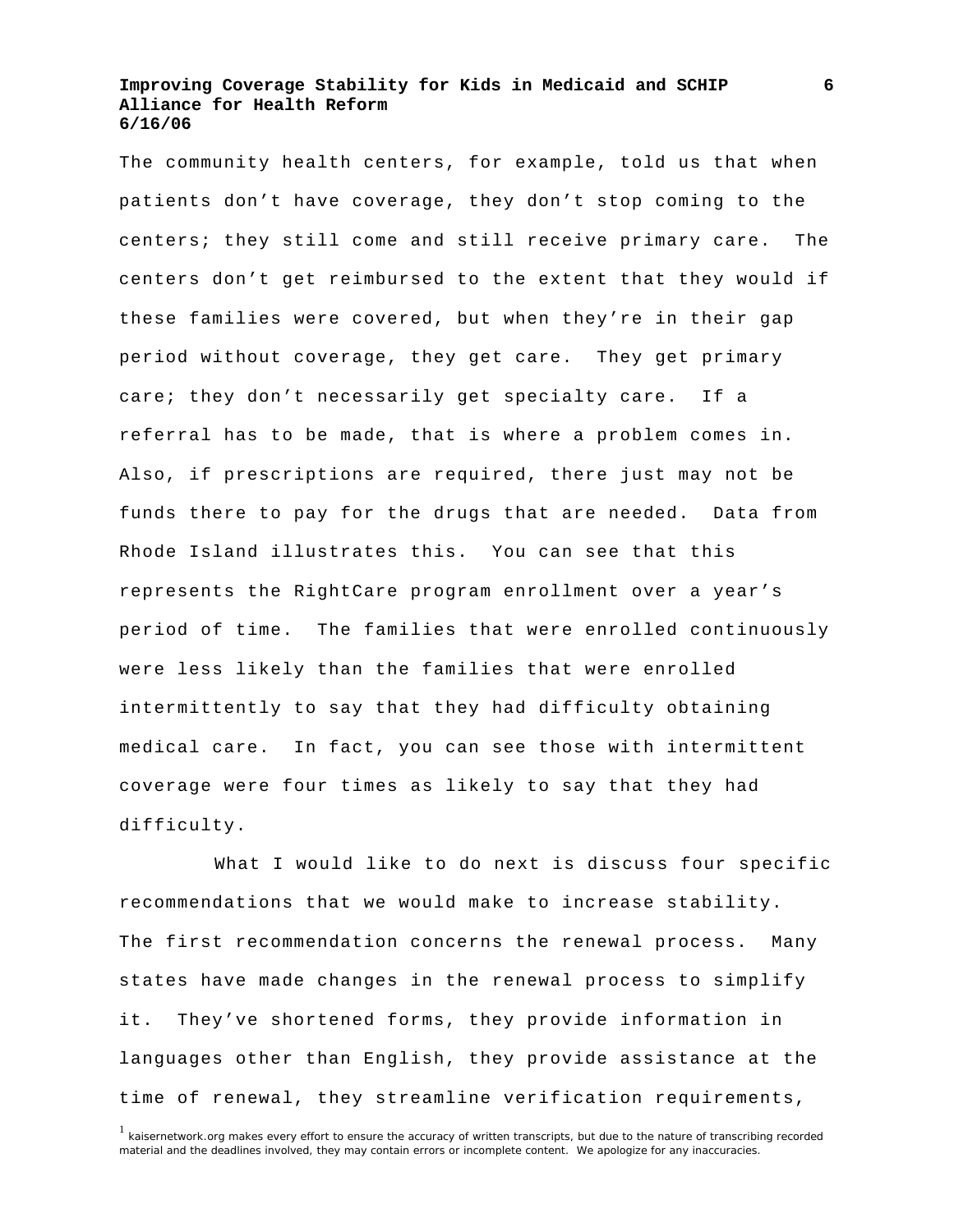The community health centers, for example, told us that when patients don't have coverage, they don't stop coming to the centers; they still come and still receive primary care. The centers don't get reimbursed to the extent that they would if these families were covered, but when they're in their gap period without coverage, they get care. They get primary care; they don't necessarily get specialty care. If a referral has to be made, that is where a problem comes in. Also, if prescriptions are required, there just may not be funds there to pay for the drugs that are needed. Data from Rhode Island illustrates this. You can see that this represents the RightCare program enrollment over a year's period of time. The families that were enrolled continuously were less likely than the families that were enrolled intermittently to say that they had difficulty obtaining medical care. In fact, you can see those with intermittent coverage were four times as likely to say that they had difficulty.

 What I would like to do next is discuss four specific recommendations that we would make to increase stability. The first recommendation concerns the renewal process. Many states have made changes in the renewal process to simplify it. They've shortened forms, they provide information in languages other than English, they provide assistance at the time of renewal, they streamline verification requirements,

<sup>&</sup>lt;sup>1</sup> kaisernetwork.org makes every effort to ensure the accuracy of written transcripts, but due to the nature of transcribing recorded material and the deadlines involved, they may contain errors or incomplete content. We apologize for any inaccuracies.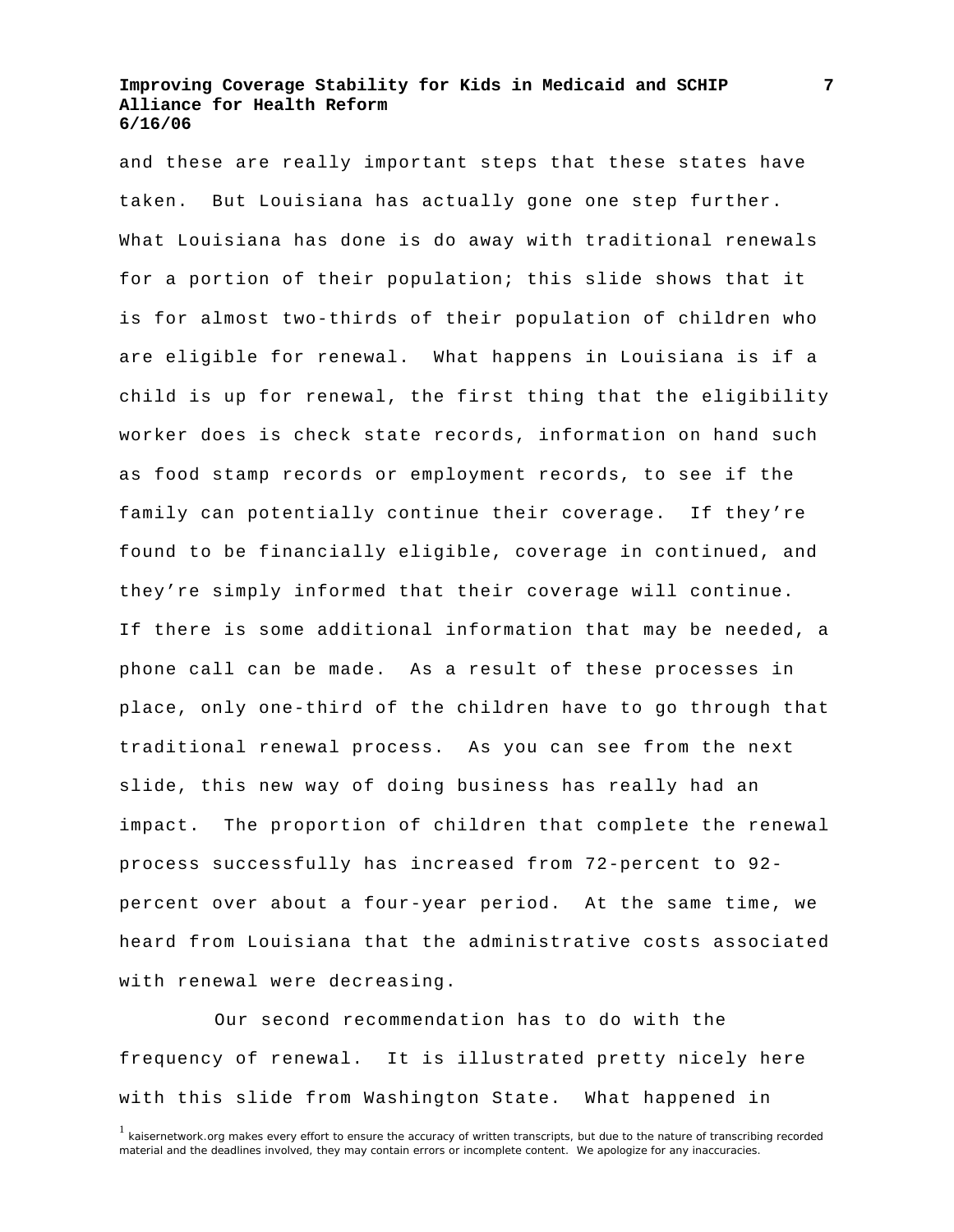and these are really important steps that these states have taken. But Louisiana has actually gone one step further. What Louisiana has done is do away with traditional renewals for a portion of their population; this slide shows that it is for almost two-thirds of their population of children who are eligible for renewal. What happens in Louisiana is if a child is up for renewal, the first thing that the eligibility worker does is check state records, information on hand such as food stamp records or employment records, to see if the family can potentially continue their coverage. If they're found to be financially eligible, coverage in continued, and they're simply informed that their coverage will continue. If there is some additional information that may be needed, a phone call can be made. As a result of these processes in place, only one-third of the children have to go through that traditional renewal process. As you can see from the next slide, this new way of doing business has really had an impact. The proportion of children that complete the renewal process successfully has increased from 72-percent to 92 percent over about a four-year period. At the same time, we heard from Louisiana that the administrative costs associated with renewal were decreasing.

 Our second recommendation has to do with the frequency of renewal. It is illustrated pretty nicely here with this slide from Washington State. What happened in

 $1$  kaisernetwork.org makes every effort to ensure the accuracy of written transcripts, but due to the nature of transcribing recorded material and the deadlines involved, they may contain errors or incomplete content. We apologize for any inaccuracies.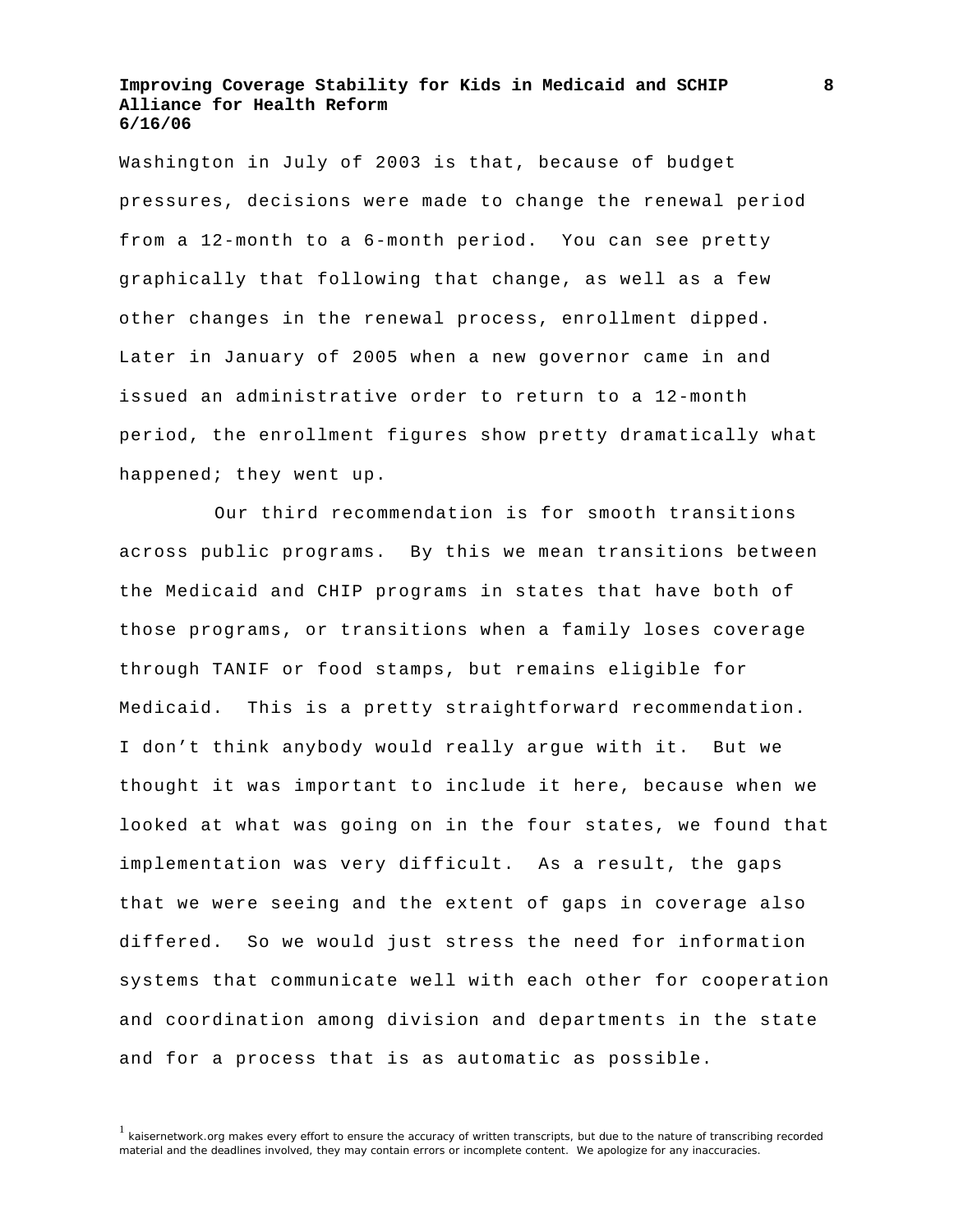Washington in July of 2003 is that, because of budget pressures, decisions were made to change the renewal period from a 12-month to a 6-month period. You can see pretty graphically that following that change, as well as a few other changes in the renewal process, enrollment dipped. Later in January of 2005 when a new governor came in and issued an administrative order to return to a 12-month period, the enrollment figures show pretty dramatically what happened; they went up.

 Our third recommendation is for smooth transitions across public programs. By this we mean transitions between the Medicaid and CHIP programs in states that have both of those programs, or transitions when a family loses coverage through TANIF or food stamps, but remains eligible for Medicaid. This is a pretty straightforward recommendation. I don't think anybody would really argue with it. But we thought it was important to include it here, because when we looked at what was going on in the four states, we found that implementation was very difficult. As a result, the gaps that we were seeing and the extent of gaps in coverage also differed. So we would just stress the need for information systems that communicate well with each other for cooperation and coordination among division and departments in the state and for a process that is as automatic as possible.

 $<sup>1</sup>$  kaisernetwork.org makes every effort to ensure the accuracy of written transcripts, but due to the nature of transcribing recorded</sup> material and the deadlines involved, they may contain errors or incomplete content. We apologize for any inaccuracies.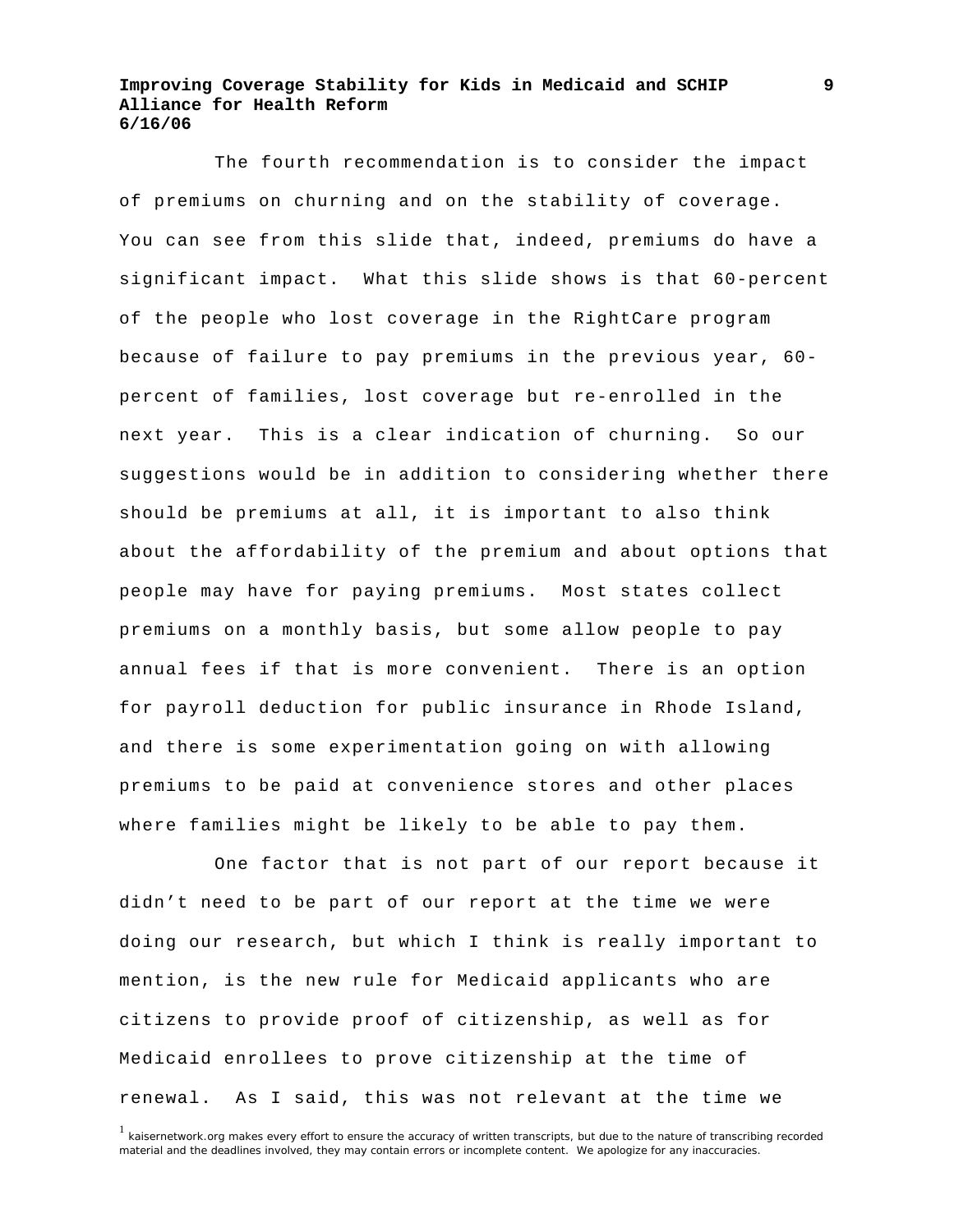The fourth recommendation is to consider the impact of premiums on churning and on the stability of coverage. You can see from this slide that, indeed, premiums do have a significant impact. What this slide shows is that 60-percent of the people who lost coverage in the RightCare program because of failure to pay premiums in the previous year, 60 percent of families, lost coverage but re-enrolled in the next year. This is a clear indication of churning. So our suggestions would be in addition to considering whether there should be premiums at all, it is important to also think about the affordability of the premium and about options that people may have for paying premiums. Most states collect premiums on a monthly basis, but some allow people to pay annual fees if that is more convenient. There is an option for payroll deduction for public insurance in Rhode Island, and there is some experimentation going on with allowing premiums to be paid at convenience stores and other places where families might be likely to be able to pay them.

 One factor that is not part of our report because it didn't need to be part of our report at the time we were doing our research, but which I think is really important to mention, is the new rule for Medicaid applicants who are citizens to provide proof of citizenship, as well as for Medicaid enrollees to prove citizenship at the time of renewal. As I said, this was not relevant at the time we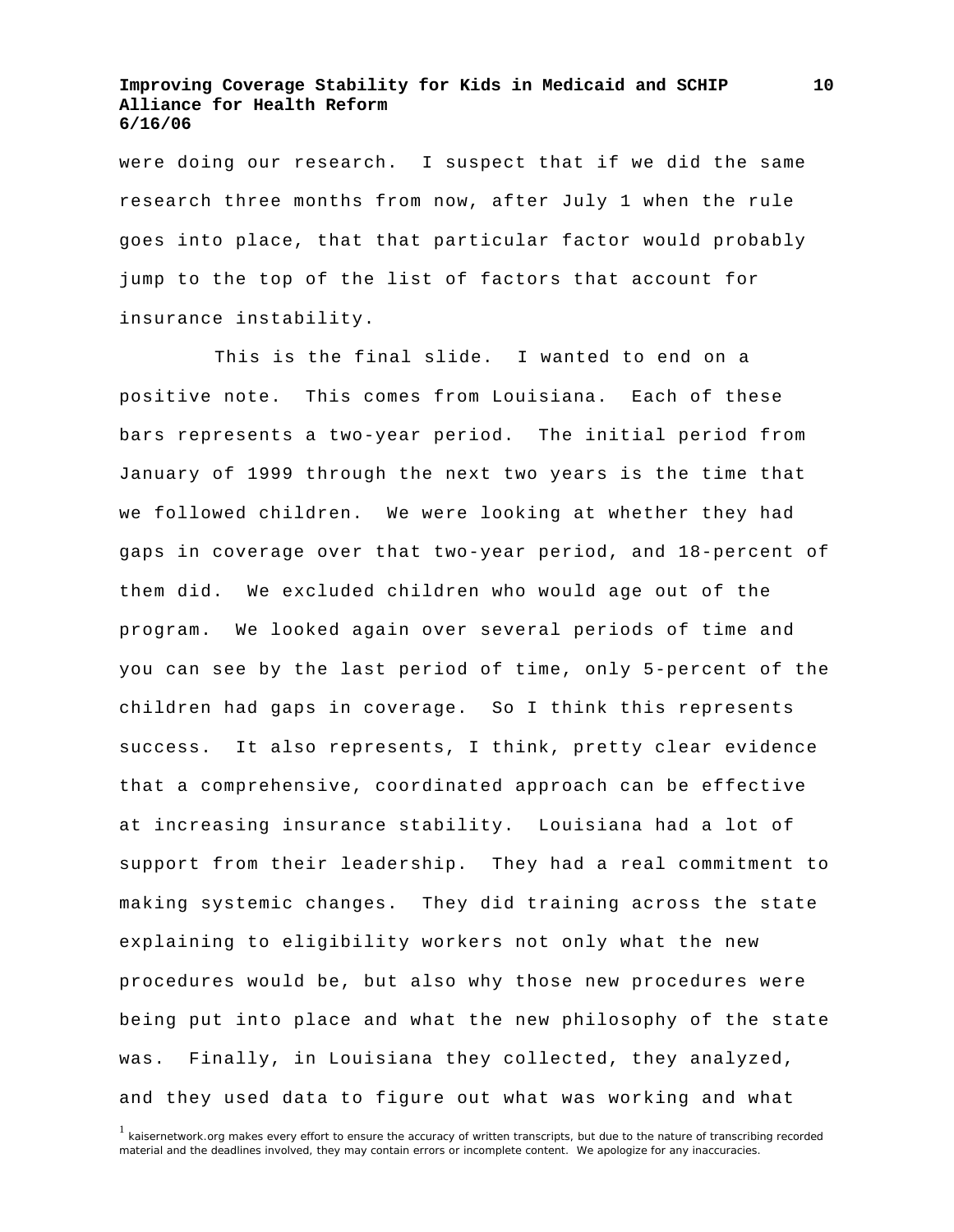were doing our research. I suspect that if we did the same research three months from now, after July 1 when the rule goes into place, that that particular factor would probably jump to the top of the list of factors that account for insurance instability.

 This is the final slide. I wanted to end on a positive note. This comes from Louisiana. Each of these bars represents a two-year period. The initial period from January of 1999 through the next two years is the time that we followed children. We were looking at whether they had gaps in coverage over that two-year period, and 18-percent of them did. We excluded children who would age out of the program. We looked again over several periods of time and you can see by the last period of time, only 5-percent of the children had gaps in coverage. So I think this represents success. It also represents, I think, pretty clear evidence that a comprehensive, coordinated approach can be effective at increasing insurance stability. Louisiana had a lot of support from their leadership. They had a real commitment to making systemic changes. They did training across the state explaining to eligibility workers not only what the new procedures would be, but also why those new procedures were being put into place and what the new philosophy of the state was. Finally, in Louisiana they collected, they analyzed, and they used data to figure out what was working and what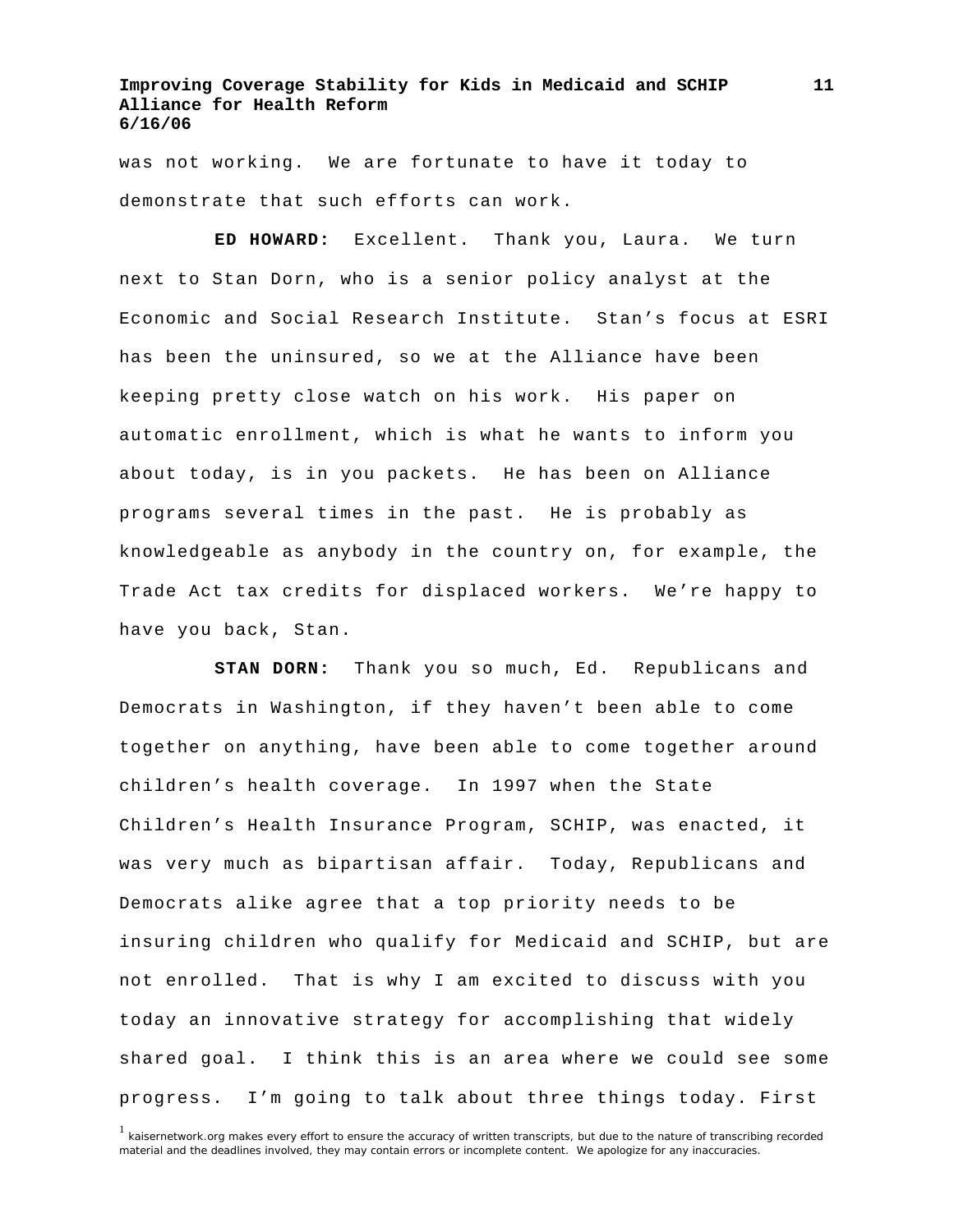was not working. We are fortunate to have it today to demonstrate that such efforts can work.

**ED HOWARD:** Excellent. Thank you, Laura. We turn next to Stan Dorn, who is a senior policy analyst at the Economic and Social Research Institute. Stan's focus at ESRI has been the uninsured, so we at the Alliance have been keeping pretty close watch on his work. His paper on automatic enrollment, which is what he wants to inform you about today, is in you packets. He has been on Alliance programs several times in the past. He is probably as knowledgeable as anybody in the country on, for example, the Trade Act tax credits for displaced workers. We're happy to have you back, Stan.

**STAN DORN:** Thank you so much, Ed. Republicans and Democrats in Washington, if they haven't been able to come together on anything, have been able to come together around children's health coverage. In 1997 when the State Children's Health Insurance Program, SCHIP, was enacted, it was very much as bipartisan affair. Today, Republicans and Democrats alike agree that a top priority needs to be insuring children who qualify for Medicaid and SCHIP, but are not enrolled. That is why I am excited to discuss with you today an innovative strategy for accomplishing that widely shared goal. I think this is an area where we could see some progress. I'm going to talk about three things today. First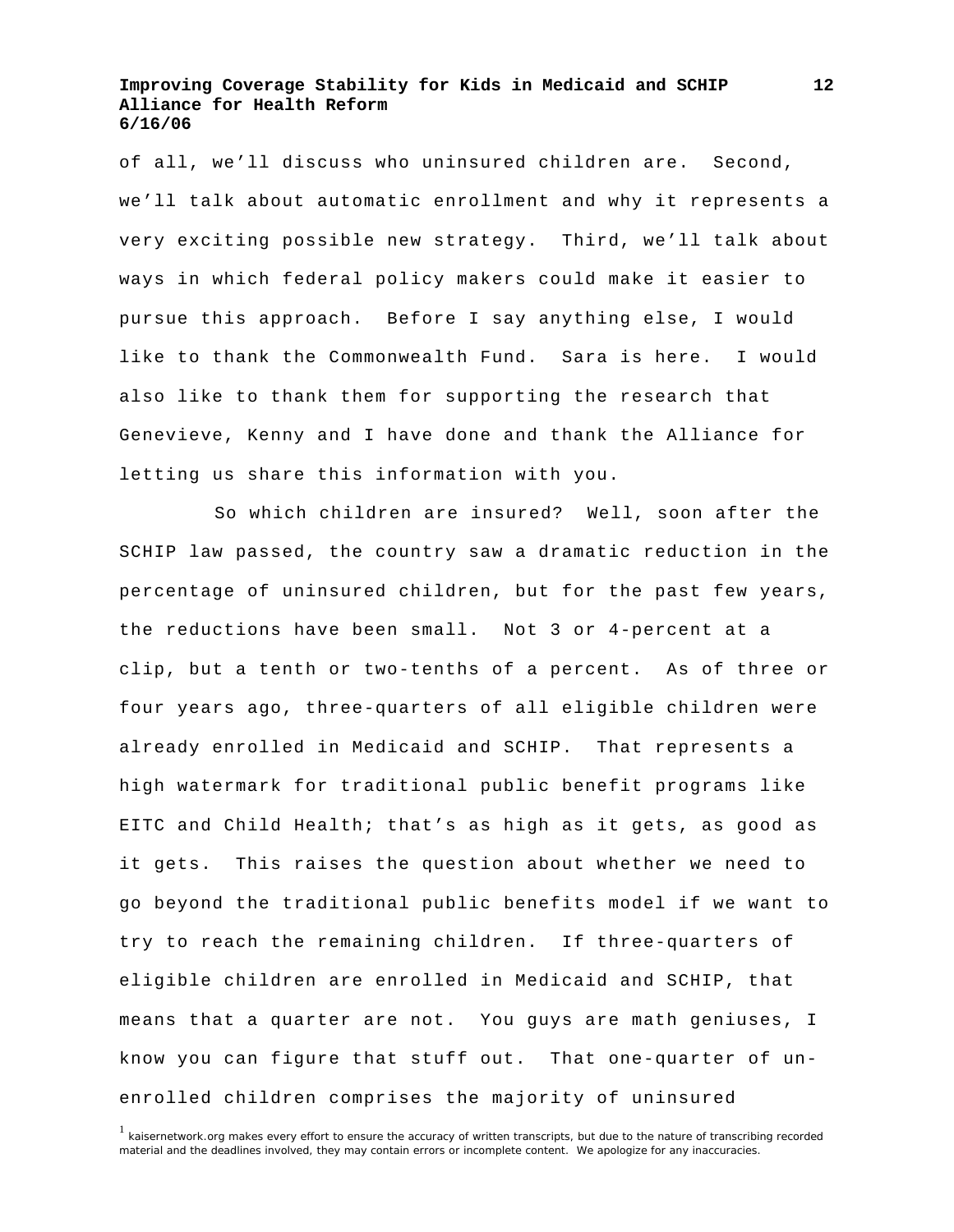of all, we'll discuss who uninsured children are. Second, we'll talk about automatic enrollment and why it represents a very exciting possible new strategy. Third, we'll talk about ways in which federal policy makers could make it easier to pursue this approach. Before I say anything else, I would like to thank the Commonwealth Fund. Sara is here. I would also like to thank them for supporting the research that Genevieve, Kenny and I have done and thank the Alliance for letting us share this information with you.

 So which children are insured? Well, soon after the SCHIP law passed, the country saw a dramatic reduction in the percentage of uninsured children, but for the past few years, the reductions have been small. Not 3 or 4-percent at a clip, but a tenth or two-tenths of a percent. As of three or four years ago, three-quarters of all eligible children were already enrolled in Medicaid and SCHIP. That represents a high watermark for traditional public benefit programs like EITC and Child Health; that's as high as it gets, as good as it gets. This raises the question about whether we need to go beyond the traditional public benefits model if we want to try to reach the remaining children. If three-quarters of eligible children are enrolled in Medicaid and SCHIP, that means that a quarter are not. You guys are math geniuses, I know you can figure that stuff out. That one-quarter of unenrolled children comprises the majority of uninsured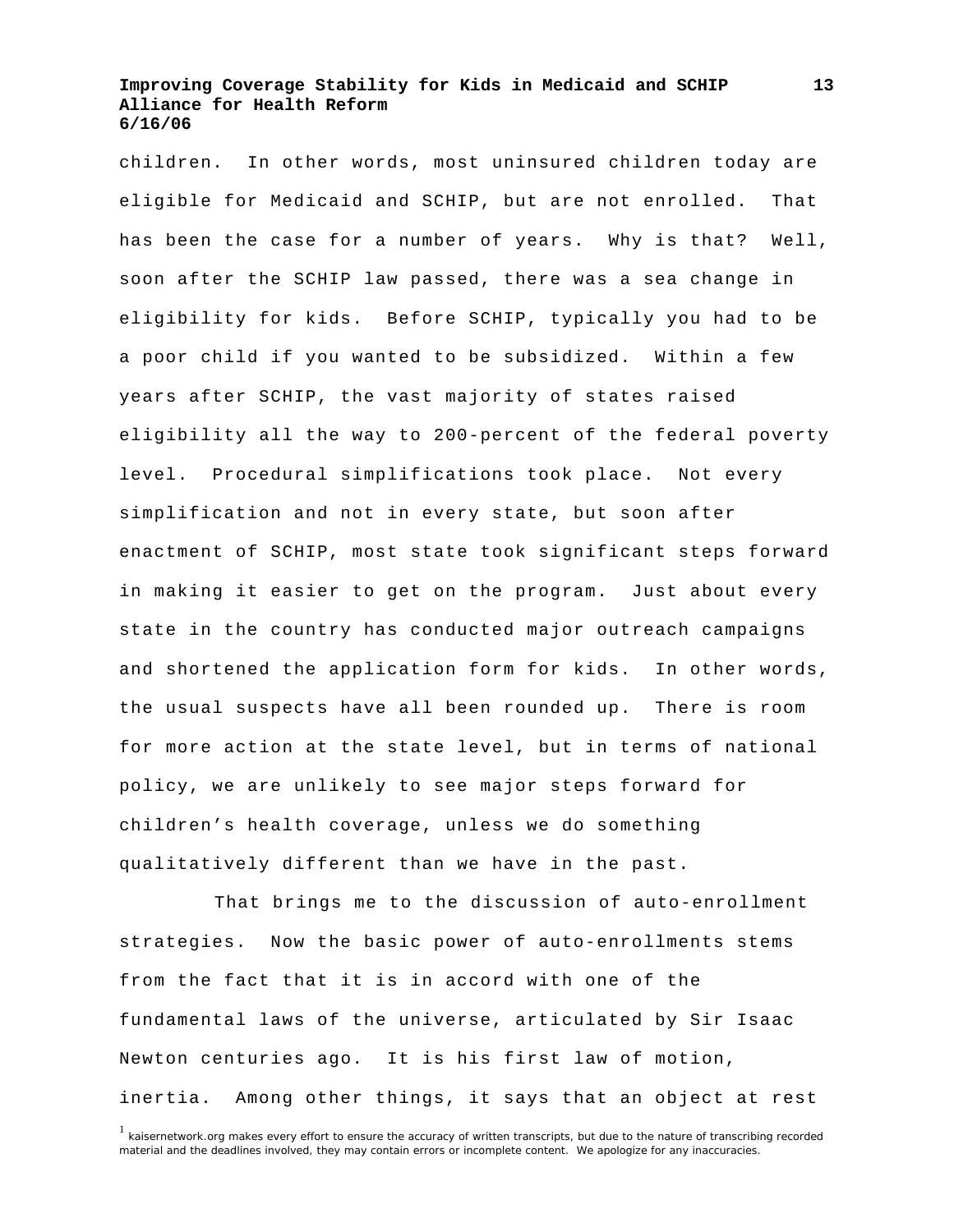children. In other words, most uninsured children today are eligible for Medicaid and SCHIP, but are not enrolled. That has been the case for a number of years. Why is that? Well, soon after the SCHIP law passed, there was a sea change in eligibility for kids. Before SCHIP, typically you had to be a poor child if you wanted to be subsidized. Within a few years after SCHIP, the vast majority of states raised eligibility all the way to 200-percent of the federal poverty level. Procedural simplifications took place. Not every simplification and not in every state, but soon after enactment of SCHIP, most state took significant steps forward in making it easier to get on the program. Just about every state in the country has conducted major outreach campaigns and shortened the application form for kids. In other words, the usual suspects have all been rounded up. There is room for more action at the state level, but in terms of national policy, we are unlikely to see major steps forward for children's health coverage, unless we do something qualitatively different than we have in the past.

 That brings me to the discussion of auto-enrollment strategies. Now the basic power of auto-enrollments stems from the fact that it is in accord with one of the fundamental laws of the universe, articulated by Sir Isaac Newton centuries ago. It is his first law of motion, inertia. Among other things, it says that an object at rest

<sup>&</sup>lt;sup>1</sup> kaisernetwork.org makes every effort to ensure the accuracy of written transcripts, but due to the nature of transcribing recorded material and the deadlines involved, they may contain errors or incomplete content. We apologize for any inaccuracies.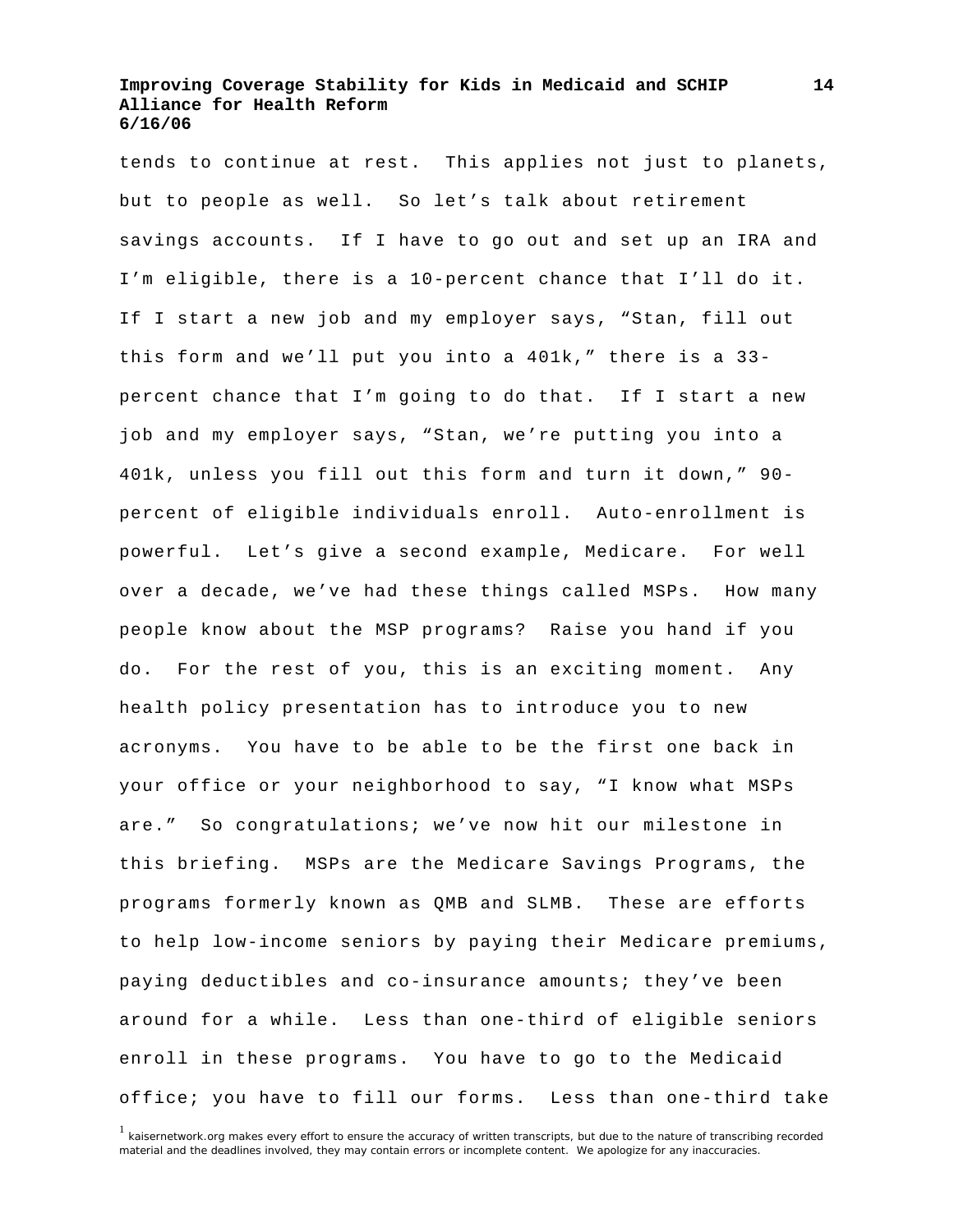tends to continue at rest. This applies not just to planets, but to people as well. So let's talk about retirement savings accounts. If I have to go out and set up an IRA and I'm eligible, there is a 10-percent chance that I'll do it. If I start a new job and my employer says, "Stan, fill out this form and we'll put you into a 401k," there is a 33 percent chance that I'm going to do that. If I start a new job and my employer says, "Stan, we're putting you into a 401k, unless you fill out this form and turn it down," 90 percent of eligible individuals enroll. Auto-enrollment is powerful. Let's give a second example, Medicare. For well over a decade, we've had these things called MSPs. How many people know about the MSP programs? Raise you hand if you do. For the rest of you, this is an exciting moment. Any health policy presentation has to introduce you to new acronyms. You have to be able to be the first one back in your office or your neighborhood to say, "I know what MSPs are." So congratulations; we've now hit our milestone in this briefing. MSPs are the Medicare Savings Programs, the programs formerly known as QMB and SLMB. These are efforts to help low-income seniors by paying their Medicare premiums, paying deductibles and co-insurance amounts; they've been around for a while. Less than one-third of eligible seniors enroll in these programs. You have to go to the Medicaid office; you have to fill our forms. Less than one-third take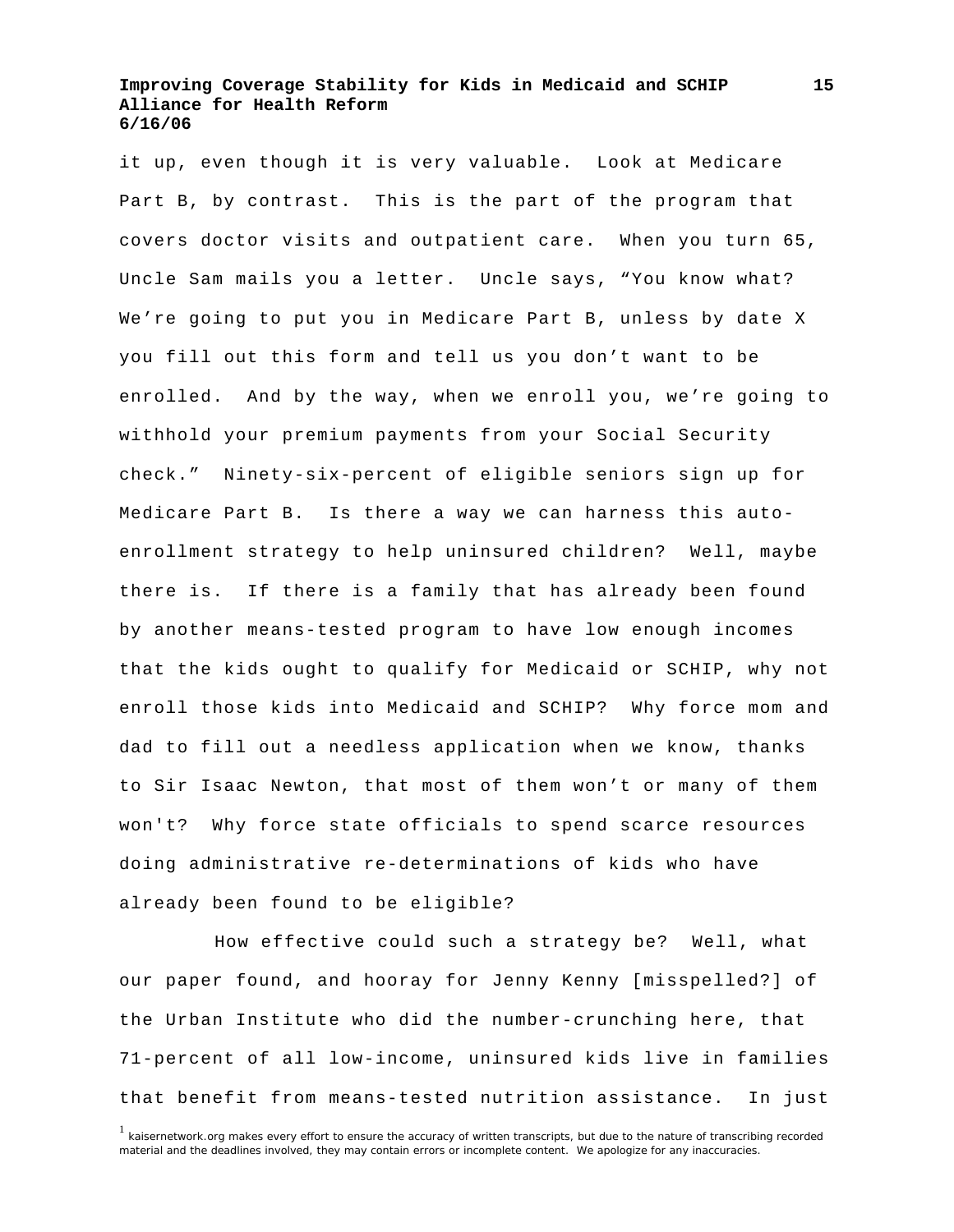it up, even though it is very valuable. Look at Medicare Part B, by contrast. This is the part of the program that covers doctor visits and outpatient care. When you turn 65, Uncle Sam mails you a letter. Uncle says, "You know what? We're going to put you in Medicare Part B, unless by date X you fill out this form and tell us you don't want to be enrolled. And by the way, when we enroll you, we're going to withhold your premium payments from your Social Security check." Ninety-six-percent of eligible seniors sign up for Medicare Part B. Is there a way we can harness this autoenrollment strategy to help uninsured children? Well, maybe there is. If there is a family that has already been found by another means-tested program to have low enough incomes that the kids ought to qualify for Medicaid or SCHIP, why not enroll those kids into Medicaid and SCHIP? Why force mom and dad to fill out a needless application when we know, thanks to Sir Isaac Newton, that most of them won't or many of them won't? Why force state officials to spend scarce resources doing administrative re-determinations of kids who have already been found to be eligible?

 How effective could such a strategy be? Well, what our paper found, and hooray for Jenny Kenny [misspelled?] of the Urban Institute who did the number-crunching here, that 71-percent of all low-income, uninsured kids live in families that benefit from means-tested nutrition assistance. In just

<sup>&</sup>lt;sup>1</sup> kaisernetwork.org makes every effort to ensure the accuracy of written transcripts, but due to the nature of transcribing recorded material and the deadlines involved, they may contain errors or incomplete content. We apologize for any inaccuracies.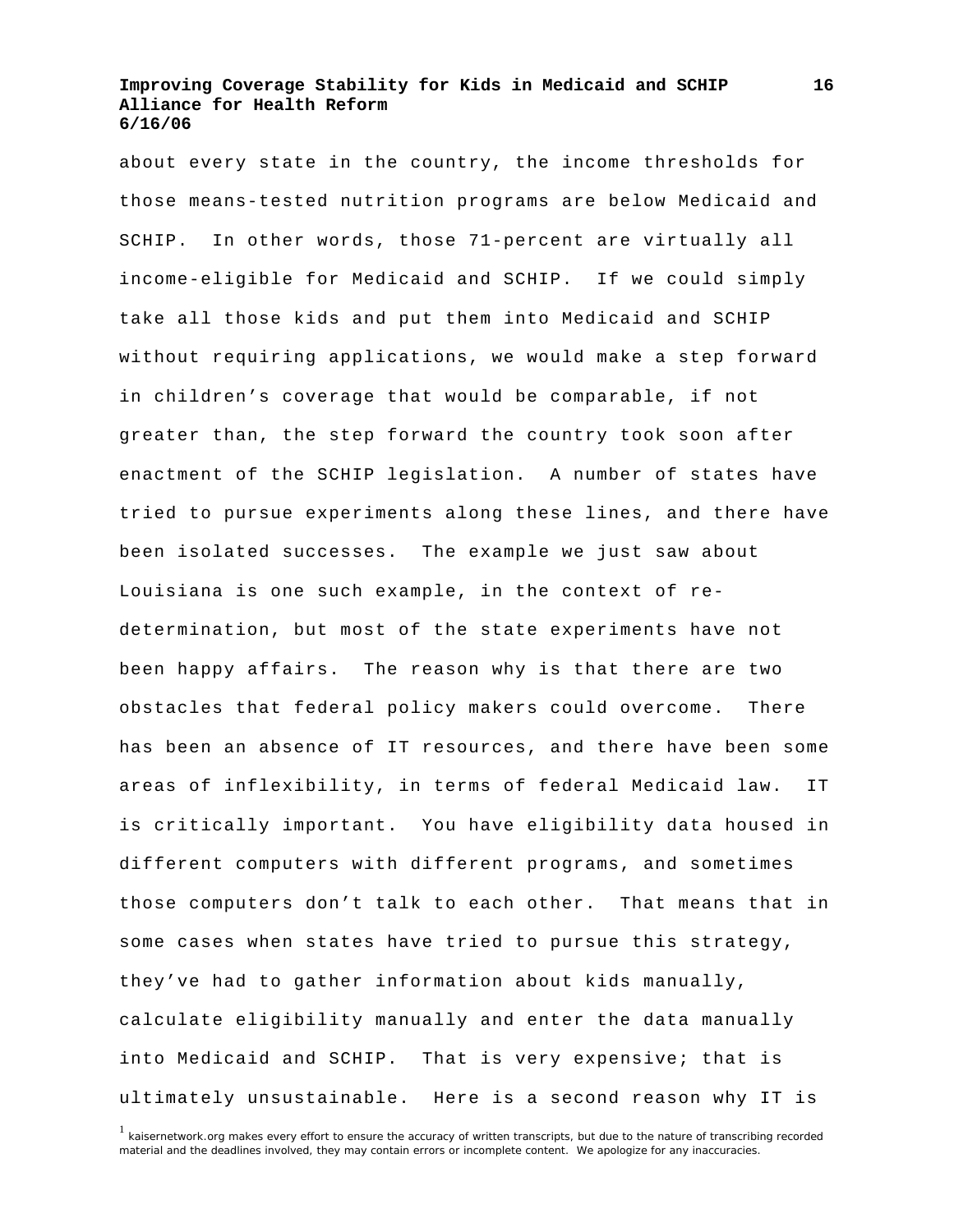about every state in the country, the income thresholds for those means-tested nutrition programs are below Medicaid and SCHIP. In other words, those 71-percent are virtually all income-eligible for Medicaid and SCHIP. If we could simply take all those kids and put them into Medicaid and SCHIP without requiring applications, we would make a step forward in children's coverage that would be comparable, if not greater than, the step forward the country took soon after enactment of the SCHIP legislation. A number of states have tried to pursue experiments along these lines, and there have been isolated successes. The example we just saw about Louisiana is one such example, in the context of redetermination, but most of the state experiments have not been happy affairs. The reason why is that there are two obstacles that federal policy makers could overcome. There has been an absence of IT resources, and there have been some areas of inflexibility, in terms of federal Medicaid law. IT is critically important. You have eligibility data housed in different computers with different programs, and sometimes those computers don't talk to each other. That means that in some cases when states have tried to pursue this strategy, they've had to gather information about kids manually, calculate eligibility manually and enter the data manually into Medicaid and SCHIP. That is very expensive; that is ultimately unsustainable. Here is a second reason why IT is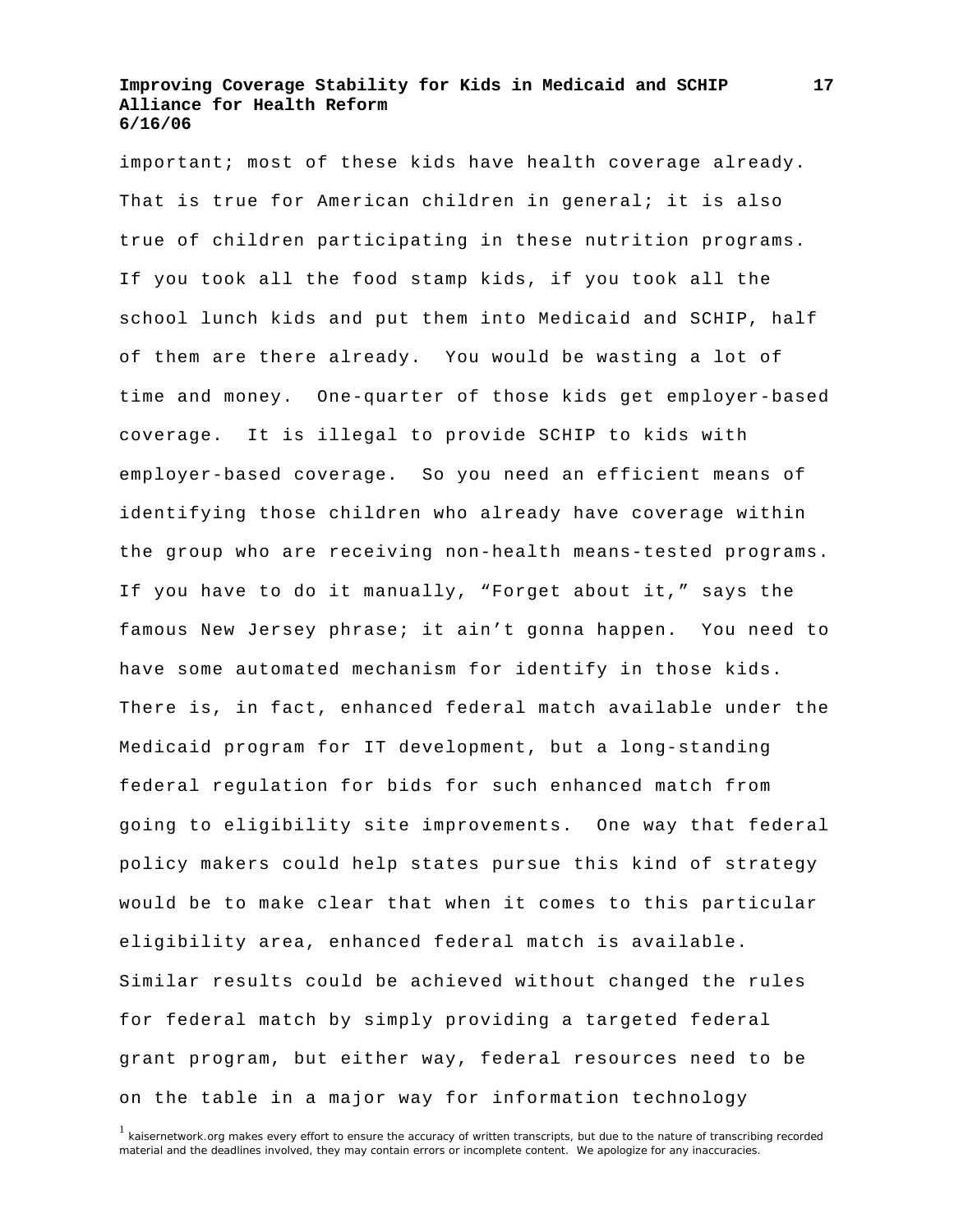important; most of these kids have health coverage already. That is true for American children in general; it is also true of children participating in these nutrition programs. If you took all the food stamp kids, if you took all the school lunch kids and put them into Medicaid and SCHIP, half of them are there already. You would be wasting a lot of time and money. One-quarter of those kids get employer-based coverage. It is illegal to provide SCHIP to kids with employer-based coverage. So you need an efficient means of identifying those children who already have coverage within the group who are receiving non-health means-tested programs. If you have to do it manually, "Forget about it," says the famous New Jersey phrase; it ain't gonna happen. You need to have some automated mechanism for identify in those kids. There is, in fact, enhanced federal match available under the Medicaid program for IT development, but a long-standing federal regulation for bids for such enhanced match from going to eligibility site improvements. One way that federal policy makers could help states pursue this kind of strategy would be to make clear that when it comes to this particular eligibility area, enhanced federal match is available. Similar results could be achieved without changed the rules for federal match by simply providing a targeted federal grant program, but either way, federal resources need to be on the table in a major way for information technology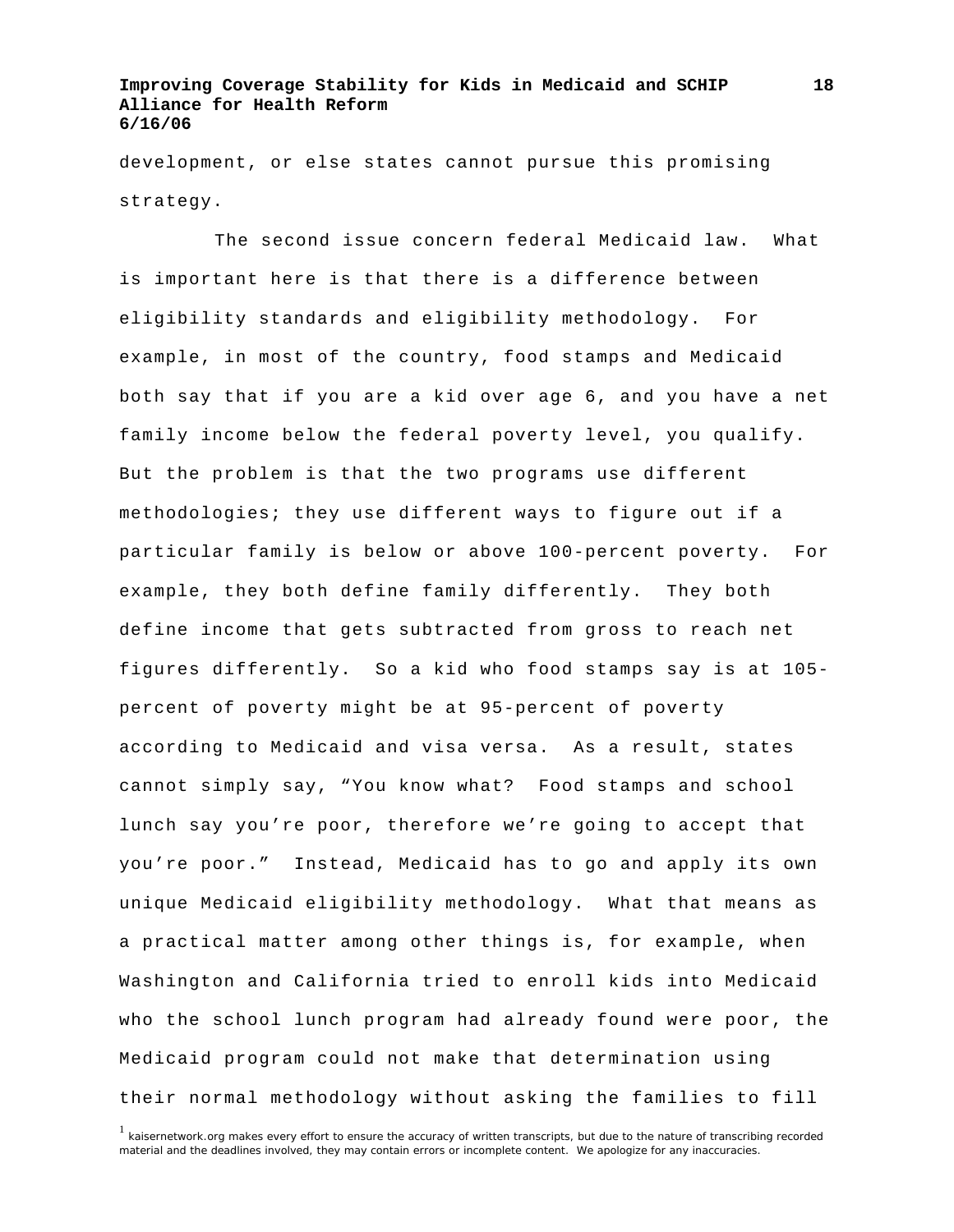development, or else states cannot pursue this promising strategy.

 The second issue concern federal Medicaid law. What is important here is that there is a difference between eligibility standards and eligibility methodology. For example, in most of the country, food stamps and Medicaid both say that if you are a kid over age 6, and you have a net family income below the federal poverty level, you qualify. But the problem is that the two programs use different methodologies; they use different ways to figure out if a particular family is below or above 100-percent poverty. For example, they both define family differently. They both define income that gets subtracted from gross to reach net figures differently. So a kid who food stamps say is at 105 percent of poverty might be at 95-percent of poverty according to Medicaid and visa versa. As a result, states cannot simply say, "You know what? Food stamps and school lunch say you're poor, therefore we're going to accept that you're poor." Instead, Medicaid has to go and apply its own unique Medicaid eligibility methodology. What that means as a practical matter among other things is, for example, when Washington and California tried to enroll kids into Medicaid who the school lunch program had already found were poor, the Medicaid program could not make that determination using their normal methodology without asking the families to fill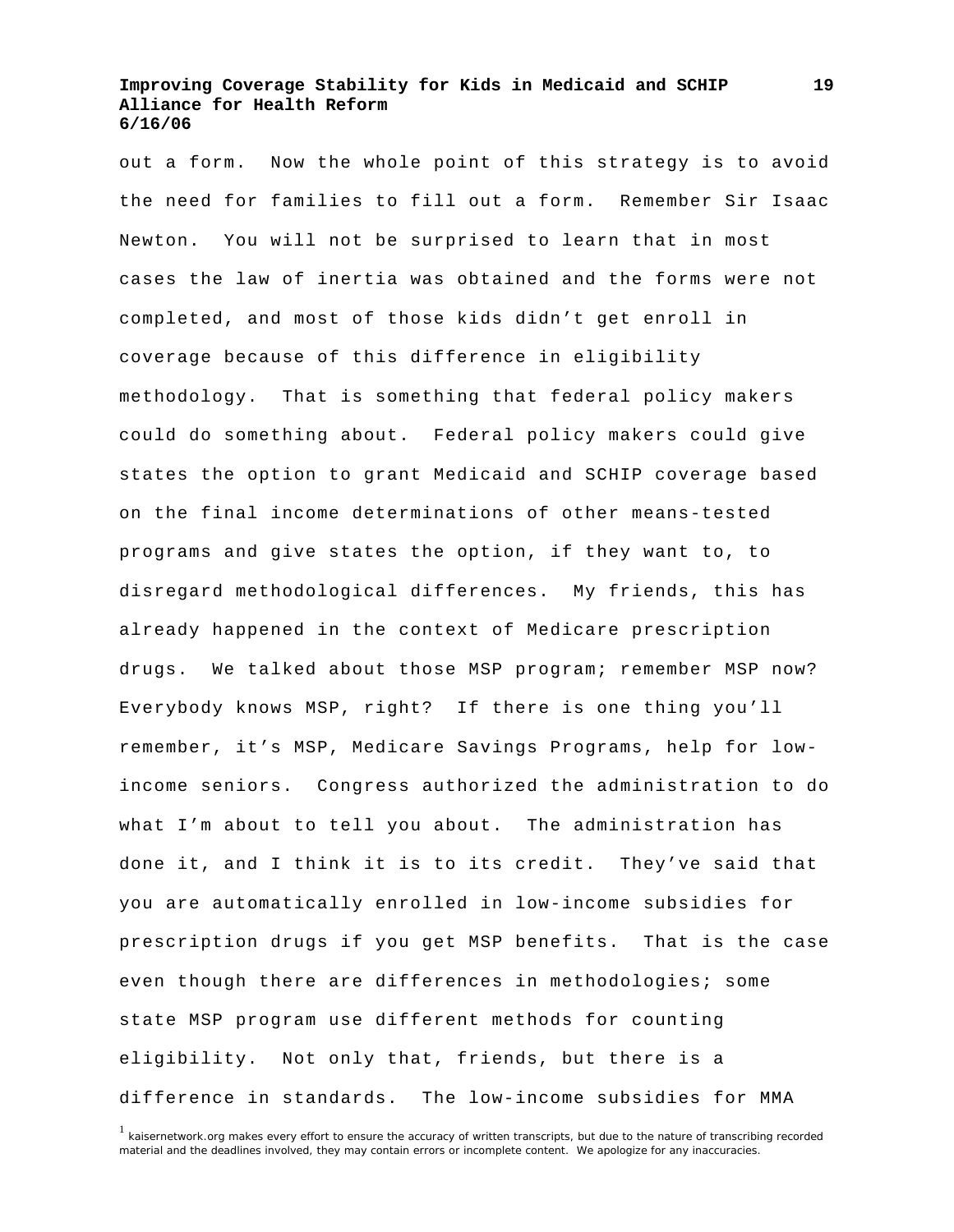out a form. Now the whole point of this strategy is to avoid the need for families to fill out a form. Remember Sir Isaac Newton. You will not be surprised to learn that in most cases the law of inertia was obtained and the forms were not completed, and most of those kids didn't get enroll in coverage because of this difference in eligibility methodology. That is something that federal policy makers could do something about. Federal policy makers could give states the option to grant Medicaid and SCHIP coverage based on the final income determinations of other means-tested programs and give states the option, if they want to, to disregard methodological differences. My friends, this has already happened in the context of Medicare prescription drugs. We talked about those MSP program; remember MSP now? Everybody knows MSP, right? If there is one thing you'll remember, it's MSP, Medicare Savings Programs, help for lowincome seniors. Congress authorized the administration to do what I'm about to tell you about. The administration has done it, and I think it is to its credit. They've said that you are automatically enrolled in low-income subsidies for prescription drugs if you get MSP benefits. That is the case even though there are differences in methodologies; some state MSP program use different methods for counting eligibility. Not only that, friends, but there is a difference in standards. The low-income subsidies for MMA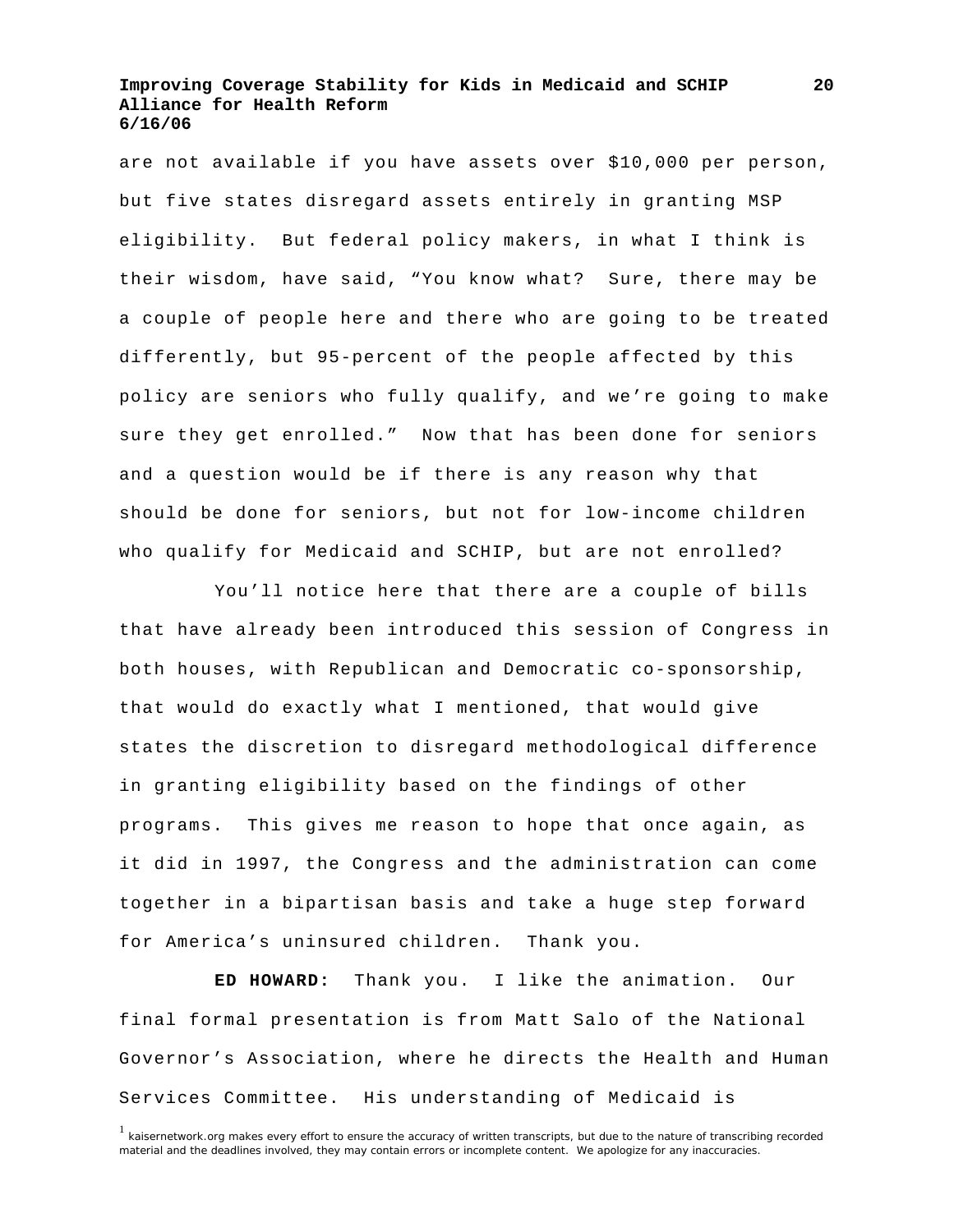are not available if you have assets over \$10,000 per person, but five states disregard assets entirely in granting MSP eligibility. But federal policy makers, in what I think is their wisdom, have said, "You know what? Sure, there may be a couple of people here and there who are going to be treated differently, but 95-percent of the people affected by this policy are seniors who fully qualify, and we're going to make sure they get enrolled." Now that has been done for seniors and a question would be if there is any reason why that should be done for seniors, but not for low-income children who qualify for Medicaid and SCHIP, but are not enrolled?

 You'll notice here that there are a couple of bills that have already been introduced this session of Congress in both houses, with Republican and Democratic co-sponsorship, that would do exactly what I mentioned, that would give states the discretion to disregard methodological difference in granting eligibility based on the findings of other programs. This gives me reason to hope that once again, as it did in 1997, the Congress and the administration can come together in a bipartisan basis and take a huge step forward for America's uninsured children. Thank you.

**ED HOWARD:** Thank you. I like the animation. Our final formal presentation is from Matt Salo of the National Governor's Association, where he directs the Health and Human Services Committee. His understanding of Medicaid is

<sup>&</sup>lt;sup>1</sup> kaisernetwork.org makes every effort to ensure the accuracy of written transcripts, but due to the nature of transcribing recorded material and the deadlines involved, they may contain errors or incomplete content. We apologize for any inaccuracies.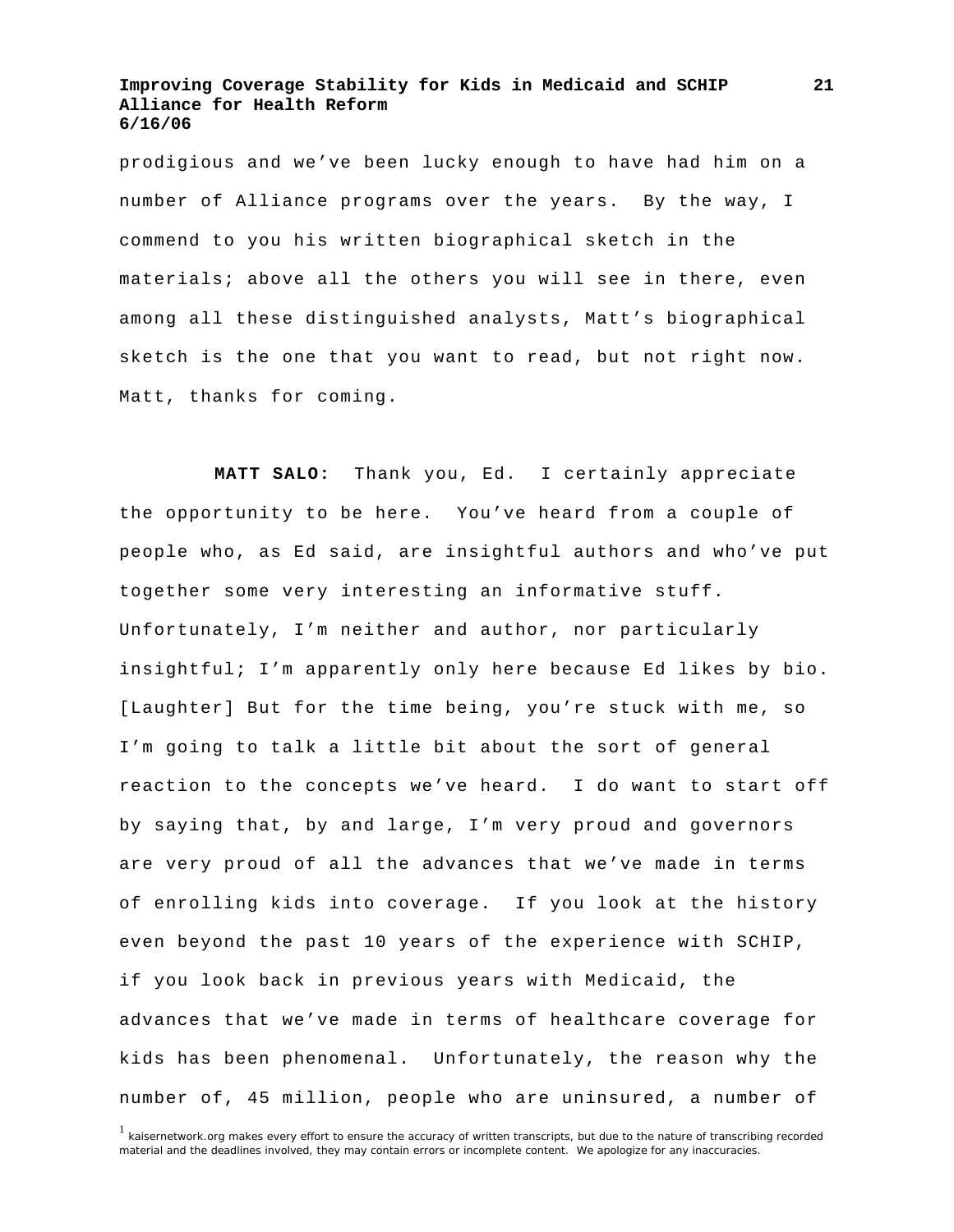prodigious and we've been lucky enough to have had him on a number of Alliance programs over the years. By the way, I commend to you his written biographical sketch in the materials; above all the others you will see in there, even among all these distinguished analysts, Matt's biographical sketch is the one that you want to read, but not right now. Matt, thanks for coming.

**MATT SALO:** Thank you, Ed. I certainly appreciate the opportunity to be here. You've heard from a couple of people who, as Ed said, are insightful authors and who've put together some very interesting an informative stuff. Unfortunately, I'm neither and author, nor particularly insightful; I'm apparently only here because Ed likes by bio. [Laughter] But for the time being, you're stuck with me, so I'm going to talk a little bit about the sort of general reaction to the concepts we've heard. I do want to start off by saying that, by and large, I'm very proud and governors are very proud of all the advances that we've made in terms of enrolling kids into coverage. If you look at the history even beyond the past 10 years of the experience with SCHIP, if you look back in previous years with Medicaid, the advances that we've made in terms of healthcare coverage for kids has been phenomenal. Unfortunately, the reason why the number of, 45 million, people who are uninsured, a number of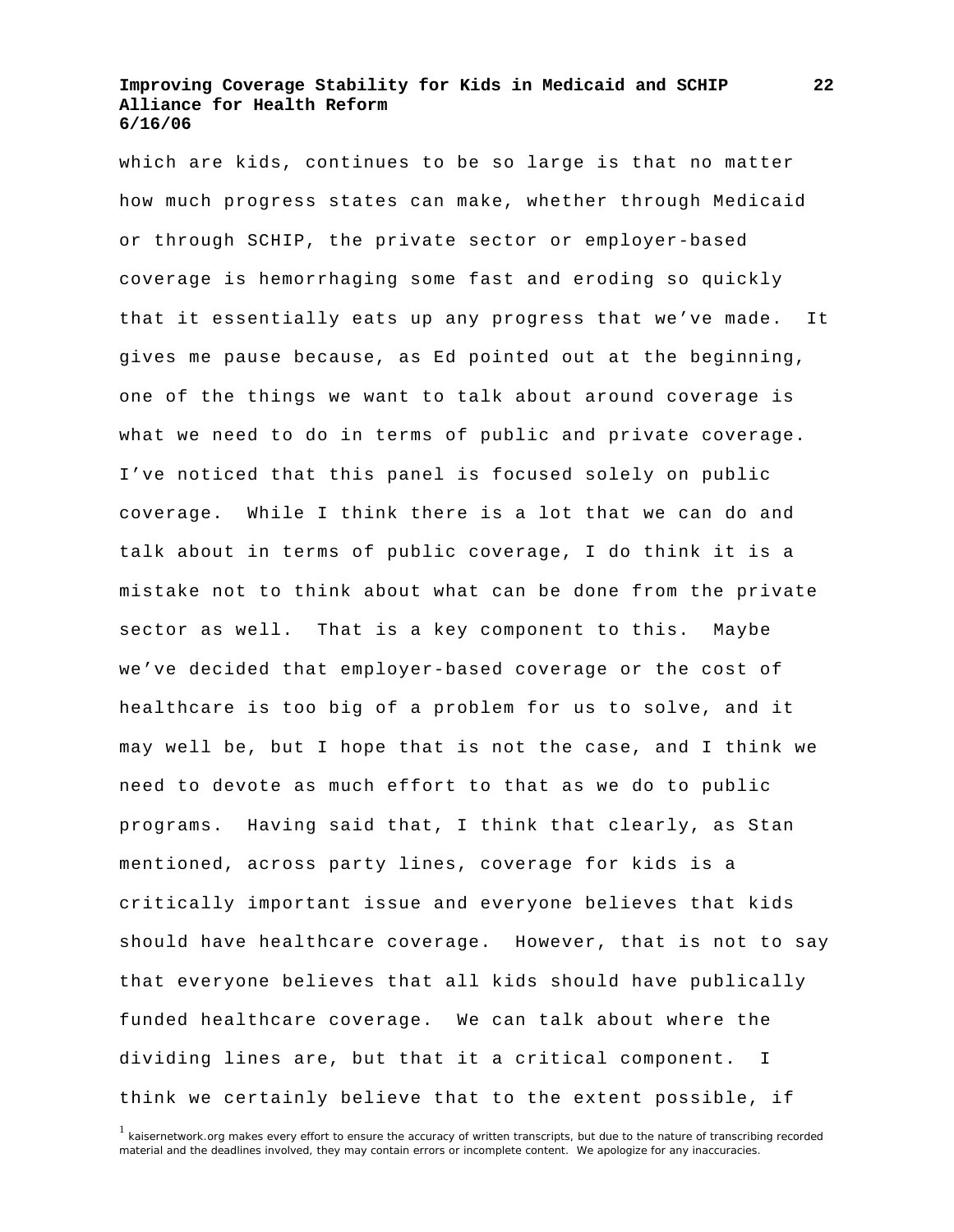which are kids, continues to be so large is that no matter how much progress states can make, whether through Medicaid or through SCHIP, the private sector or employer-based coverage is hemorrhaging some fast and eroding so quickly that it essentially eats up any progress that we've made. It gives me pause because, as Ed pointed out at the beginning, one of the things we want to talk about around coverage is what we need to do in terms of public and private coverage. I've noticed that this panel is focused solely on public coverage. While I think there is a lot that we can do and talk about in terms of public coverage, I do think it is a mistake not to think about what can be done from the private sector as well. That is a key component to this. Maybe we've decided that employer-based coverage or the cost of healthcare is too big of a problem for us to solve, and it may well be, but I hope that is not the case, and I think we need to devote as much effort to that as we do to public programs. Having said that, I think that clearly, as Stan mentioned, across party lines, coverage for kids is a critically important issue and everyone believes that kids should have healthcare coverage. However, that is not to say that everyone believes that all kids should have publically funded healthcare coverage. We can talk about where the dividing lines are, but that it a critical component. I think we certainly believe that to the extent possible, if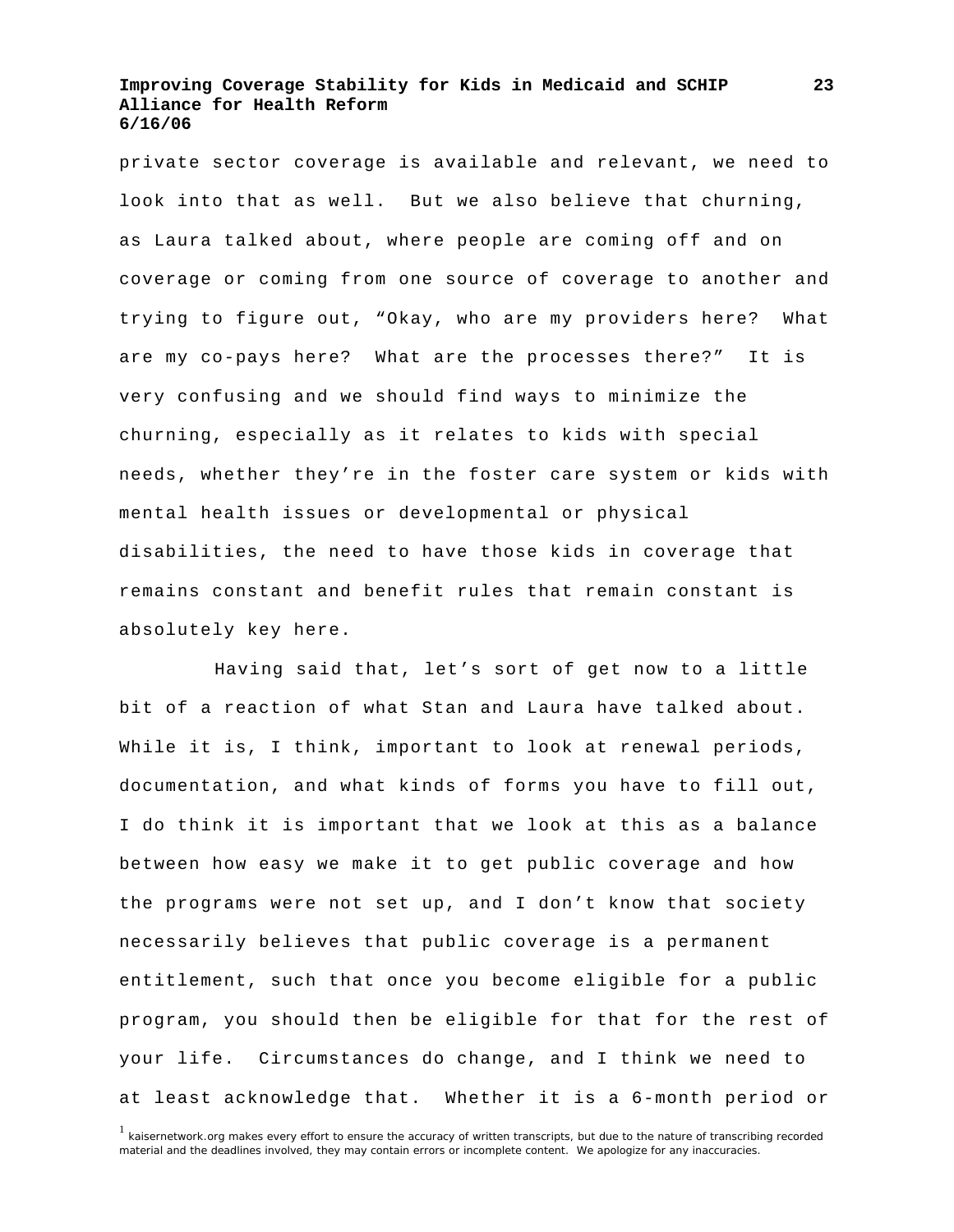private sector coverage is available and relevant, we need to look into that as well. But we also believe that churning, as Laura talked about, where people are coming off and on coverage or coming from one source of coverage to another and trying to figure out, "Okay, who are my providers here? What are my co-pays here? What are the processes there?" It is very confusing and we should find ways to minimize the churning, especially as it relates to kids with special needs, whether they're in the foster care system or kids with mental health issues or developmental or physical disabilities, the need to have those kids in coverage that remains constant and benefit rules that remain constant is absolutely key here.

 Having said that, let's sort of get now to a little bit of a reaction of what Stan and Laura have talked about. While it is, I think, important to look at renewal periods, documentation, and what kinds of forms you have to fill out, I do think it is important that we look at this as a balance between how easy we make it to get public coverage and how the programs were not set up, and I don't know that society necessarily believes that public coverage is a permanent entitlement, such that once you become eligible for a public program, you should then be eligible for that for the rest of your life. Circumstances do change, and I think we need to at least acknowledge that. Whether it is a 6-month period or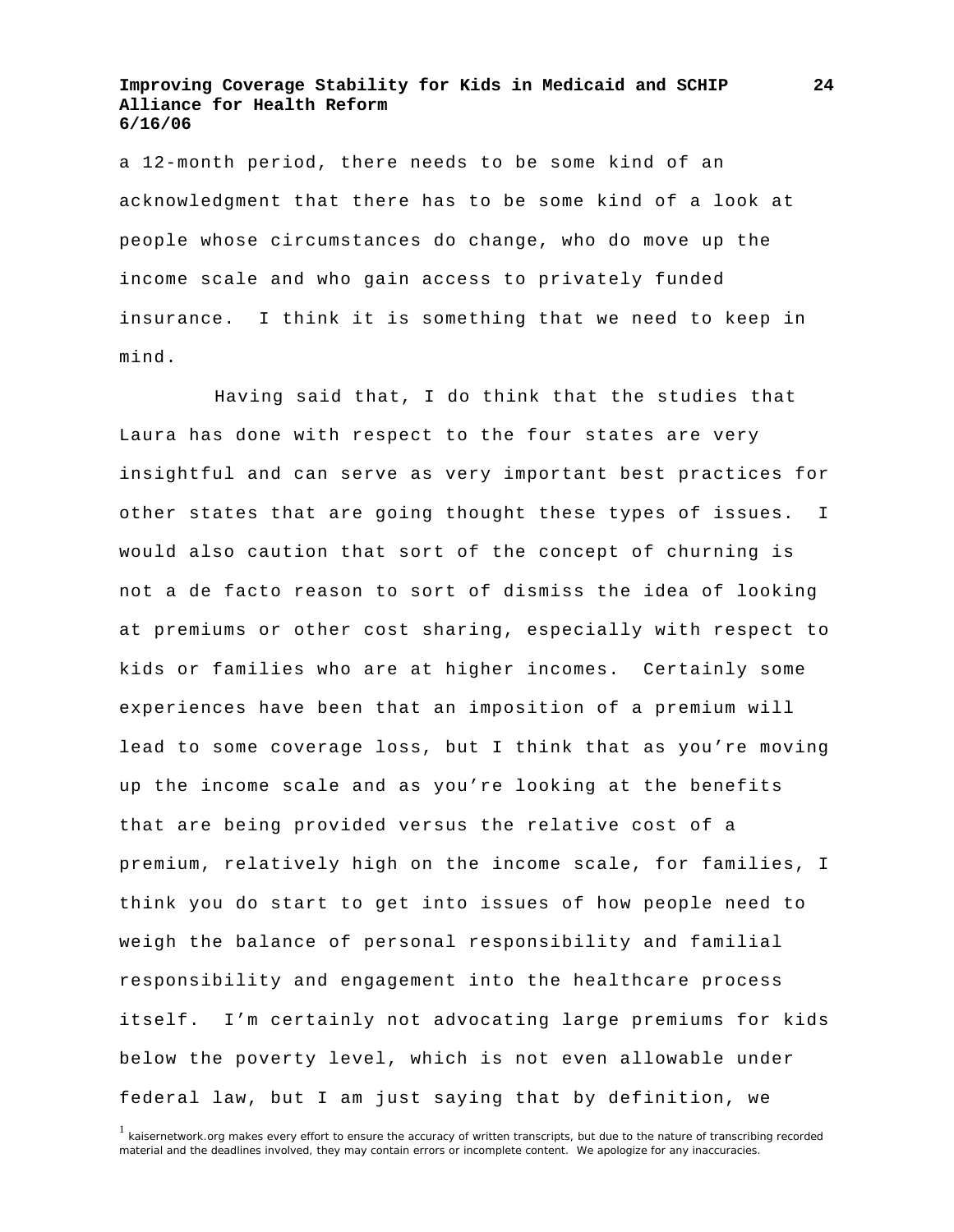a 12-month period, there needs to be some kind of an acknowledgment that there has to be some kind of a look at people whose circumstances do change, who do move up the income scale and who gain access to privately funded insurance. I think it is something that we need to keep in mind.

 Having said that, I do think that the studies that Laura has done with respect to the four states are very insightful and can serve as very important best practices for other states that are going thought these types of issues. I would also caution that sort of the concept of churning is not a de facto reason to sort of dismiss the idea of looking at premiums or other cost sharing, especially with respect to kids or families who are at higher incomes. Certainly some experiences have been that an imposition of a premium will lead to some coverage loss, but I think that as you're moving up the income scale and as you're looking at the benefits that are being provided versus the relative cost of a premium, relatively high on the income scale, for families, I think you do start to get into issues of how people need to weigh the balance of personal responsibility and familial responsibility and engagement into the healthcare process itself. I'm certainly not advocating large premiums for kids below the poverty level, which is not even allowable under federal law, but I am just saying that by definition, we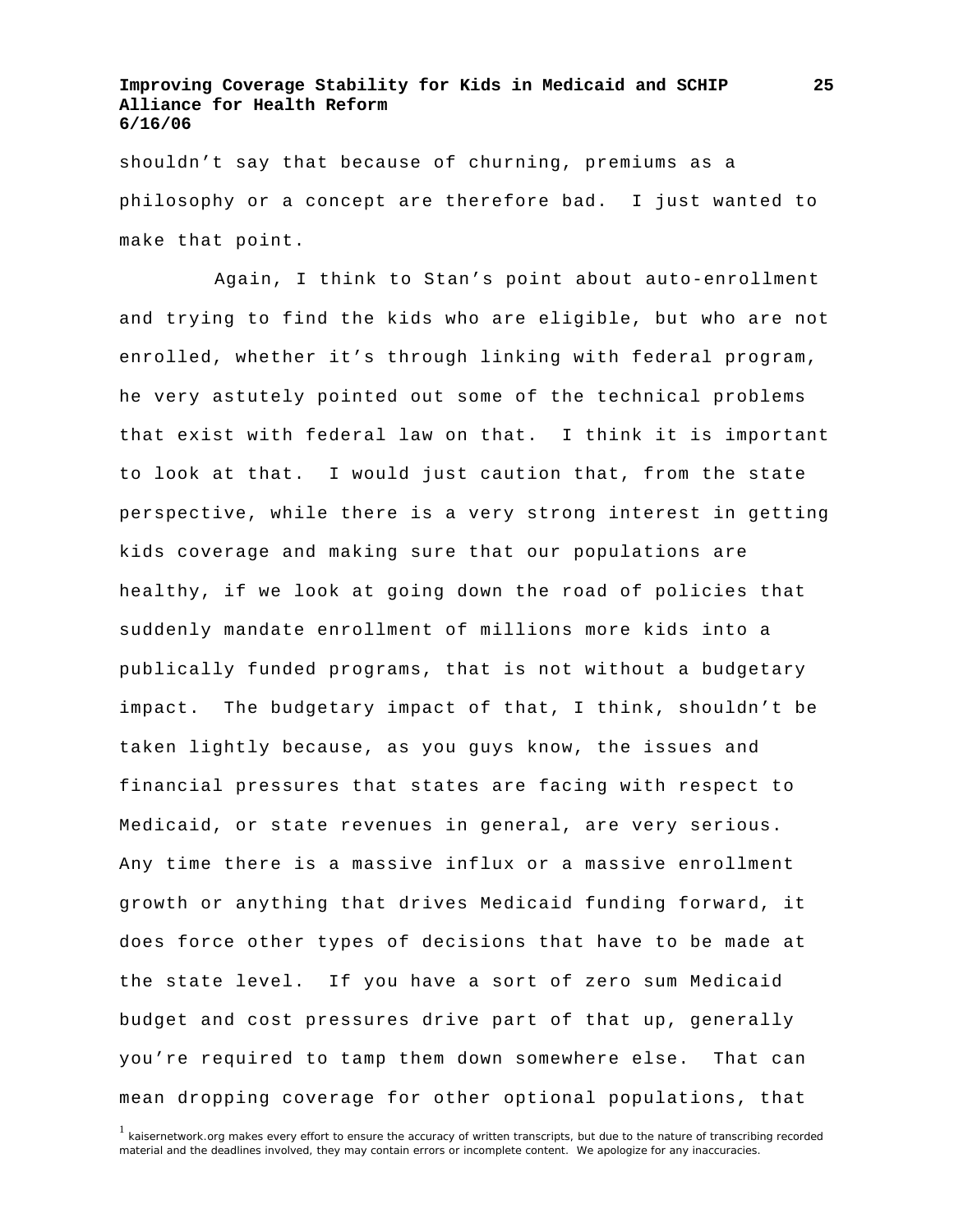shouldn't say that because of churning, premiums as a philosophy or a concept are therefore bad. I just wanted to make that point.

 Again, I think to Stan's point about auto-enrollment and trying to find the kids who are eligible, but who are not enrolled, whether it's through linking with federal program, he very astutely pointed out some of the technical problems that exist with federal law on that. I think it is important to look at that. I would just caution that, from the state perspective, while there is a very strong interest in getting kids coverage and making sure that our populations are healthy, if we look at going down the road of policies that suddenly mandate enrollment of millions more kids into a publically funded programs, that is not without a budgetary impact. The budgetary impact of that, I think, shouldn't be taken lightly because, as you guys know, the issues and financial pressures that states are facing with respect to Medicaid, or state revenues in general, are very serious. Any time there is a massive influx or a massive enrollment growth or anything that drives Medicaid funding forward, it does force other types of decisions that have to be made at the state level. If you have a sort of zero sum Medicaid budget and cost pressures drive part of that up, generally you're required to tamp them down somewhere else. That can mean dropping coverage for other optional populations, that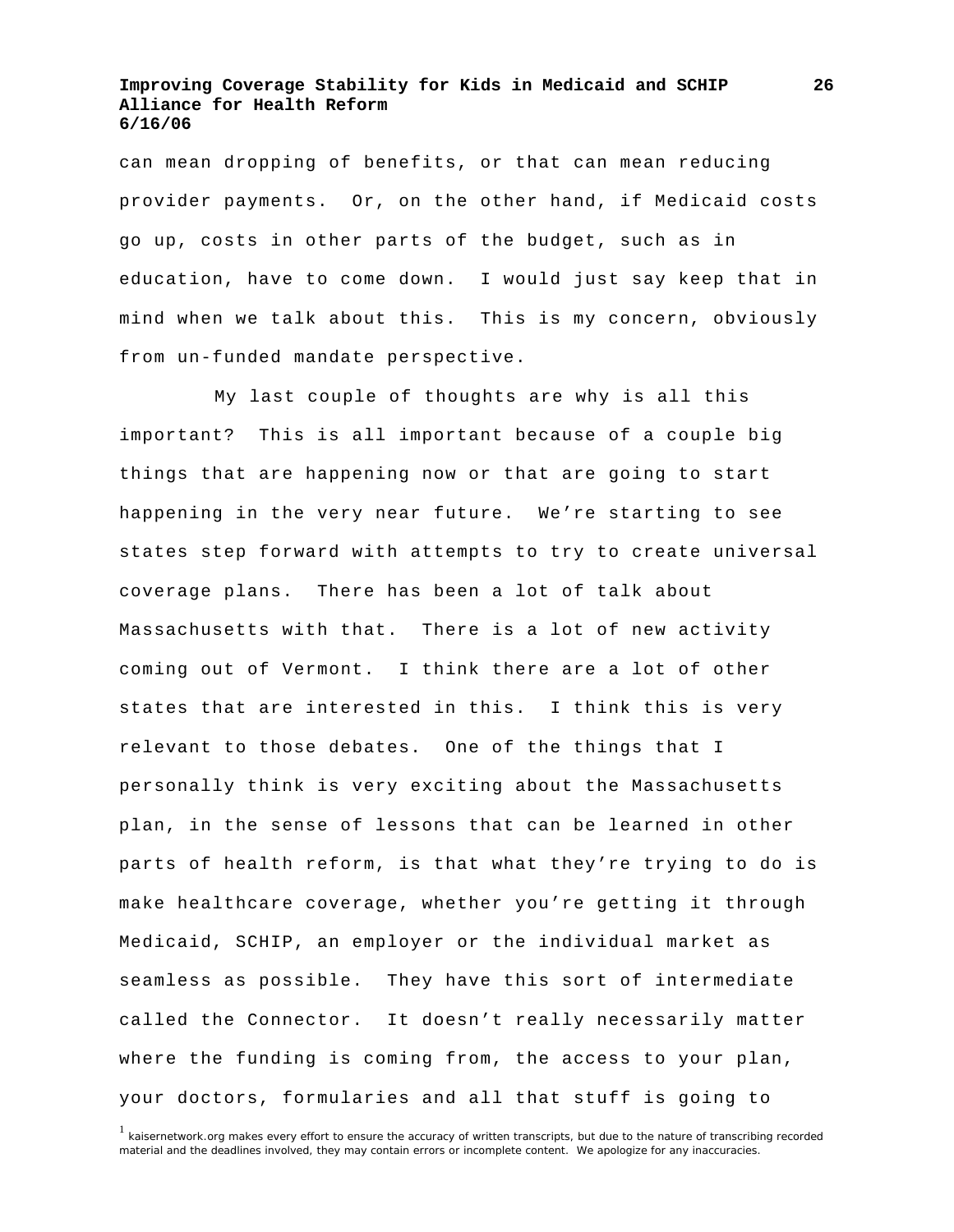can mean dropping of benefits, or that can mean reducing provider payments. Or, on the other hand, if Medicaid costs go up, costs in other parts of the budget, such as in education, have to come down. I would just say keep that in mind when we talk about this. This is my concern, obviously from un-funded mandate perspective.

 My last couple of thoughts are why is all this important? This is all important because of a couple big things that are happening now or that are going to start happening in the very near future. We're starting to see states step forward with attempts to try to create universal coverage plans. There has been a lot of talk about Massachusetts with that. There is a lot of new activity coming out of Vermont. I think there are a lot of other states that are interested in this. I think this is very relevant to those debates. One of the things that I personally think is very exciting about the Massachusetts plan, in the sense of lessons that can be learned in other parts of health reform, is that what they're trying to do is make healthcare coverage, whether you're getting it through Medicaid, SCHIP, an employer or the individual market as seamless as possible. They have this sort of intermediate called the Connector. It doesn't really necessarily matter where the funding is coming from, the access to your plan, your doctors, formularies and all that stuff is going to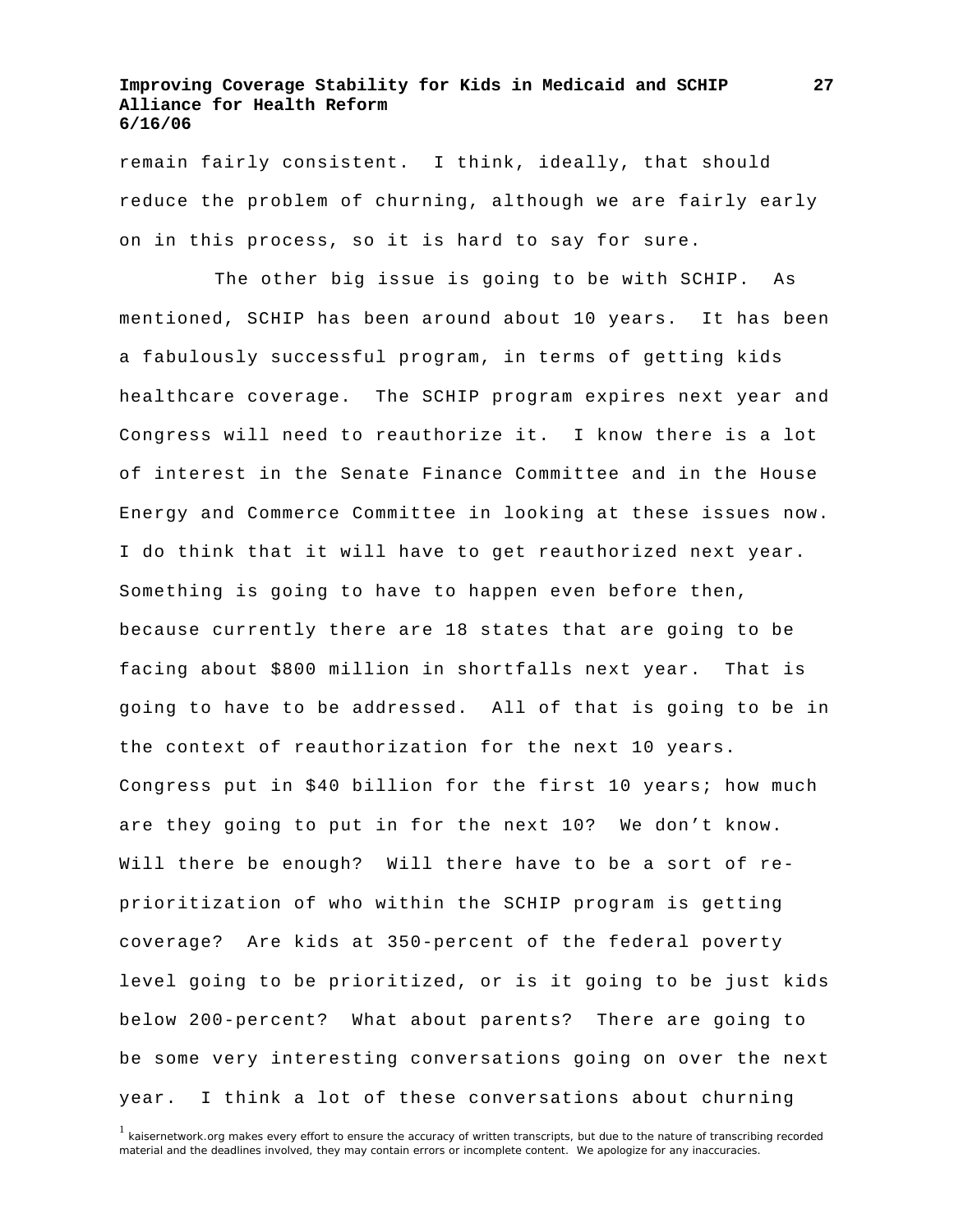remain fairly consistent. I think, ideally, that should reduce the problem of churning, although we are fairly early on in this process, so it is hard to say for sure.

 The other big issue is going to be with SCHIP. As mentioned, SCHIP has been around about 10 years. It has been a fabulously successful program, in terms of getting kids healthcare coverage. The SCHIP program expires next year and Congress will need to reauthorize it. I know there is a lot of interest in the Senate Finance Committee and in the House Energy and Commerce Committee in looking at these issues now. I do think that it will have to get reauthorized next year. Something is going to have to happen even before then, because currently there are 18 states that are going to be facing about \$800 million in shortfalls next year. That is going to have to be addressed. All of that is going to be in the context of reauthorization for the next 10 years. Congress put in \$40 billion for the first 10 years; how much are they going to put in for the next 10? We don't know. Will there be enough? Will there have to be a sort of reprioritization of who within the SCHIP program is getting coverage? Are kids at 350-percent of the federal poverty level going to be prioritized, or is it going to be just kids below 200-percent? What about parents? There are going to be some very interesting conversations going on over the next year. I think a lot of these conversations about churning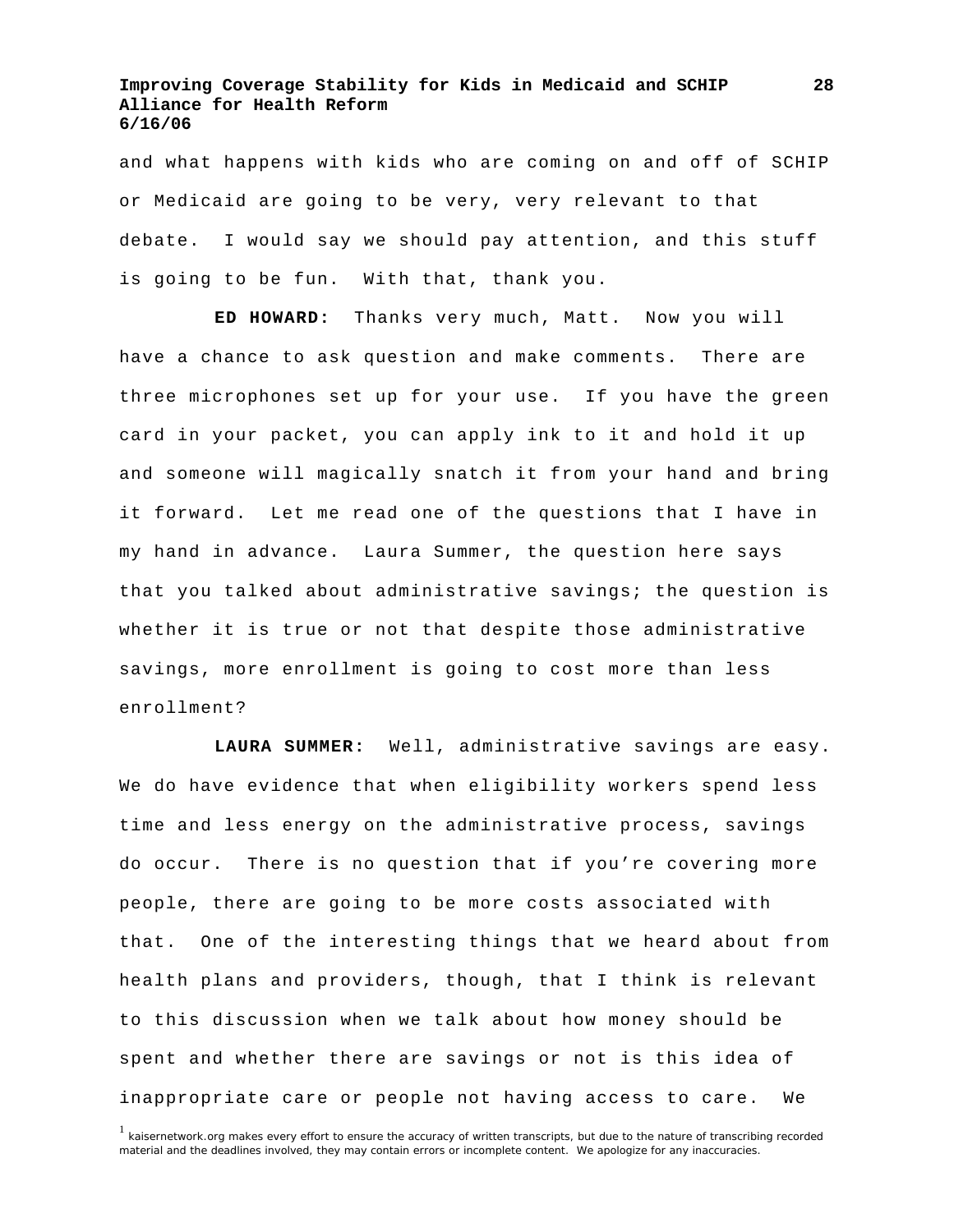and what happens with kids who are coming on and off of SCHIP or Medicaid are going to be very, very relevant to that debate. I would say we should pay attention, and this stuff is going to be fun. With that, thank you.

**ED HOWARD:** Thanks very much, Matt. Now you will have a chance to ask question and make comments. There are three microphones set up for your use. If you have the green card in your packet, you can apply ink to it and hold it up and someone will magically snatch it from your hand and bring it forward. Let me read one of the questions that I have in my hand in advance. Laura Summer, the question here says that you talked about administrative savings; the question is whether it is true or not that despite those administrative savings, more enrollment is going to cost more than less enrollment?

**LAURA SUMMER:** Well, administrative savings are easy. We do have evidence that when eligibility workers spend less time and less energy on the administrative process, savings do occur. There is no question that if you're covering more people, there are going to be more costs associated with that. One of the interesting things that we heard about from health plans and providers, though, that I think is relevant to this discussion when we talk about how money should be spent and whether there are savings or not is this idea of inappropriate care or people not having access to care. We

<sup>&</sup>lt;sup>1</sup> kaisernetwork.org makes every effort to ensure the accuracy of written transcripts, but due to the nature of transcribing recorded material and the deadlines involved, they may contain errors or incomplete content. We apologize for any inaccuracies.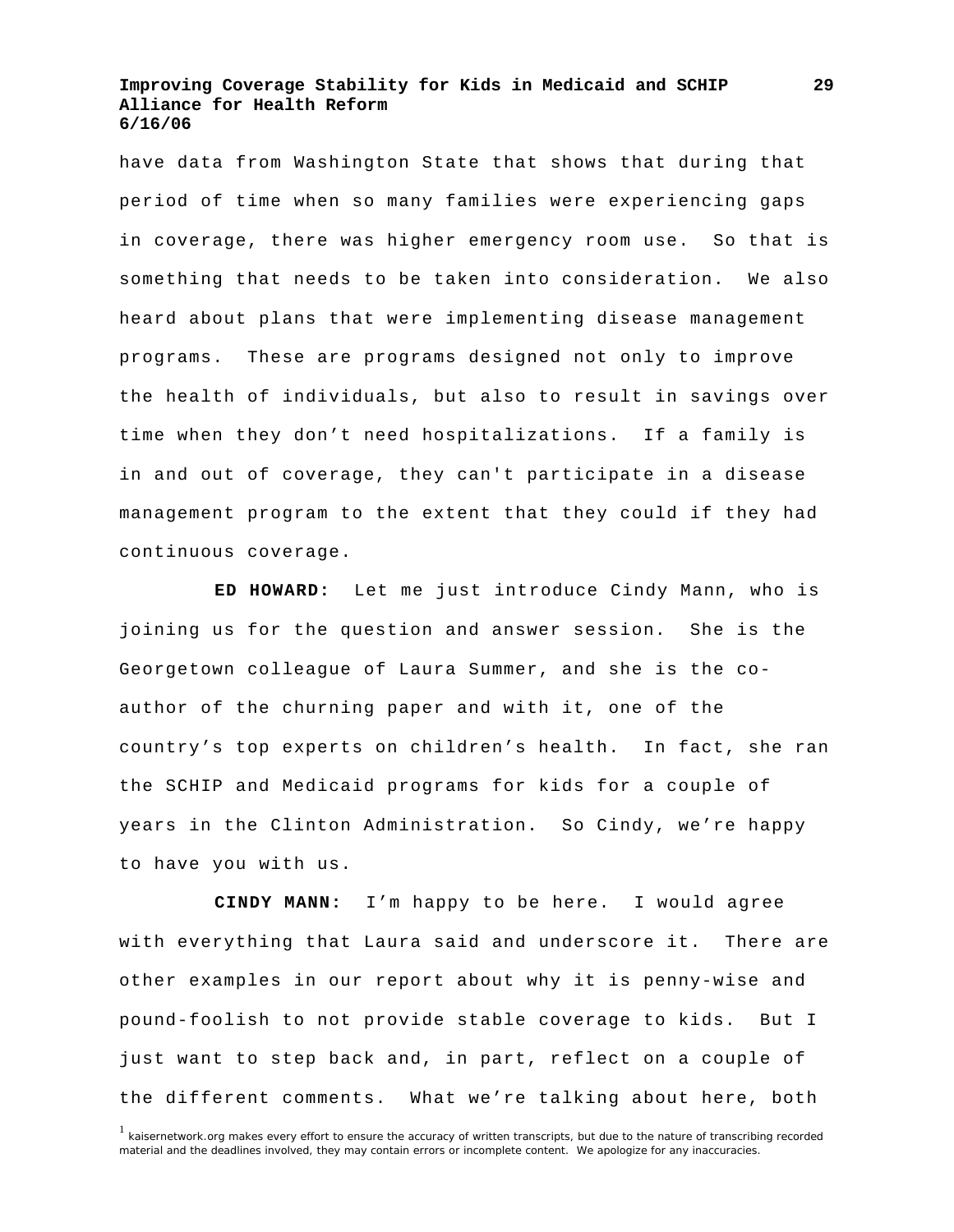have data from Washington State that shows that during that period of time when so many families were experiencing gaps in coverage, there was higher emergency room use. So that is something that needs to be taken into consideration. We also heard about plans that were implementing disease management programs. These are programs designed not only to improve the health of individuals, but also to result in savings over time when they don't need hospitalizations. If a family is in and out of coverage, they can't participate in a disease management program to the extent that they could if they had continuous coverage.

**ED HOWARD:** Let me just introduce Cindy Mann, who is joining us for the question and answer session. She is the Georgetown colleague of Laura Summer, and she is the coauthor of the churning paper and with it, one of the country's top experts on children's health. In fact, she ran the SCHIP and Medicaid programs for kids for a couple of years in the Clinton Administration. So Cindy, we're happy to have you with us.

**CINDY MANN:** I'm happy to be here. I would agree with everything that Laura said and underscore it. There are other examples in our report about why it is penny-wise and pound-foolish to not provide stable coverage to kids. But I just want to step back and, in part, reflect on a couple of the different comments. What we're talking about here, both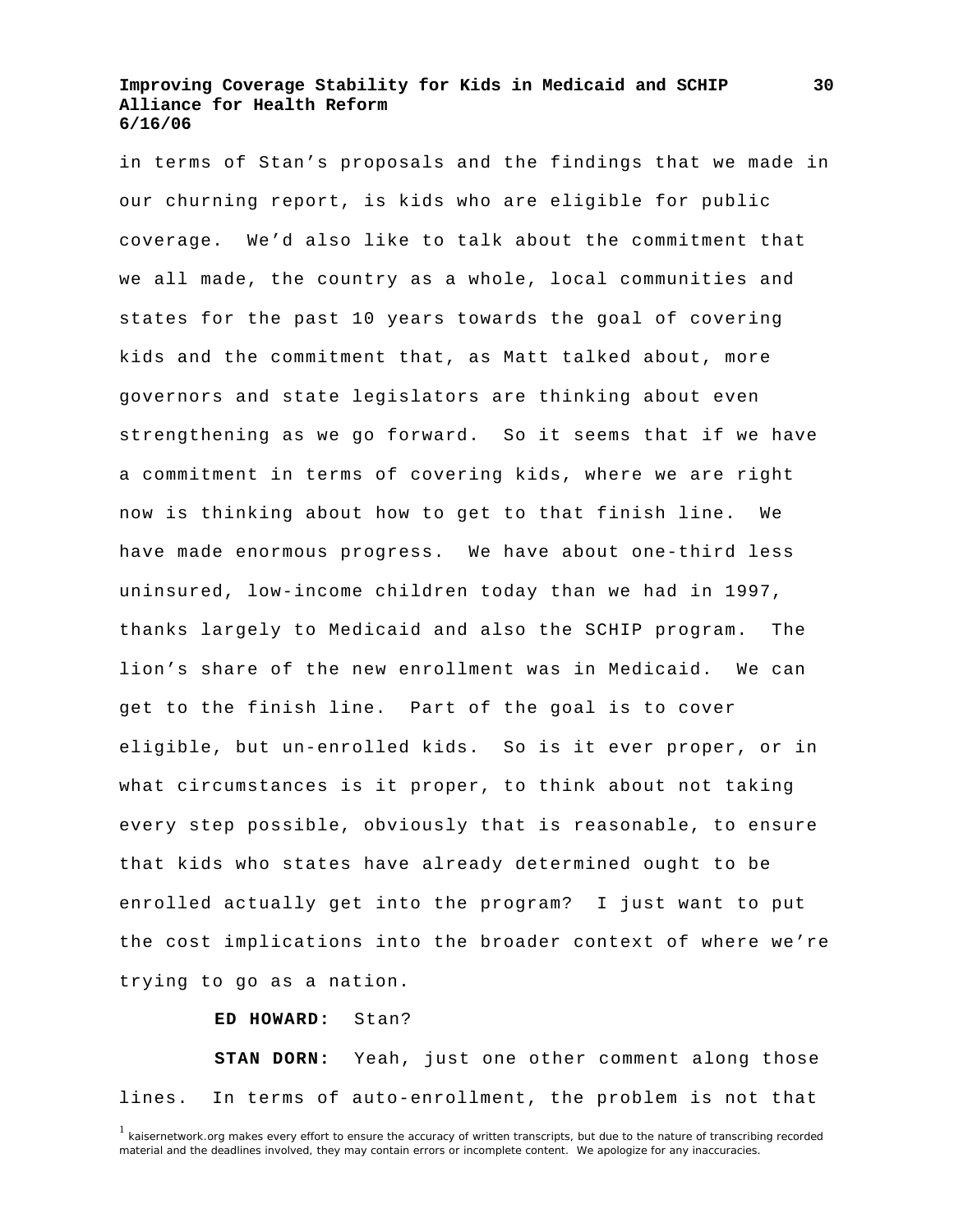in terms of Stan's proposals and the findings that we made in our churning report, is kids who are eligible for public coverage. We'd also like to talk about the commitment that we all made, the country as a whole, local communities and states for the past 10 years towards the goal of covering kids and the commitment that, as Matt talked about, more governors and state legislators are thinking about even strengthening as we go forward. So it seems that if we have a commitment in terms of covering kids, where we are right now is thinking about how to get to that finish line. We have made enormous progress. We have about one-third less uninsured, low-income children today than we had in 1997, thanks largely to Medicaid and also the SCHIP program. The lion's share of the new enrollment was in Medicaid. We can get to the finish line. Part of the goal is to cover eligible, but un-enrolled kids. So is it ever proper, or in what circumstances is it proper, to think about not taking every step possible, obviously that is reasonable, to ensure that kids who states have already determined ought to be enrolled actually get into the program? I just want to put the cost implications into the broader context of where we're trying to go as a nation.

**ED HOWARD:** Stan?

**STAN DORN:** Yeah, just one other comment along those lines. In terms of auto-enrollment, the problem is not that

<sup>&</sup>lt;sup>1</sup> kaisernetwork.org makes every effort to ensure the accuracy of written transcripts, but due to the nature of transcribing recorded material and the deadlines involved, they may contain errors or incomplete content. We apologize for any inaccuracies.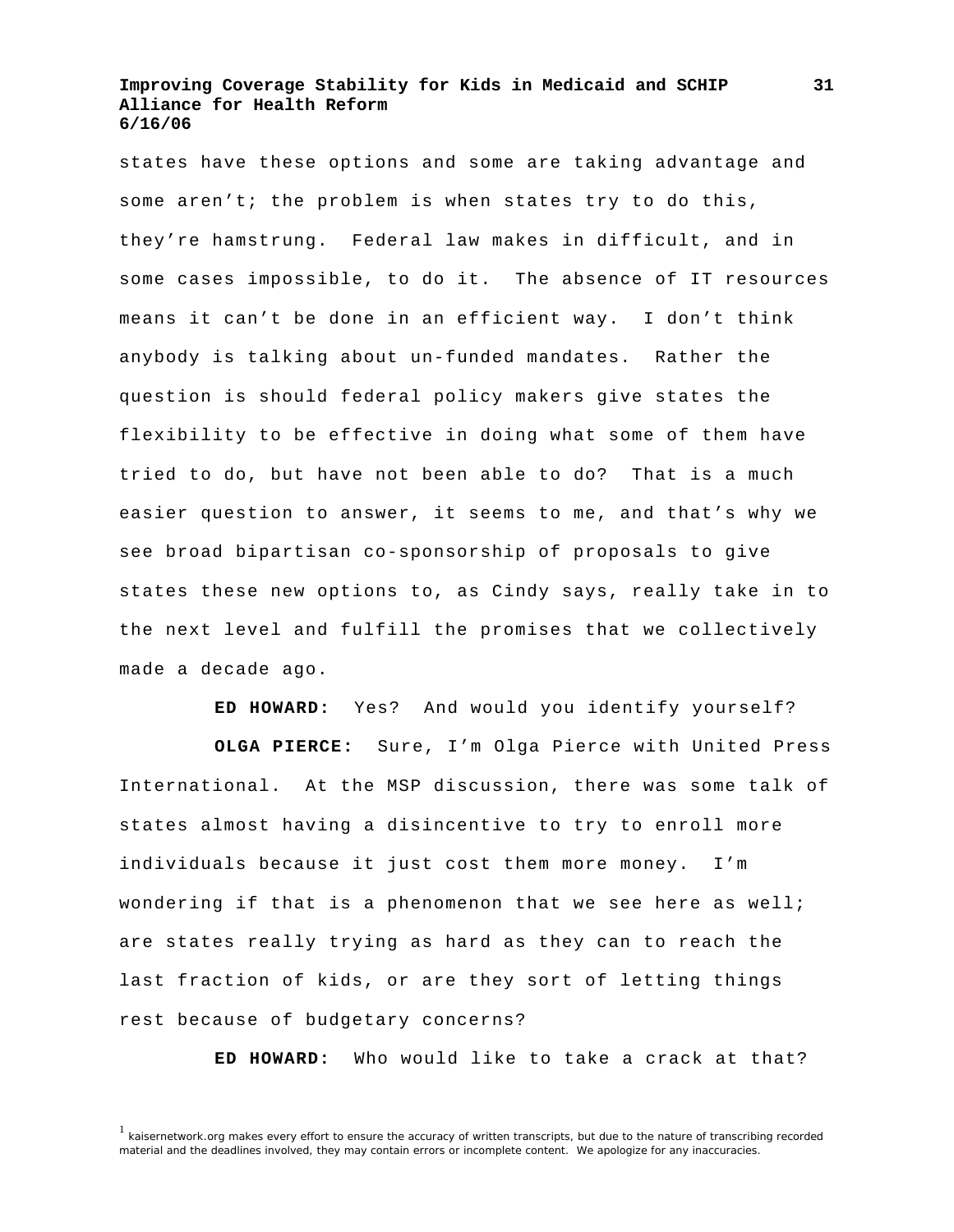states have these options and some are taking advantage and some aren't; the problem is when states try to do this, they're hamstrung. Federal law makes in difficult, and in some cases impossible, to do it. The absence of IT resources means it can't be done in an efficient way. I don't think anybody is talking about un-funded mandates. Rather the question is should federal policy makers give states the flexibility to be effective in doing what some of them have tried to do, but have not been able to do? That is a much easier question to answer, it seems to me, and that's why we see broad bipartisan co-sponsorship of proposals to give states these new options to, as Cindy says, really take in to the next level and fulfill the promises that we collectively made a decade ago.

**ED HOWARD:** Yes? And would you identify yourself?

**OLGA PIERCE:** Sure, I'm Olga Pierce with United Press International. At the MSP discussion, there was some talk of states almost having a disincentive to try to enroll more individuals because it just cost them more money. I'm wondering if that is a phenomenon that we see here as well; are states really trying as hard as they can to reach the last fraction of kids, or are they sort of letting things rest because of budgetary concerns?

**ED HOWARD:** Who would like to take a crack at that?

**31**

<sup>&</sup>lt;sup>1</sup> kaisernetwork.org makes every effort to ensure the accuracy of written transcripts, but due to the nature of transcribing recorded material and the deadlines involved, they may contain errors or incomplete content. We apologize for any inaccuracies.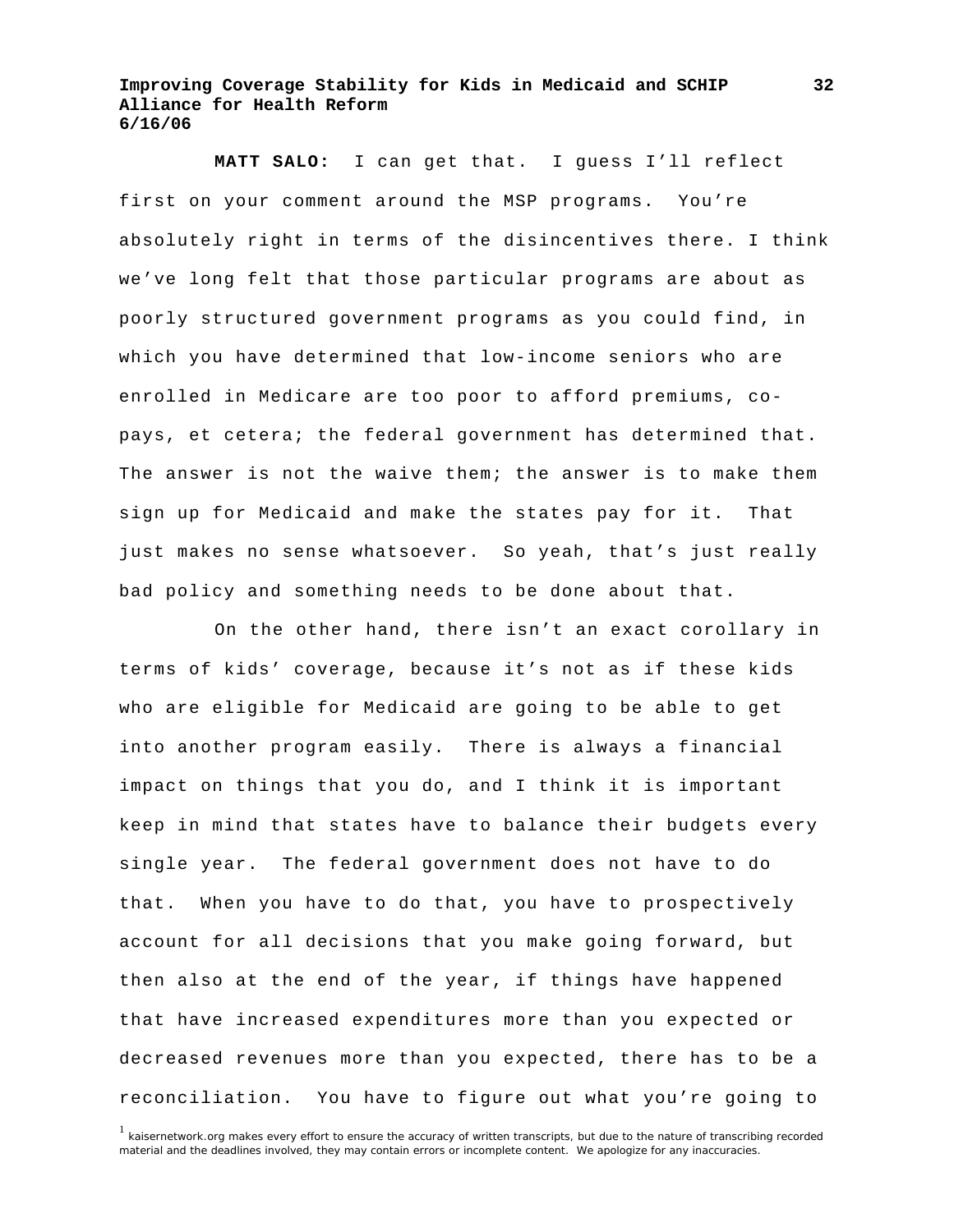**MATT SALO:** I can get that. I guess I'll reflect first on your comment around the MSP programs. You're absolutely right in terms of the disincentives there. I think we've long felt that those particular programs are about as poorly structured government programs as you could find, in which you have determined that low-income seniors who are enrolled in Medicare are too poor to afford premiums, copays, et cetera; the federal government has determined that. The answer is not the waive them; the answer is to make them sign up for Medicaid and make the states pay for it. That just makes no sense whatsoever. So yeah, that's just really bad policy and something needs to be done about that.

 On the other hand, there isn't an exact corollary in terms of kids' coverage, because it's not as if these kids who are eligible for Medicaid are going to be able to get into another program easily. There is always a financial impact on things that you do, and I think it is important keep in mind that states have to balance their budgets every single year. The federal government does not have to do that. When you have to do that, you have to prospectively account for all decisions that you make going forward, but then also at the end of the year, if things have happened that have increased expenditures more than you expected or decreased revenues more than you expected, there has to be a reconciliation. You have to figure out what you're going to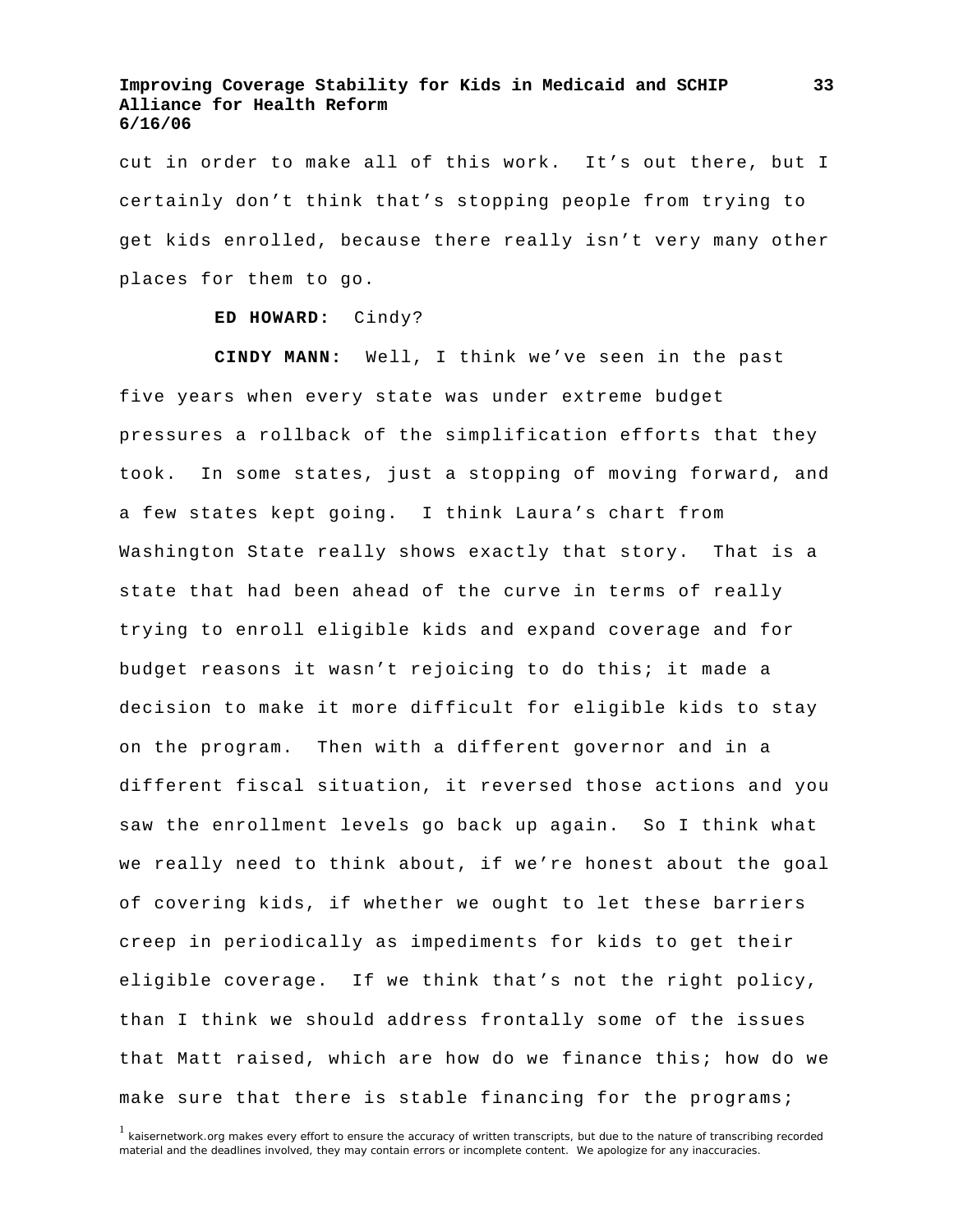cut in order to make all of this work. It's out there, but I certainly don't think that's stopping people from trying to get kids enrolled, because there really isn't very many other places for them to go.

#### **ED HOWARD:** Cindy?

**CINDY MANN:** Well, I think we've seen in the past five years when every state was under extreme budget pressures a rollback of the simplification efforts that they took. In some states, just a stopping of moving forward, and a few states kept going. I think Laura's chart from Washington State really shows exactly that story. That is a state that had been ahead of the curve in terms of really trying to enroll eligible kids and expand coverage and for budget reasons it wasn't rejoicing to do this; it made a decision to make it more difficult for eligible kids to stay on the program. Then with a different governor and in a different fiscal situation, it reversed those actions and you saw the enrollment levels go back up again. So I think what we really need to think about, if we're honest about the goal of covering kids, if whether we ought to let these barriers creep in periodically as impediments for kids to get their eligible coverage. If we think that's not the right policy, than I think we should address frontally some of the issues that Matt raised, which are how do we finance this; how do we make sure that there is stable financing for the programs;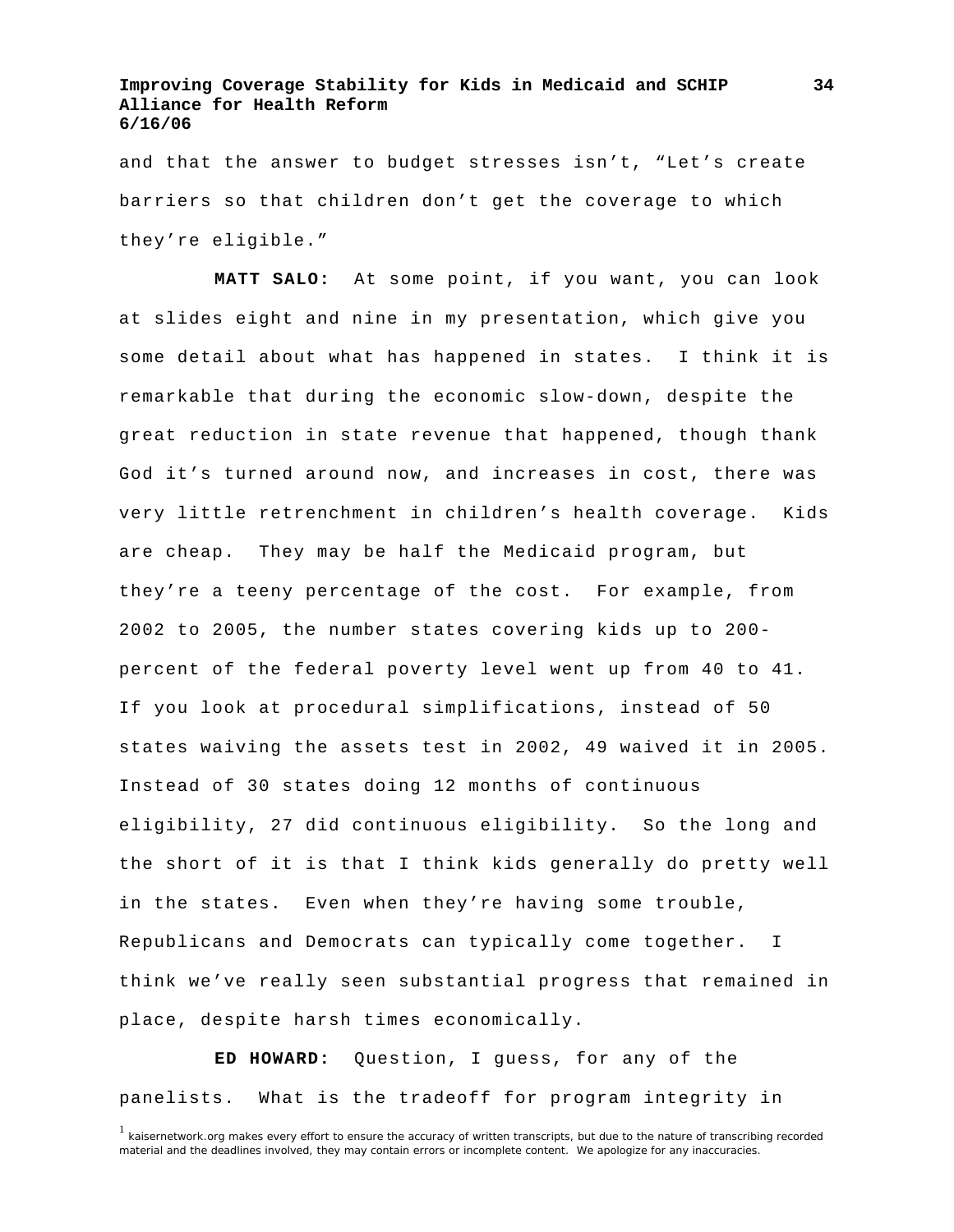and that the answer to budget stresses isn't, "Let's create barriers so that children don't get the coverage to which they're eligible."

**MATT SALO:** At some point, if you want, you can look at slides eight and nine in my presentation, which give you some detail about what has happened in states. I think it is remarkable that during the economic slow-down, despite the great reduction in state revenue that happened, though thank God it's turned around now, and increases in cost, there was very little retrenchment in children's health coverage. Kids are cheap. They may be half the Medicaid program, but they're a teeny percentage of the cost. For example, from 2002 to 2005, the number states covering kids up to 200 percent of the federal poverty level went up from 40 to 41. If you look at procedural simplifications, instead of 50 states waiving the assets test in 2002, 49 waived it in 2005. Instead of 30 states doing 12 months of continuous eligibility, 27 did continuous eligibility. So the long and the short of it is that I think kids generally do pretty well in the states. Even when they're having some trouble, Republicans and Democrats can typically come together. I think we've really seen substantial progress that remained in place, despite harsh times economically.

**ED HOWARD:** Question, I guess, for any of the panelists. What is the tradeoff for program integrity in

<sup>&</sup>lt;sup>1</sup> kaisernetwork.org makes every effort to ensure the accuracy of written transcripts, but due to the nature of transcribing recorded material and the deadlines involved, they may contain errors or incomplete content. We apologize for any inaccuracies.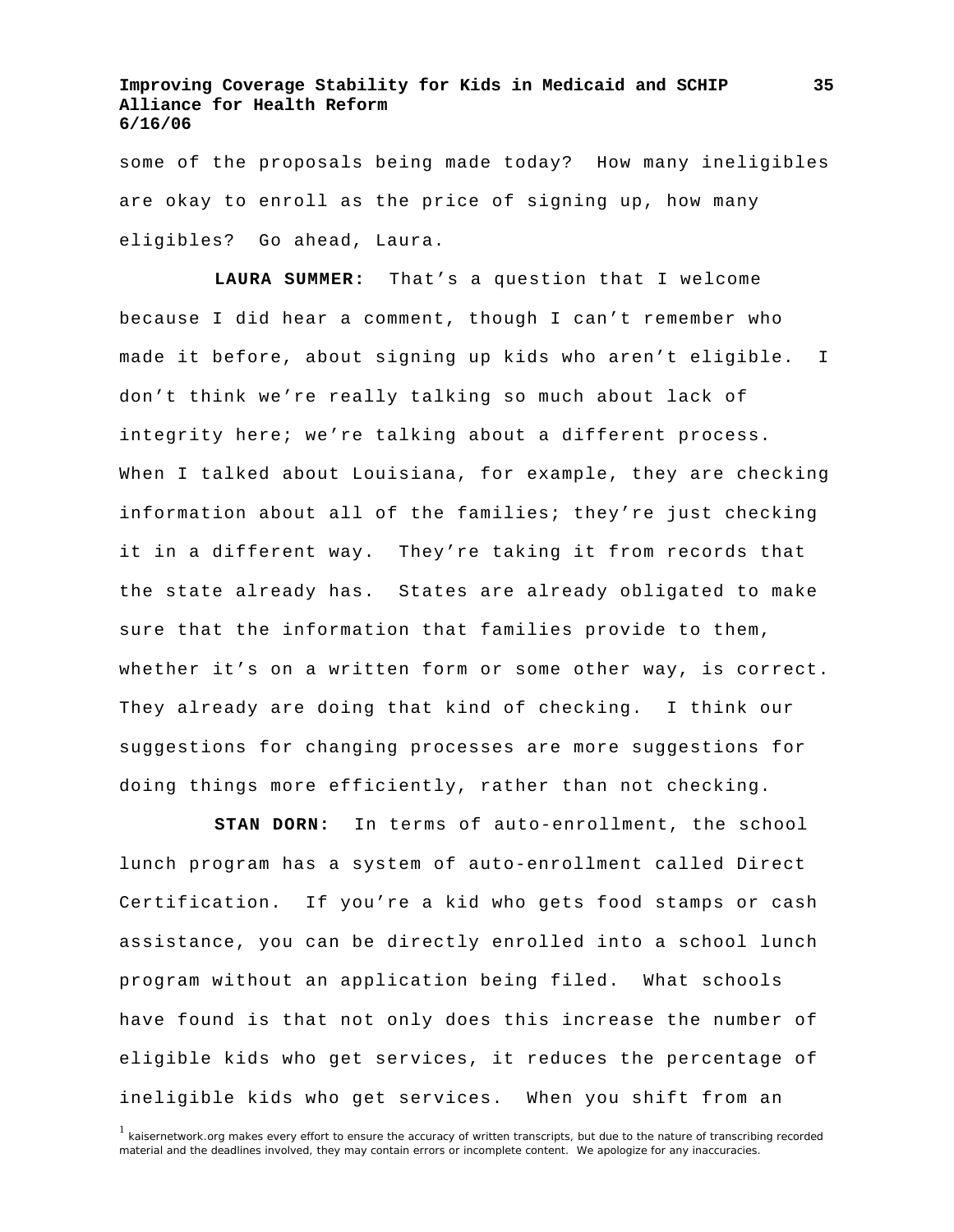some of the proposals being made today? How many ineligibles are okay to enroll as the price of signing up, how many eligibles? Go ahead, Laura.

**LAURA SUMMER:** That's a question that I welcome because I did hear a comment, though I can't remember who made it before, about signing up kids who aren't eligible. I don't think we're really talking so much about lack of integrity here; we're talking about a different process. When I talked about Louisiana, for example, they are checking information about all of the families; they're just checking it in a different way. They're taking it from records that the state already has. States are already obligated to make sure that the information that families provide to them, whether it's on a written form or some other way, is correct. They already are doing that kind of checking. I think our suggestions for changing processes are more suggestions for doing things more efficiently, rather than not checking.

**STAN DORN:** In terms of auto-enrollment, the school lunch program has a system of auto-enrollment called Direct Certification. If you're a kid who gets food stamps or cash assistance, you can be directly enrolled into a school lunch program without an application being filed. What schools have found is that not only does this increase the number of eligible kids who get services, it reduces the percentage of ineligible kids who get services. When you shift from an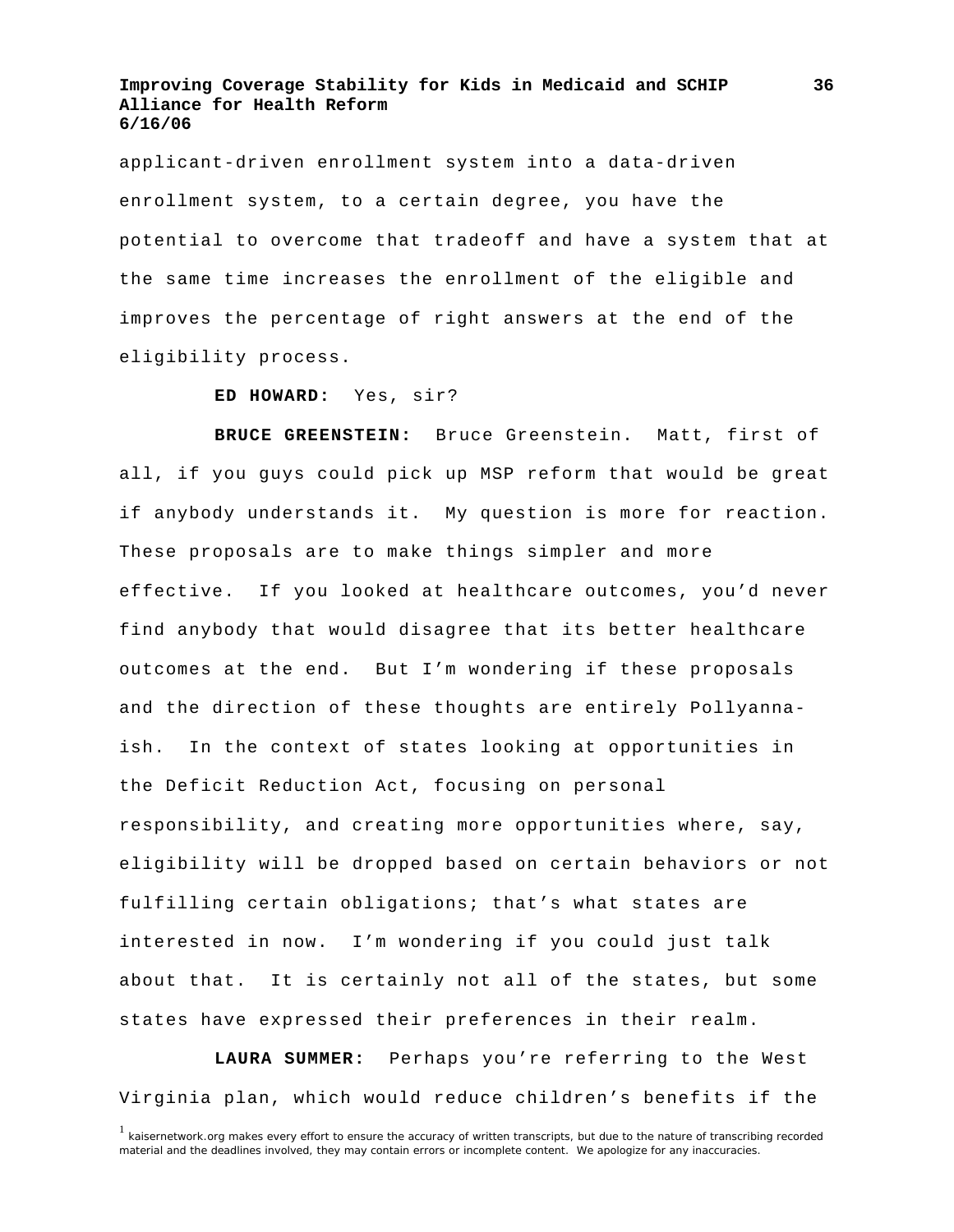applicant-driven enrollment system into a data-driven enrollment system, to a certain degree, you have the potential to overcome that tradeoff and have a system that at the same time increases the enrollment of the eligible and improves the percentage of right answers at the end of the eligibility process.

#### **ED HOWARD:** Yes, sir?

**BRUCE GREENSTEIN:** Bruce Greenstein. Matt, first of all, if you guys could pick up MSP reform that would be great if anybody understands it. My question is more for reaction. These proposals are to make things simpler and more effective. If you looked at healthcare outcomes, you'd never find anybody that would disagree that its better healthcare outcomes at the end. But I'm wondering if these proposals and the direction of these thoughts are entirely Pollyannaish. In the context of states looking at opportunities in the Deficit Reduction Act, focusing on personal responsibility, and creating more opportunities where, say, eligibility will be dropped based on certain behaviors or not fulfilling certain obligations; that's what states are interested in now. I'm wondering if you could just talk about that. It is certainly not all of the states, but some states have expressed their preferences in their realm.

**LAURA SUMMER:** Perhaps you're referring to the West Virginia plan, which would reduce children's benefits if the

**36**

<sup>&</sup>lt;sup>1</sup> kaisernetwork.org makes every effort to ensure the accuracy of written transcripts, but due to the nature of transcribing recorded material and the deadlines involved, they may contain errors or incomplete content. We apologize for any inaccuracies.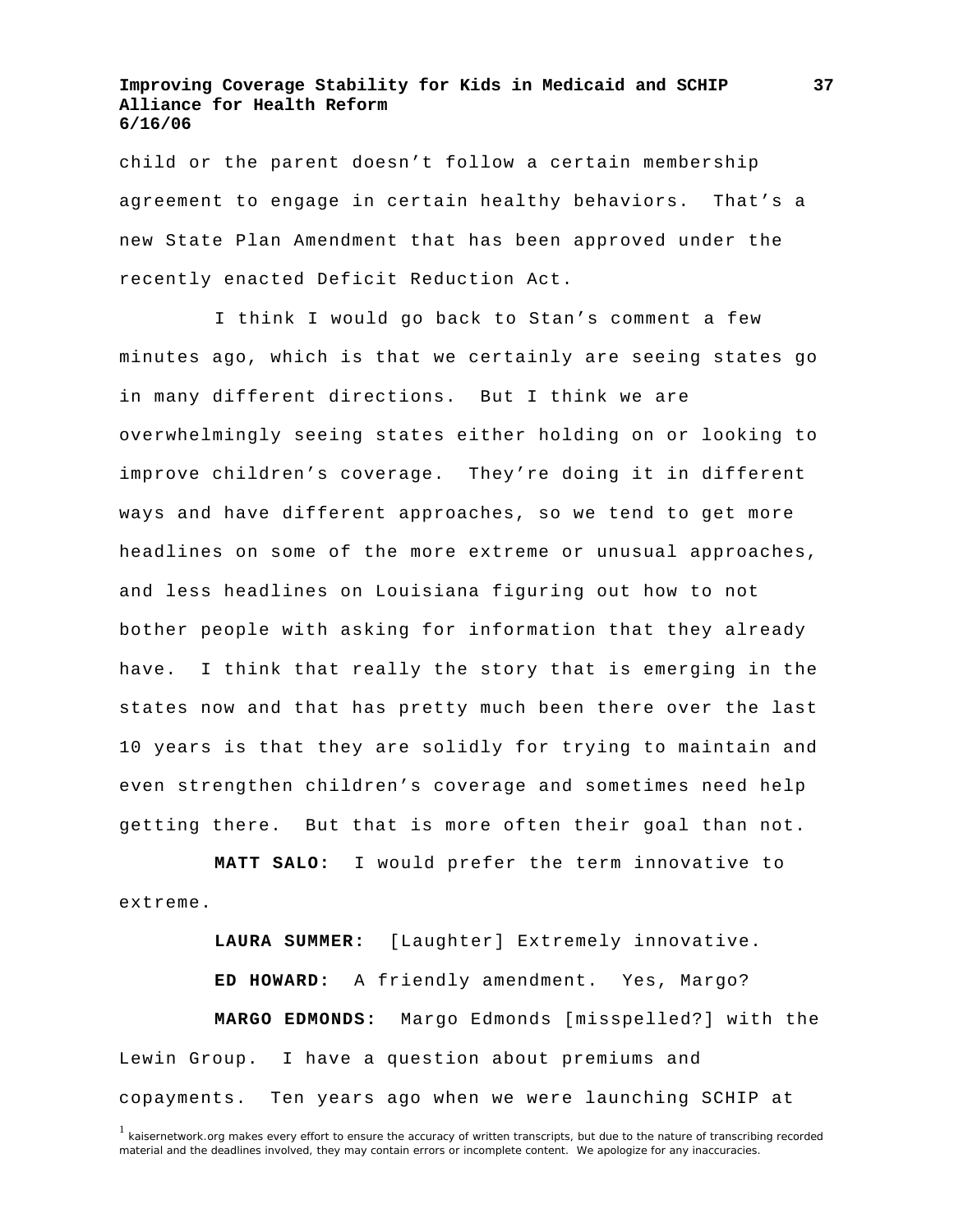child or the parent doesn't follow a certain membership agreement to engage in certain healthy behaviors. That's a new State Plan Amendment that has been approved under the recently enacted Deficit Reduction Act.

 I think I would go back to Stan's comment a few minutes ago, which is that we certainly are seeing states go in many different directions. But I think we are overwhelmingly seeing states either holding on or looking to improve children's coverage. They're doing it in different ways and have different approaches, so we tend to get more headlines on some of the more extreme or unusual approaches, and less headlines on Louisiana figuring out how to not bother people with asking for information that they already have. I think that really the story that is emerging in the states now and that has pretty much been there over the last 10 years is that they are solidly for trying to maintain and even strengthen children's coverage and sometimes need help getting there. But that is more often their goal than not.

**MATT SALO:** I would prefer the term innovative to extreme.

**LAURA SUMMER:** [Laughter] Extremely innovative. **ED HOWARD:** A friendly amendment. Yes, Margo? **MARGO EDMONDS:** Margo Edmonds [misspelled?] with the Lewin Group. I have a question about premiums and copayments. Ten years ago when we were launching SCHIP at

**37**

<sup>&</sup>lt;sup>1</sup> kaisernetwork.org makes every effort to ensure the accuracy of written transcripts, but due to the nature of transcribing recorded material and the deadlines involved, they may contain errors or incomplete content. We apologize for any inaccuracies.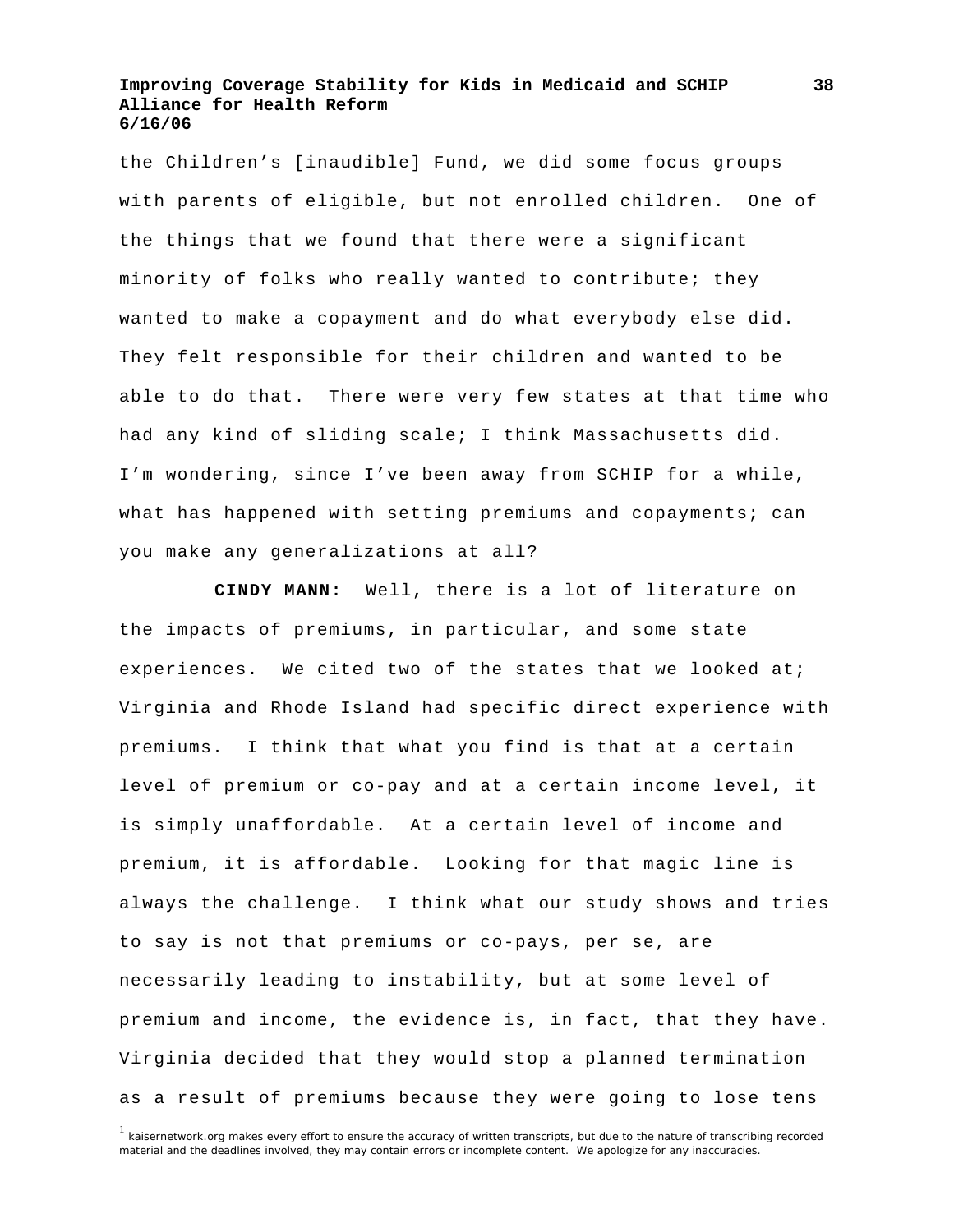the Children's [inaudible] Fund, we did some focus groups with parents of eligible, but not enrolled children. One of the things that we found that there were a significant minority of folks who really wanted to contribute; they wanted to make a copayment and do what everybody else did. They felt responsible for their children and wanted to be able to do that. There were very few states at that time who had any kind of sliding scale; I think Massachusetts did. I'm wondering, since I've been away from SCHIP for a while, what has happened with setting premiums and copayments; can you make any generalizations at all?

**CINDY MANN:** Well, there is a lot of literature on the impacts of premiums, in particular, and some state experiences. We cited two of the states that we looked at; Virginia and Rhode Island had specific direct experience with premiums. I think that what you find is that at a certain level of premium or co-pay and at a certain income level, it is simply unaffordable. At a certain level of income and premium, it is affordable. Looking for that magic line is always the challenge. I think what our study shows and tries to say is not that premiums or co-pays, per se, are necessarily leading to instability, but at some level of premium and income, the evidence is, in fact, that they have. Virginia decided that they would stop a planned termination as a result of premiums because they were going to lose tens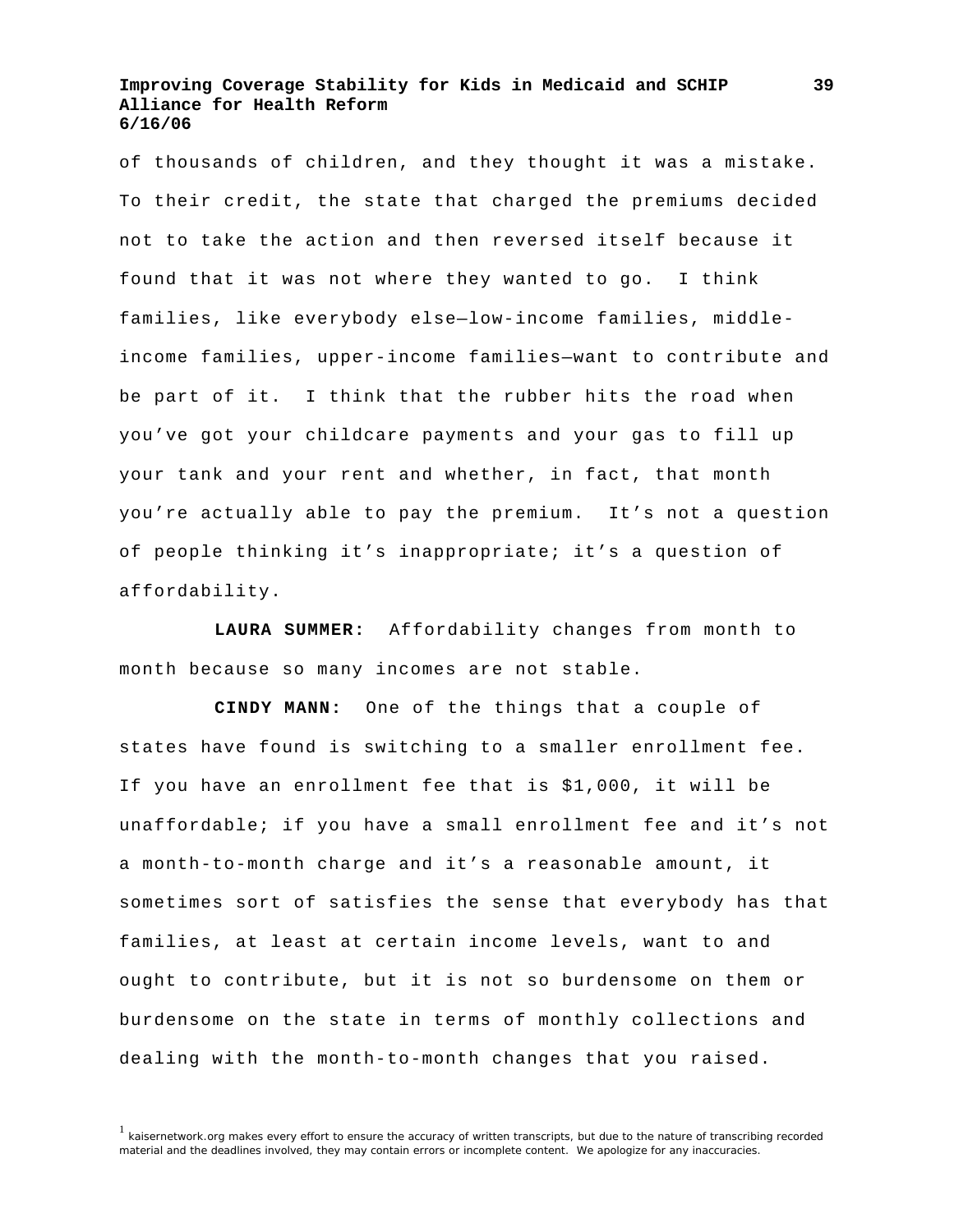of thousands of children, and they thought it was a mistake. To their credit, the state that charged the premiums decided not to take the action and then reversed itself because it found that it was not where they wanted to go. I think families, like everybody else—low-income families, middleincome families, upper-income families—want to contribute and be part of it. I think that the rubber hits the road when you've got your childcare payments and your gas to fill up your tank and your rent and whether, in fact, that month you're actually able to pay the premium. It's not a question of people thinking it's inappropriate; it's a question of affordability.

**LAURA SUMMER:** Affordability changes from month to month because so many incomes are not stable.

**CINDY MANN:** One of the things that a couple of states have found is switching to a smaller enrollment fee. If you have an enrollment fee that is \$1,000, it will be unaffordable; if you have a small enrollment fee and it's not a month-to-month charge and it's a reasonable amount, it sometimes sort of satisfies the sense that everybody has that families, at least at certain income levels, want to and ought to contribute, but it is not so burdensome on them or burdensome on the state in terms of monthly collections and dealing with the month-to-month changes that you raised.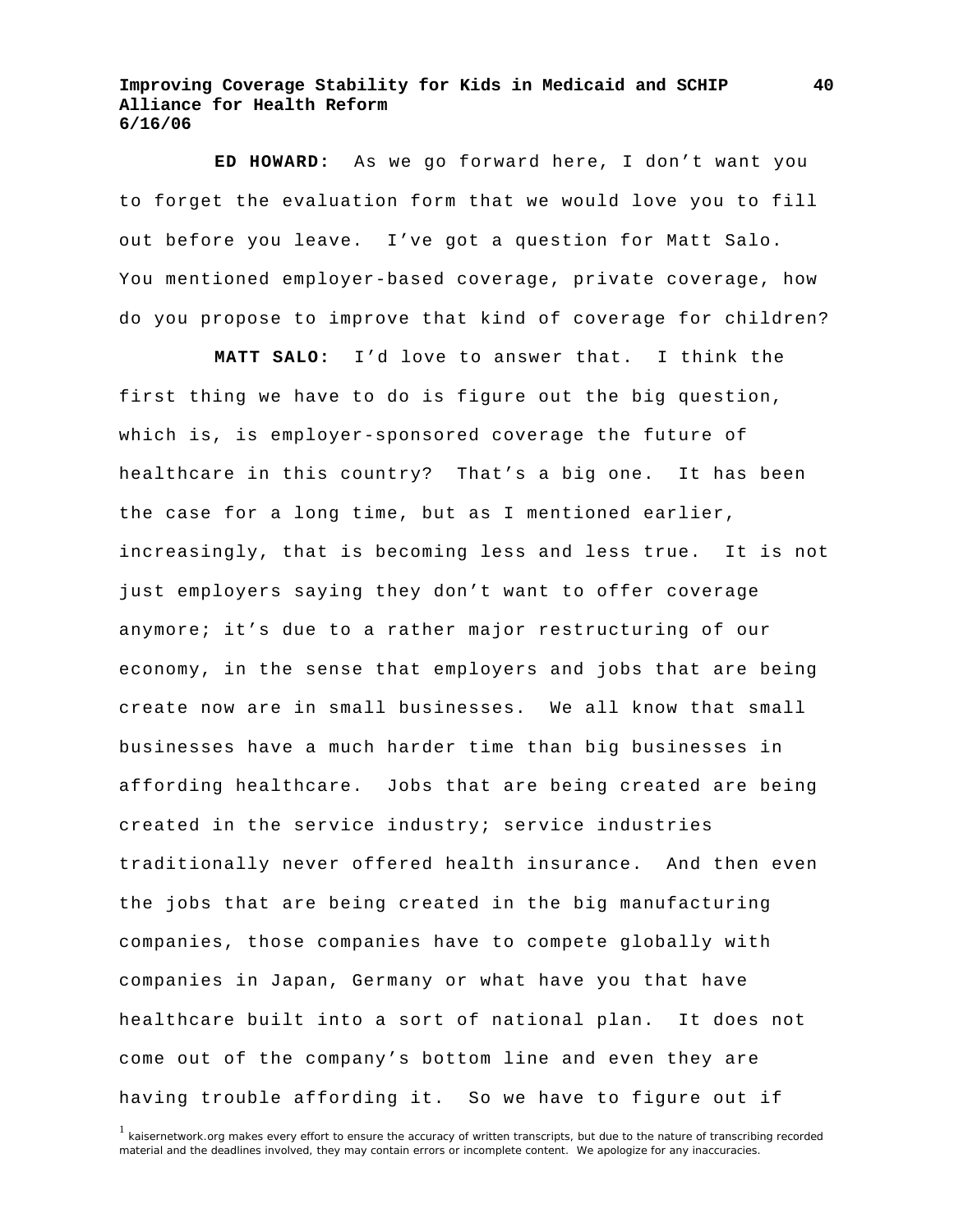**ED HOWARD:** As we go forward here, I don't want you to forget the evaluation form that we would love you to fill out before you leave. I've got a question for Matt Salo. You mentioned employer-based coverage, private coverage, how do you propose to improve that kind of coverage for children?

**MATT SALO:** I'd love to answer that. I think the first thing we have to do is figure out the big question, which is, is employer-sponsored coverage the future of healthcare in this country? That's a big one. It has been the case for a long time, but as I mentioned earlier, increasingly, that is becoming less and less true. It is not just employers saying they don't want to offer coverage anymore; it's due to a rather major restructuring of our economy, in the sense that employers and jobs that are being create now are in small businesses. We all know that small businesses have a much harder time than big businesses in affording healthcare. Jobs that are being created are being created in the service industry; service industries traditionally never offered health insurance. And then even the jobs that are being created in the big manufacturing companies, those companies have to compete globally with companies in Japan, Germany or what have you that have healthcare built into a sort of national plan. It does not come out of the company's bottom line and even they are having trouble affording it. So we have to figure out if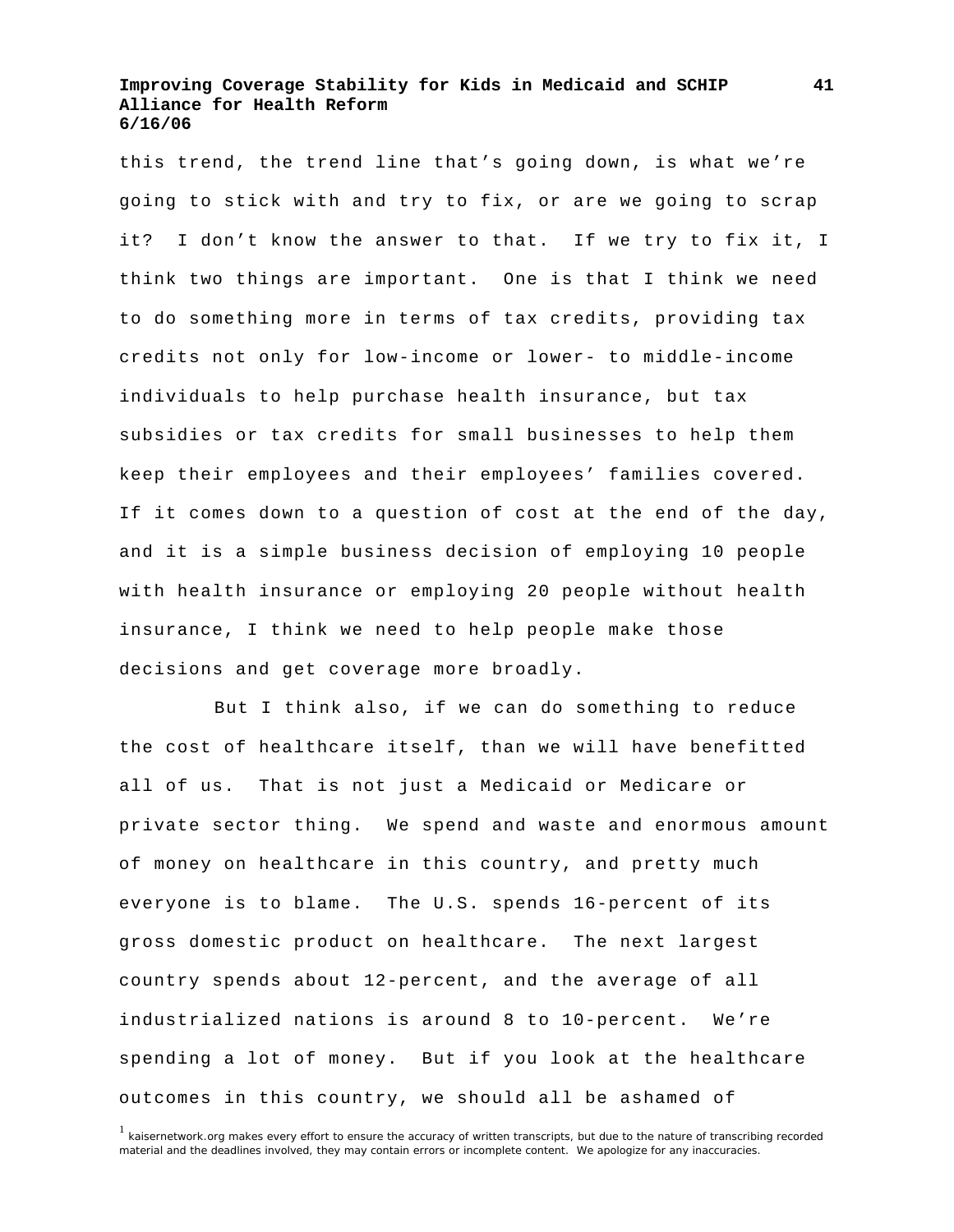this trend, the trend line that's going down, is what we're going to stick with and try to fix, or are we going to scrap it? I don't know the answer to that. If we try to fix it, I think two things are important. One is that I think we need to do something more in terms of tax credits, providing tax credits not only for low-income or lower- to middle-income individuals to help purchase health insurance, but tax subsidies or tax credits for small businesses to help them keep their employees and their employees' families covered. If it comes down to a question of cost at the end of the day, and it is a simple business decision of employing 10 people with health insurance or employing 20 people without health insurance, I think we need to help people make those decisions and get coverage more broadly.

 But I think also, if we can do something to reduce the cost of healthcare itself, than we will have benefitted all of us. That is not just a Medicaid or Medicare or private sector thing. We spend and waste and enormous amount of money on healthcare in this country, and pretty much everyone is to blame. The U.S. spends 16-percent of its gross domestic product on healthcare. The next largest country spends about 12-percent, and the average of all industrialized nations is around 8 to 10-percent. We're spending a lot of money. But if you look at the healthcare outcomes in this country, we should all be ashamed of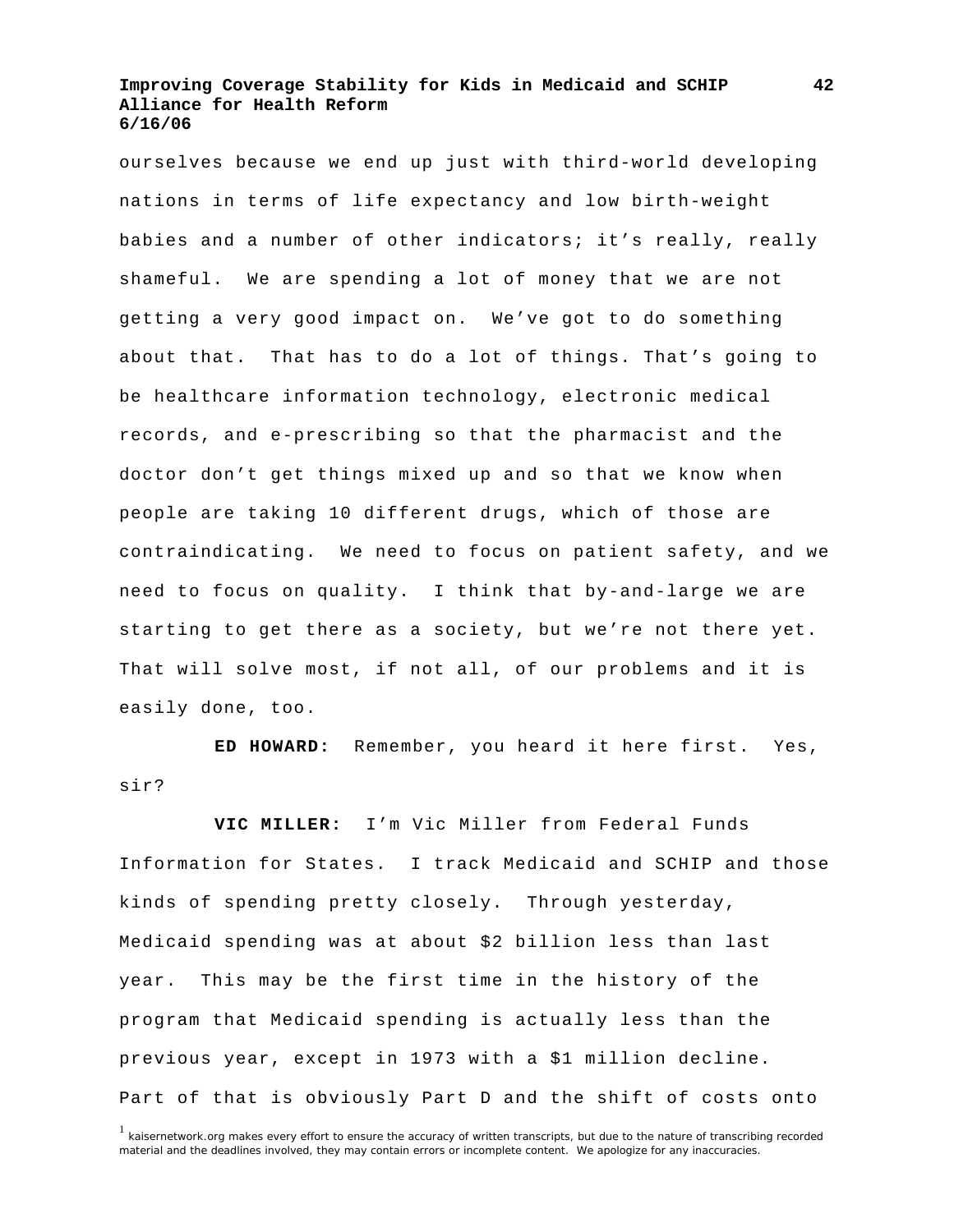ourselves because we end up just with third-world developing nations in terms of life expectancy and low birth-weight babies and a number of other indicators; it's really, really shameful. We are spending a lot of money that we are not getting a very good impact on. We've got to do something about that. That has to do a lot of things. That's going to be healthcare information technology, electronic medical records, and e-prescribing so that the pharmacist and the doctor don't get things mixed up and so that we know when people are taking 10 different drugs, which of those are contraindicating. We need to focus on patient safety, and we need to focus on quality. I think that by-and-large we are starting to get there as a society, but we're not there yet. That will solve most, if not all, of our problems and it is easily done, too.

**ED HOWARD:** Remember, you heard it here first. Yes, sir?

**VIC MILLER:** I'm Vic Miller from Federal Funds Information for States. I track Medicaid and SCHIP and those kinds of spending pretty closely. Through yesterday, Medicaid spending was at about \$2 billion less than last year. This may be the first time in the history of the program that Medicaid spending is actually less than the previous year, except in 1973 with a \$1 million decline. Part of that is obviously Part D and the shift of costs onto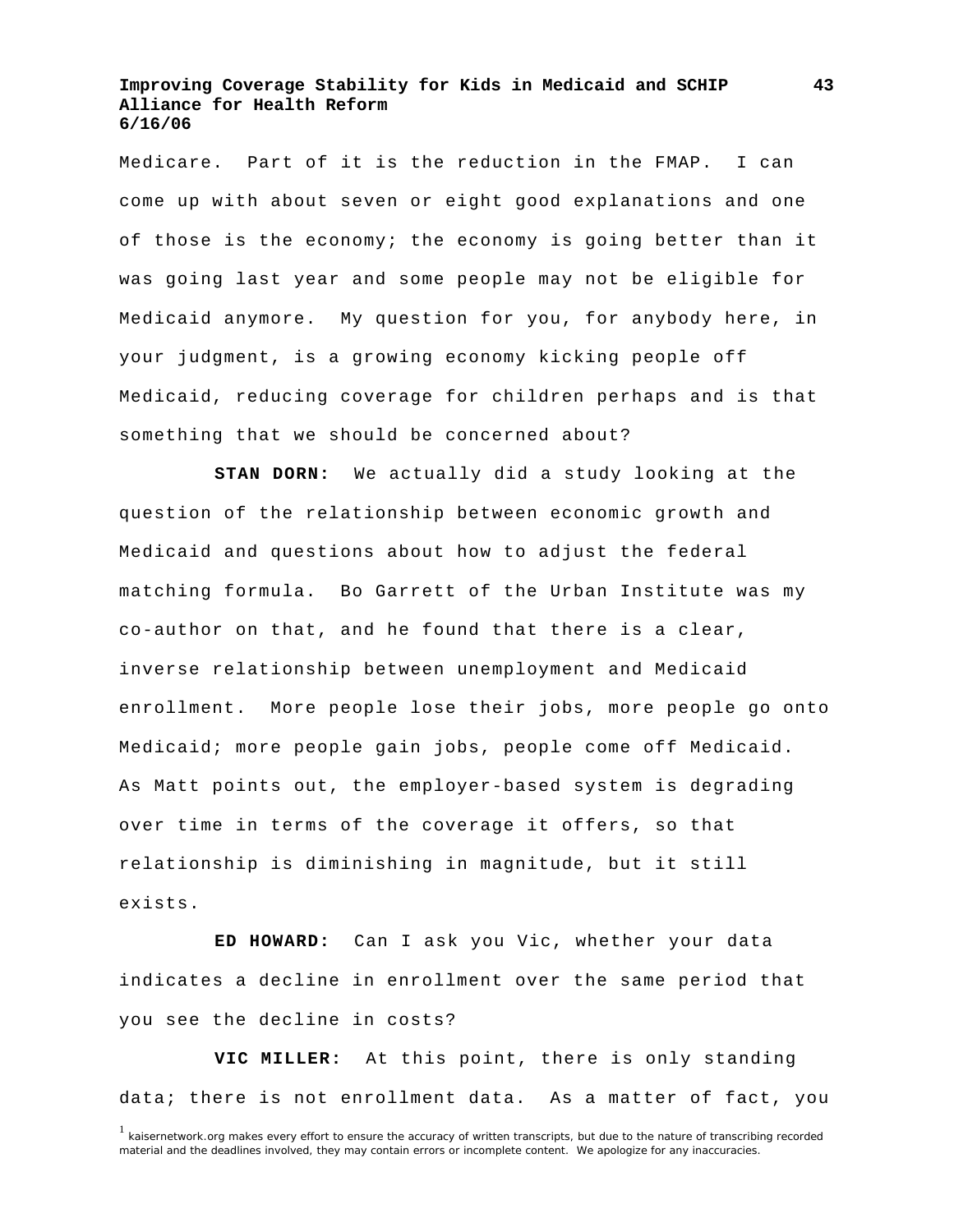Medicare. Part of it is the reduction in the FMAP. I can come up with about seven or eight good explanations and one of those is the economy; the economy is going better than it was going last year and some people may not be eligible for Medicaid anymore. My question for you, for anybody here, in your judgment, is a growing economy kicking people off Medicaid, reducing coverage for children perhaps and is that something that we should be concerned about?

**STAN DORN:** We actually did a study looking at the question of the relationship between economic growth and Medicaid and questions about how to adjust the federal matching formula. Bo Garrett of the Urban Institute was my co-author on that, and he found that there is a clear, inverse relationship between unemployment and Medicaid enrollment. More people lose their jobs, more people go onto Medicaid; more people gain jobs, people come off Medicaid. As Matt points out, the employer-based system is degrading over time in terms of the coverage it offers, so that relationship is diminishing in magnitude, but it still exists.

**ED HOWARD:** Can I ask you Vic, whether your data indicates a decline in enrollment over the same period that you see the decline in costs?

**VIC MILLER:** At this point, there is only standing data; there is not enrollment data. As a matter of fact, you

**43**

<sup>&</sup>lt;sup>1</sup> kaisernetwork.org makes every effort to ensure the accuracy of written transcripts, but due to the nature of transcribing recorded material and the deadlines involved, they may contain errors or incomplete content. We apologize for any inaccuracies.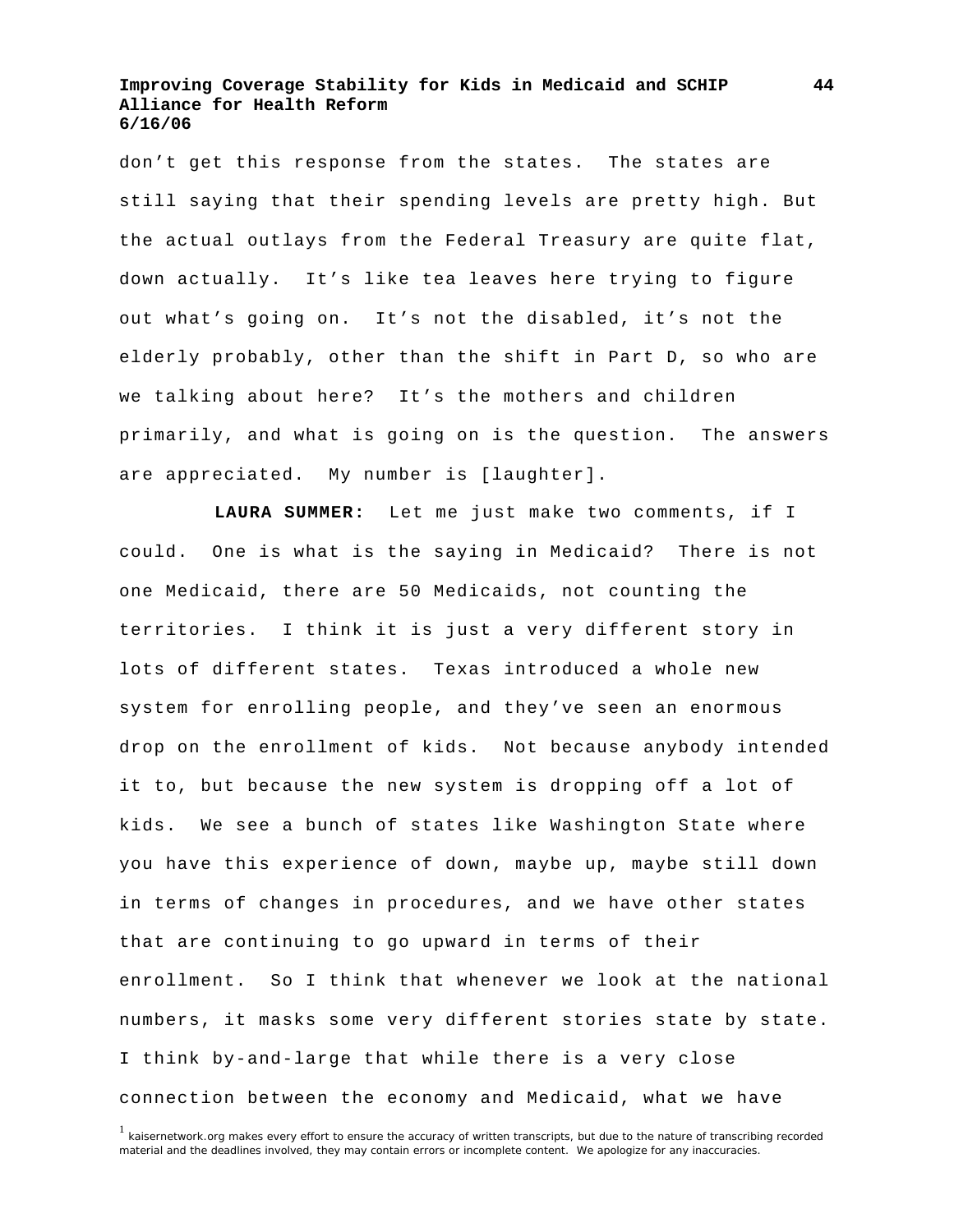don't get this response from the states. The states are still saying that their spending levels are pretty high. But the actual outlays from the Federal Treasury are quite flat, down actually. It's like tea leaves here trying to figure out what's going on. It's not the disabled, it's not the elderly probably, other than the shift in Part D, so who are we talking about here? It's the mothers and children primarily, and what is going on is the question. The answers are appreciated. My number is [laughter].

**LAURA SUMMER:** Let me just make two comments, if I could. One is what is the saying in Medicaid? There is not one Medicaid, there are 50 Medicaids, not counting the territories. I think it is just a very different story in lots of different states. Texas introduced a whole new system for enrolling people, and they've seen an enormous drop on the enrollment of kids. Not because anybody intended it to, but because the new system is dropping off a lot of kids. We see a bunch of states like Washington State where you have this experience of down, maybe up, maybe still down in terms of changes in procedures, and we have other states that are continuing to go upward in terms of their enrollment. So I think that whenever we look at the national numbers, it masks some very different stories state by state. I think by-and-large that while there is a very close connection between the economy and Medicaid, what we have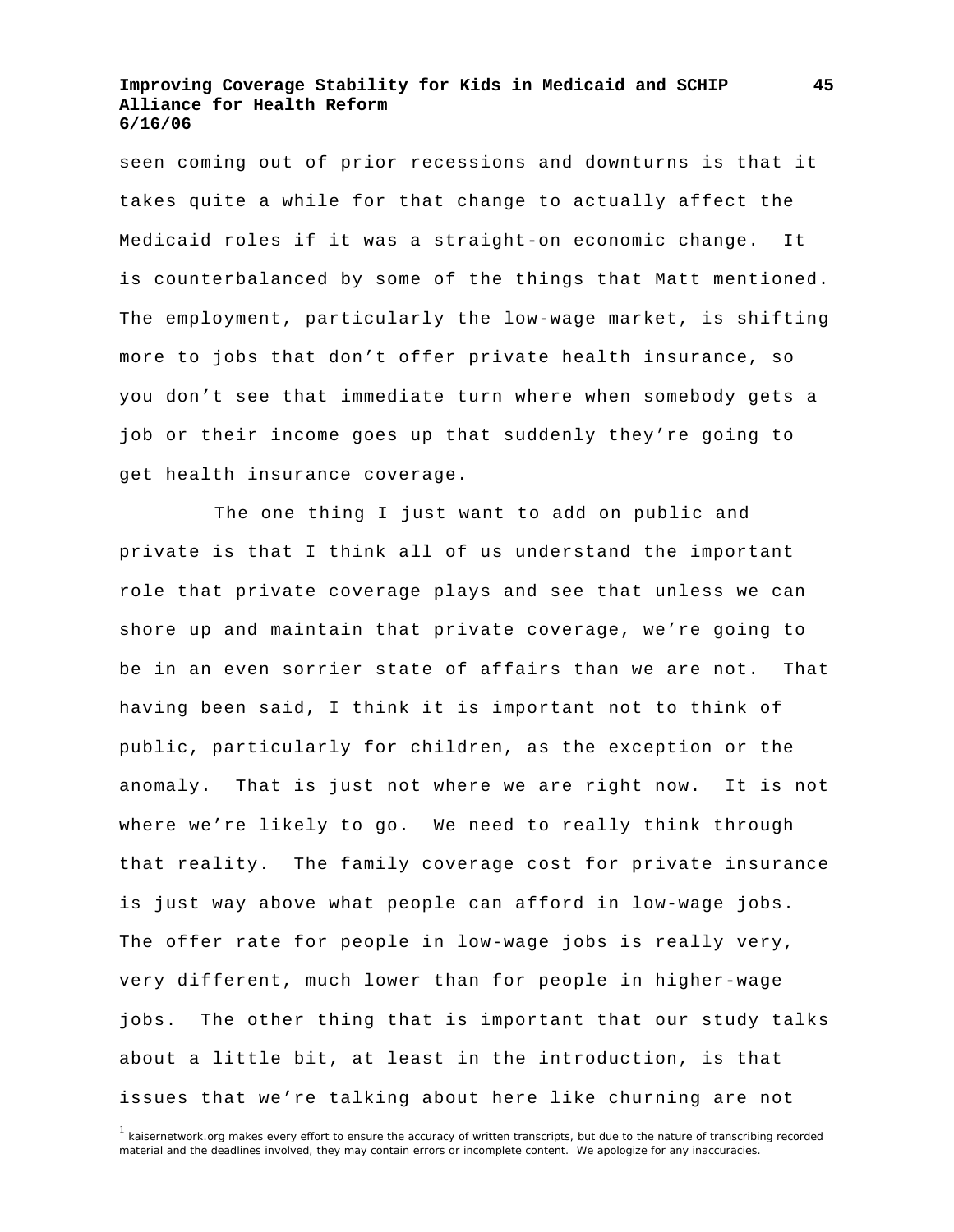seen coming out of prior recessions and downturns is that it takes quite a while for that change to actually affect the Medicaid roles if it was a straight-on economic change. It is counterbalanced by some of the things that Matt mentioned. The employment, particularly the low-wage market, is shifting more to jobs that don't offer private health insurance, so you don't see that immediate turn where when somebody gets a job or their income goes up that suddenly they're going to get health insurance coverage.

 The one thing I just want to add on public and private is that I think all of us understand the important role that private coverage plays and see that unless we can shore up and maintain that private coverage, we're going to be in an even sorrier state of affairs than we are not. That having been said, I think it is important not to think of public, particularly for children, as the exception or the anomaly. That is just not where we are right now. It is not where we're likely to go. We need to really think through that reality. The family coverage cost for private insurance is just way above what people can afford in low-wage jobs. The offer rate for people in low-wage jobs is really very, very different, much lower than for people in higher-wage jobs. The other thing that is important that our study talks about a little bit, at least in the introduction, is that issues that we're talking about here like churning are not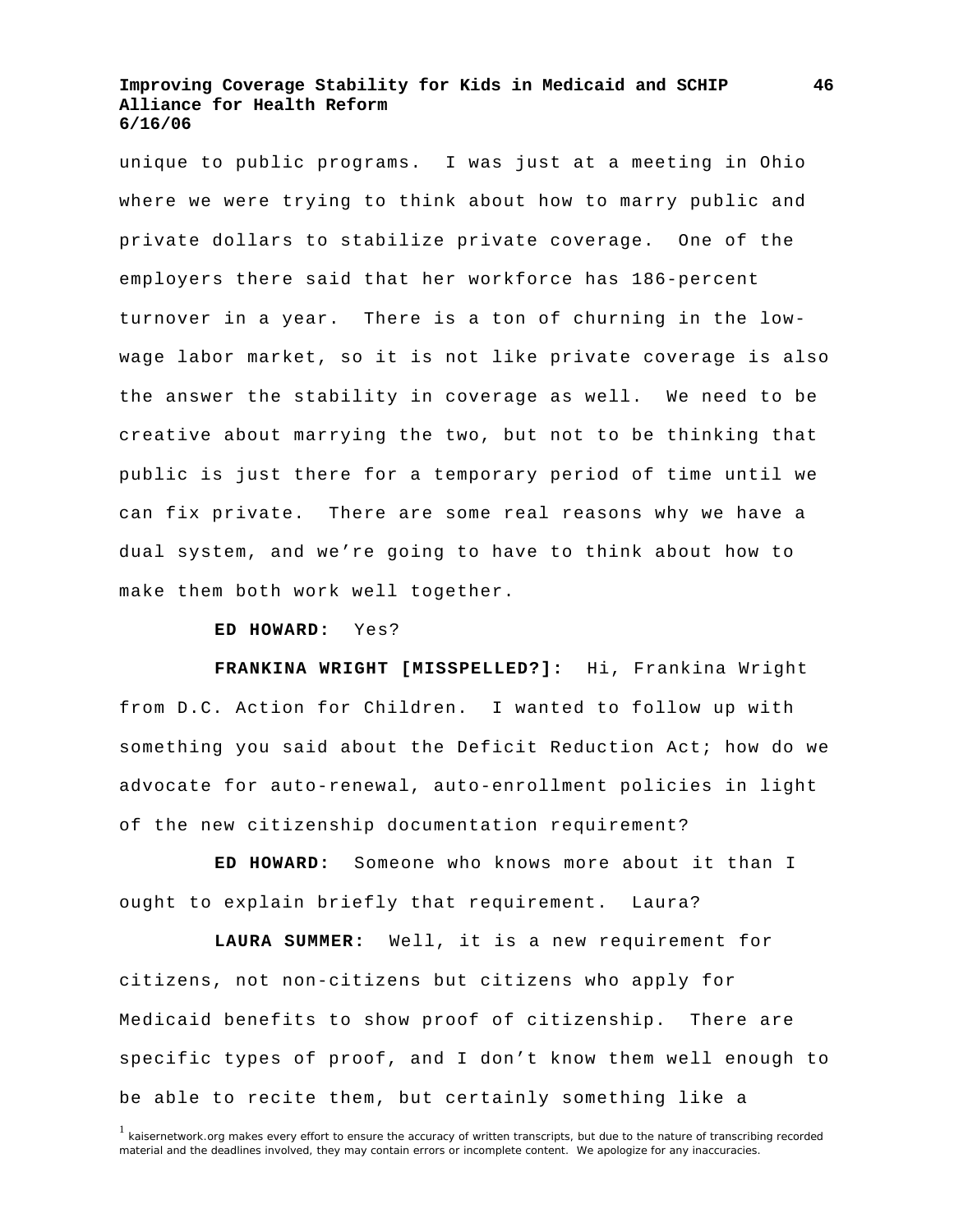unique to public programs. I was just at a meeting in Ohio where we were trying to think about how to marry public and private dollars to stabilize private coverage. One of the employers there said that her workforce has 186-percent turnover in a year. There is a ton of churning in the lowwage labor market, so it is not like private coverage is also the answer the stability in coverage as well. We need to be creative about marrying the two, but not to be thinking that public is just there for a temporary period of time until we can fix private. There are some real reasons why we have a dual system, and we're going to have to think about how to make them both work well together.

#### **ED HOWARD:** Yes?

**FRANKINA WRIGHT [MISSPELLED?]:** Hi, Frankina Wright from D.C. Action for Children. I wanted to follow up with something you said about the Deficit Reduction Act; how do we advocate for auto-renewal, auto-enrollment policies in light of the new citizenship documentation requirement?

**ED HOWARD:** Someone who knows more about it than I ought to explain briefly that requirement. Laura?

**LAURA SUMMER:** Well, it is a new requirement for citizens, not non-citizens but citizens who apply for Medicaid benefits to show proof of citizenship. There are specific types of proof, and I don't know them well enough to be able to recite them, but certainly something like a

<sup>&</sup>lt;sup>1</sup> kaisernetwork.org makes every effort to ensure the accuracy of written transcripts, but due to the nature of transcribing recorded material and the deadlines involved, they may contain errors or incomplete content. We apologize for any inaccuracies.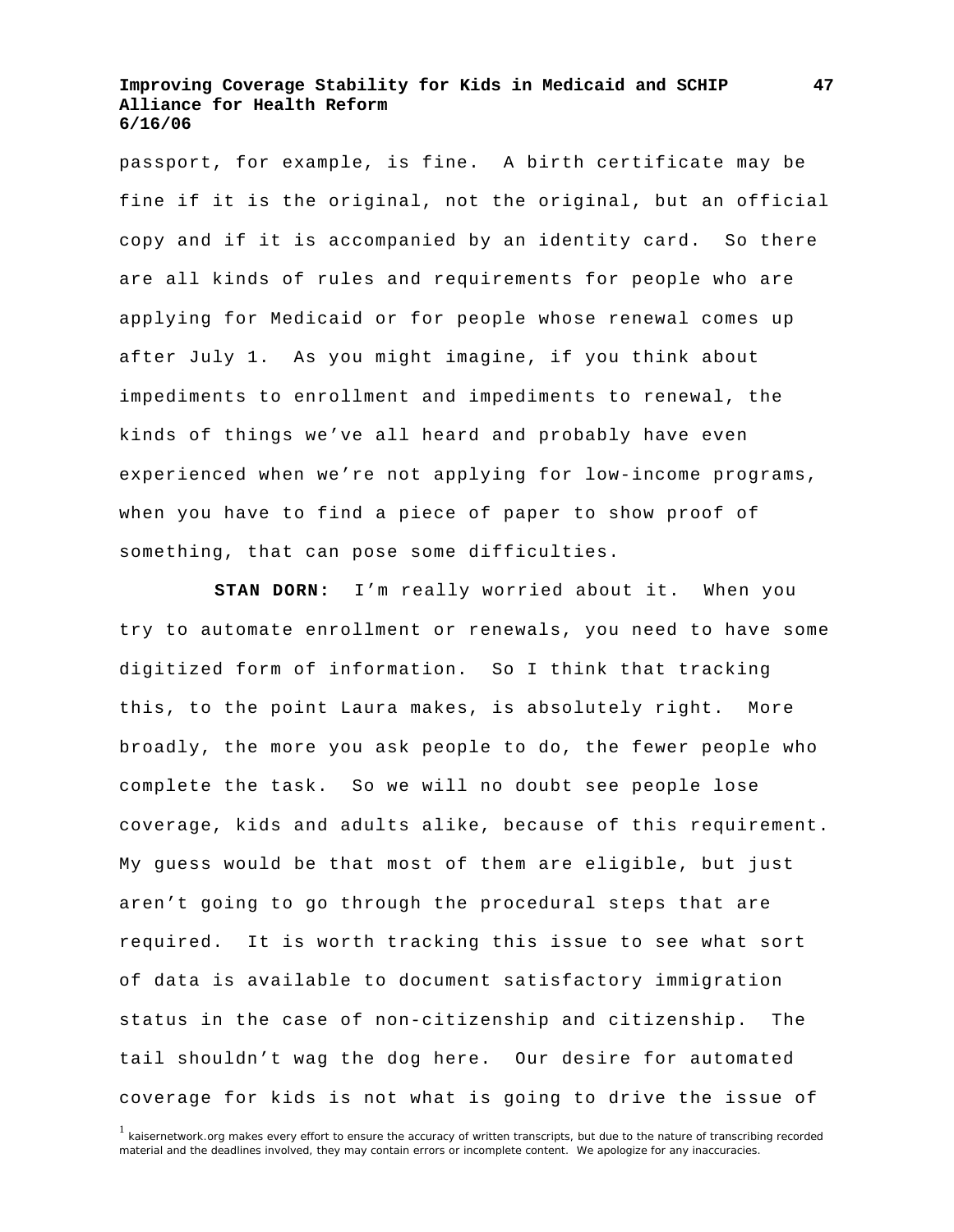passport, for example, is fine. A birth certificate may be fine if it is the original, not the original, but an official copy and if it is accompanied by an identity card. So there are all kinds of rules and requirements for people who are applying for Medicaid or for people whose renewal comes up after July 1. As you might imagine, if you think about impediments to enrollment and impediments to renewal, the kinds of things we've all heard and probably have even experienced when we're not applying for low-income programs, when you have to find a piece of paper to show proof of something, that can pose some difficulties.

**STAN DORN:** I'm really worried about it. When you try to automate enrollment or renewals, you need to have some digitized form of information. So I think that tracking this, to the point Laura makes, is absolutely right. More broadly, the more you ask people to do, the fewer people who complete the task. So we will no doubt see people lose coverage, kids and adults alike, because of this requirement. My guess would be that most of them are eligible, but just aren't going to go through the procedural steps that are required. It is worth tracking this issue to see what sort of data is available to document satisfactory immigration status in the case of non-citizenship and citizenship. The tail shouldn't wag the dog here. Our desire for automated coverage for kids is not what is going to drive the issue of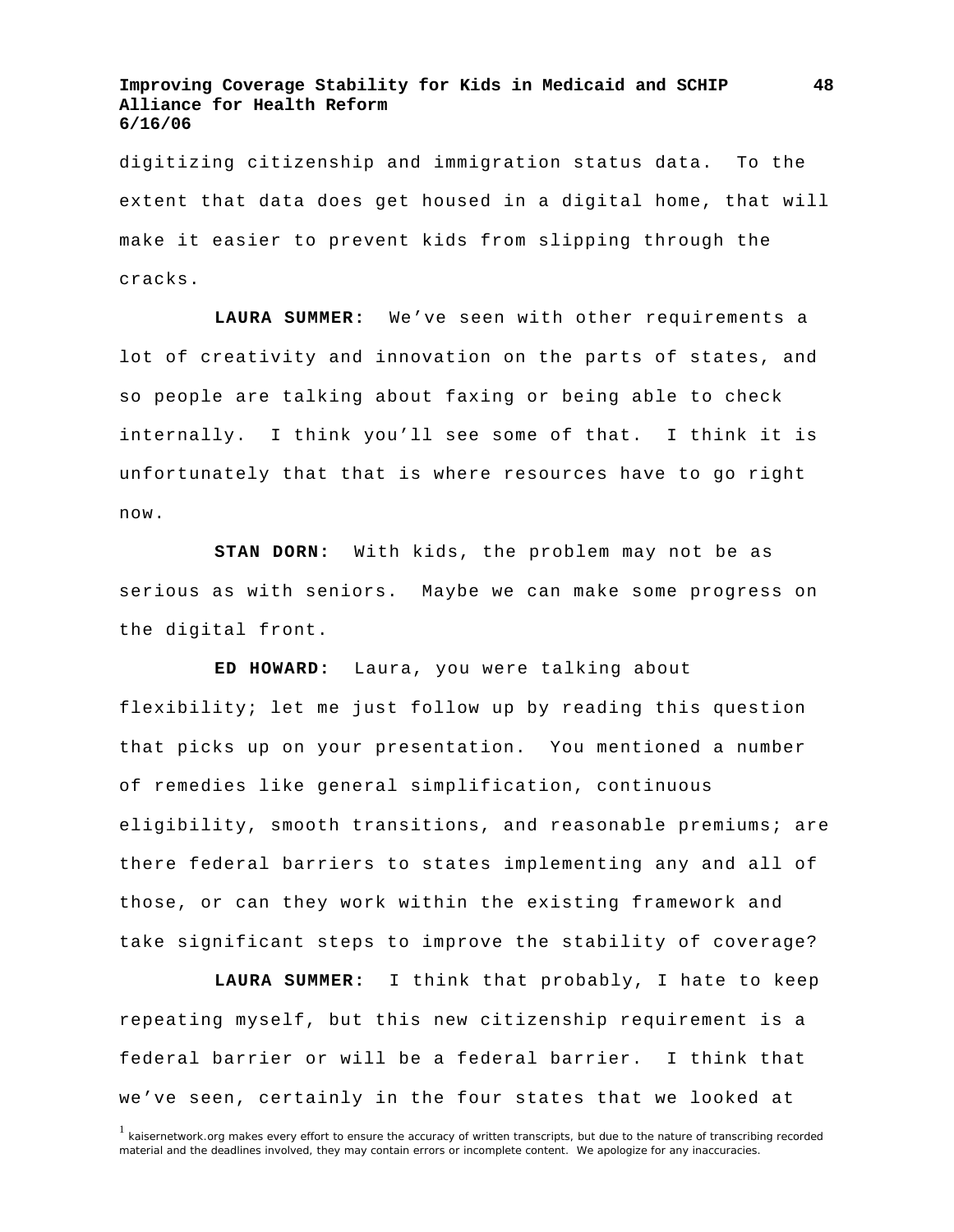digitizing citizenship and immigration status data. To the extent that data does get housed in a digital home, that will make it easier to prevent kids from slipping through the cracks.

**LAURA SUMMER:** We've seen with other requirements a lot of creativity and innovation on the parts of states, and so people are talking about faxing or being able to check internally. I think you'll see some of that. I think it is unfortunately that that is where resources have to go right now.

**STAN DORN:** With kids, the problem may not be as serious as with seniors. Maybe we can make some progress on the digital front.

**ED HOWARD:** Laura, you were talking about flexibility; let me just follow up by reading this question that picks up on your presentation. You mentioned a number of remedies like general simplification, continuous eligibility, smooth transitions, and reasonable premiums; are there federal barriers to states implementing any and all of those, or can they work within the existing framework and take significant steps to improve the stability of coverage?

**LAURA SUMMER:** I think that probably, I hate to keep repeating myself, but this new citizenship requirement is a federal barrier or will be a federal barrier. I think that we've seen, certainly in the four states that we looked at

**48**

 $1$  kaisernetwork.org makes every effort to ensure the accuracy of written transcripts, but due to the nature of transcribing recorded material and the deadlines involved, they may contain errors or incomplete content. We apologize for any inaccuracies.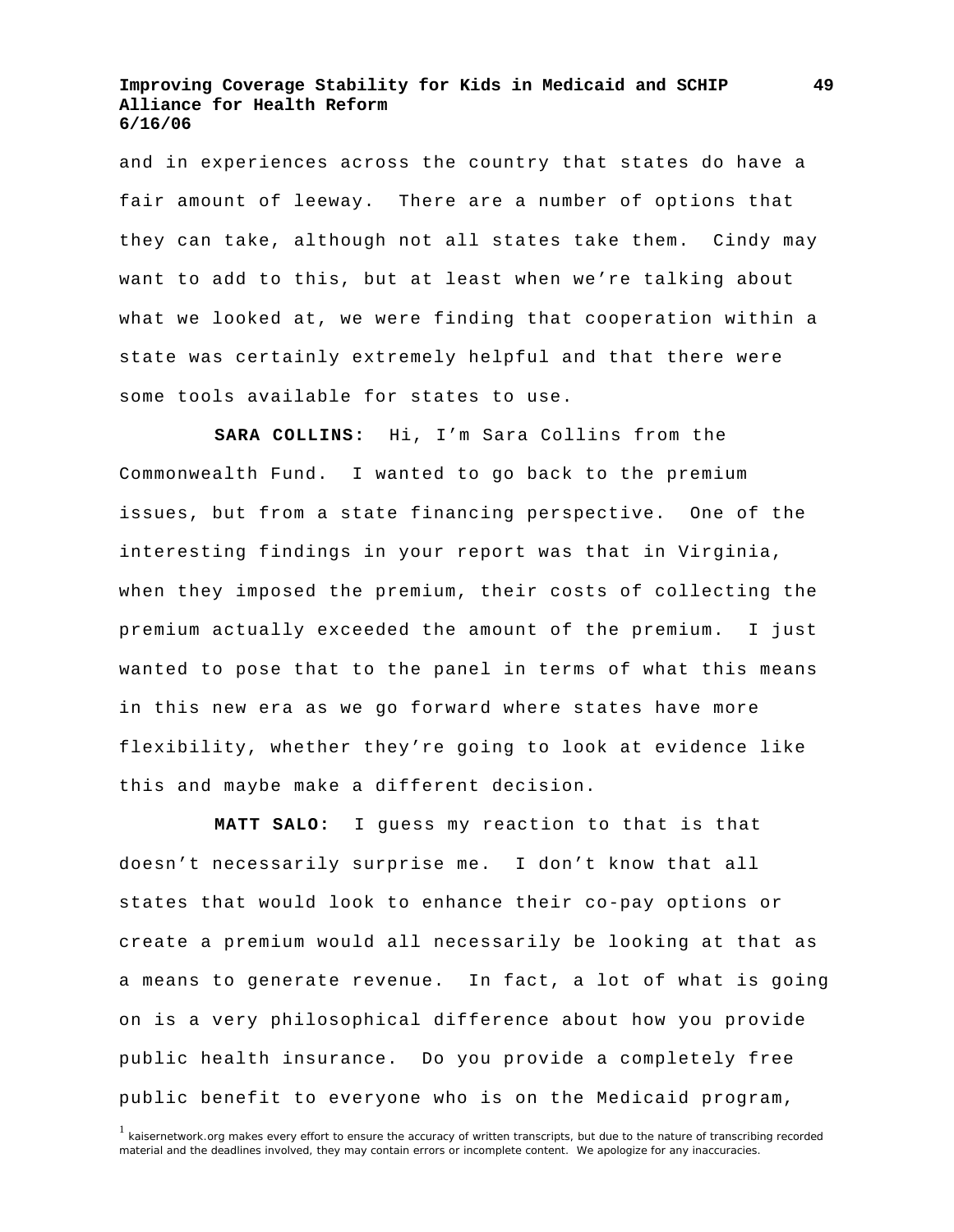and in experiences across the country that states do have a fair amount of leeway. There are a number of options that they can take, although not all states take them. Cindy may want to add to this, but at least when we're talking about what we looked at, we were finding that cooperation within a state was certainly extremely helpful and that there were some tools available for states to use.

**SARA COLLINS:** Hi, I'm Sara Collins from the Commonwealth Fund. I wanted to go back to the premium issues, but from a state financing perspective. One of the interesting findings in your report was that in Virginia, when they imposed the premium, their costs of collecting the premium actually exceeded the amount of the premium. I just wanted to pose that to the panel in terms of what this means in this new era as we go forward where states have more flexibility, whether they're going to look at evidence like this and maybe make a different decision.

**MATT SALO:** I guess my reaction to that is that doesn't necessarily surprise me. I don't know that all states that would look to enhance their co-pay options or create a premium would all necessarily be looking at that as a means to generate revenue. In fact, a lot of what is going on is a very philosophical difference about how you provide public health insurance. Do you provide a completely free public benefit to everyone who is on the Medicaid program,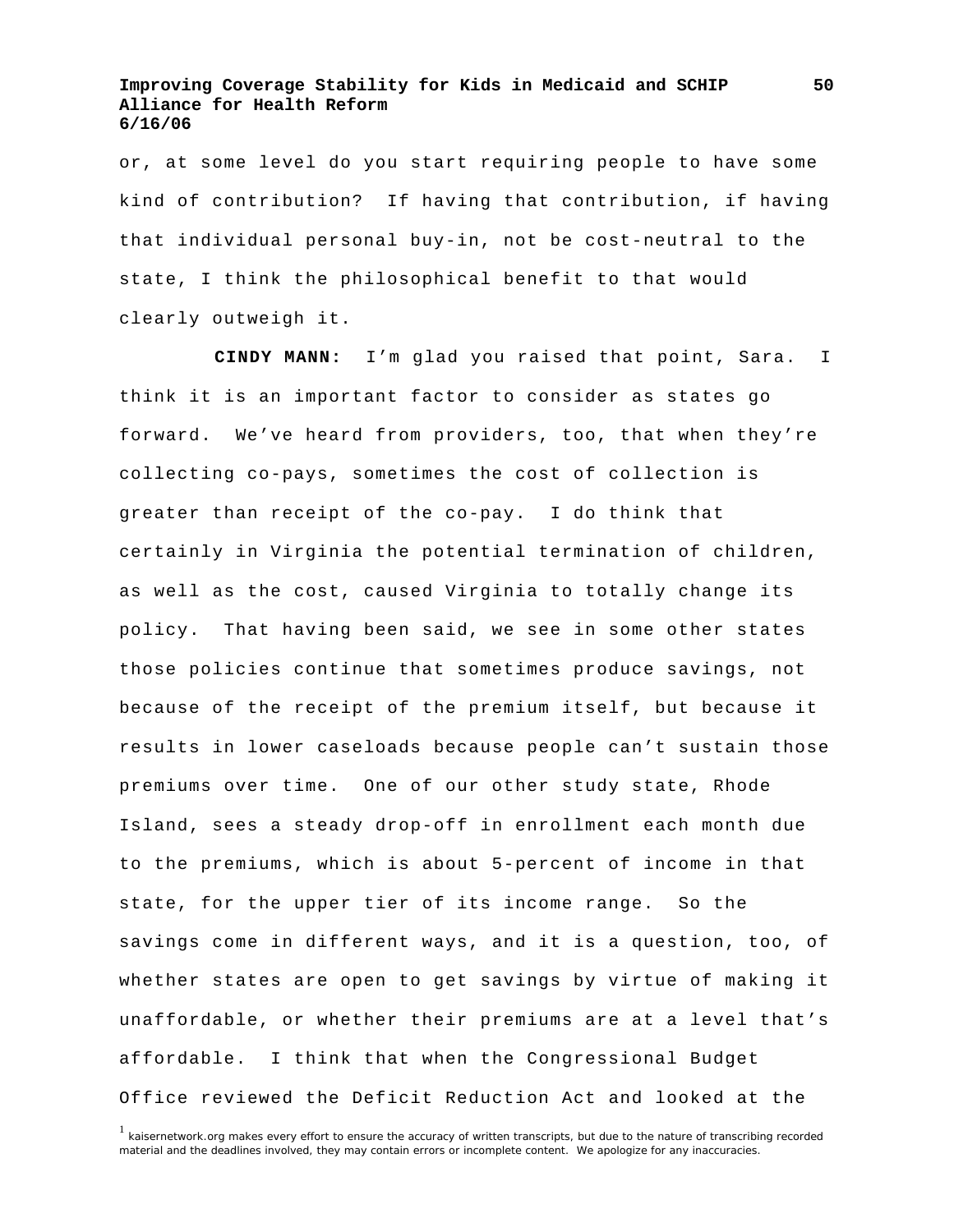or, at some level do you start requiring people to have some kind of contribution? If having that contribution, if having that individual personal buy-in, not be cost-neutral to the state, I think the philosophical benefit to that would clearly outweigh it.

**CINDY MANN:** I'm glad you raised that point, Sara. I think it is an important factor to consider as states go forward. We've heard from providers, too, that when they're collecting co-pays, sometimes the cost of collection is greater than receipt of the co-pay. I do think that certainly in Virginia the potential termination of children, as well as the cost, caused Virginia to totally change its policy. That having been said, we see in some other states those policies continue that sometimes produce savings, not because of the receipt of the premium itself, but because it results in lower caseloads because people can't sustain those premiums over time. One of our other study state, Rhode Island, sees a steady drop-off in enrollment each month due to the premiums, which is about 5-percent of income in that state, for the upper tier of its income range. So the savings come in different ways, and it is a question, too, of whether states are open to get savings by virtue of making it unaffordable, or whether their premiums are at a level that's affordable. I think that when the Congressional Budget Office reviewed the Deficit Reduction Act and looked at the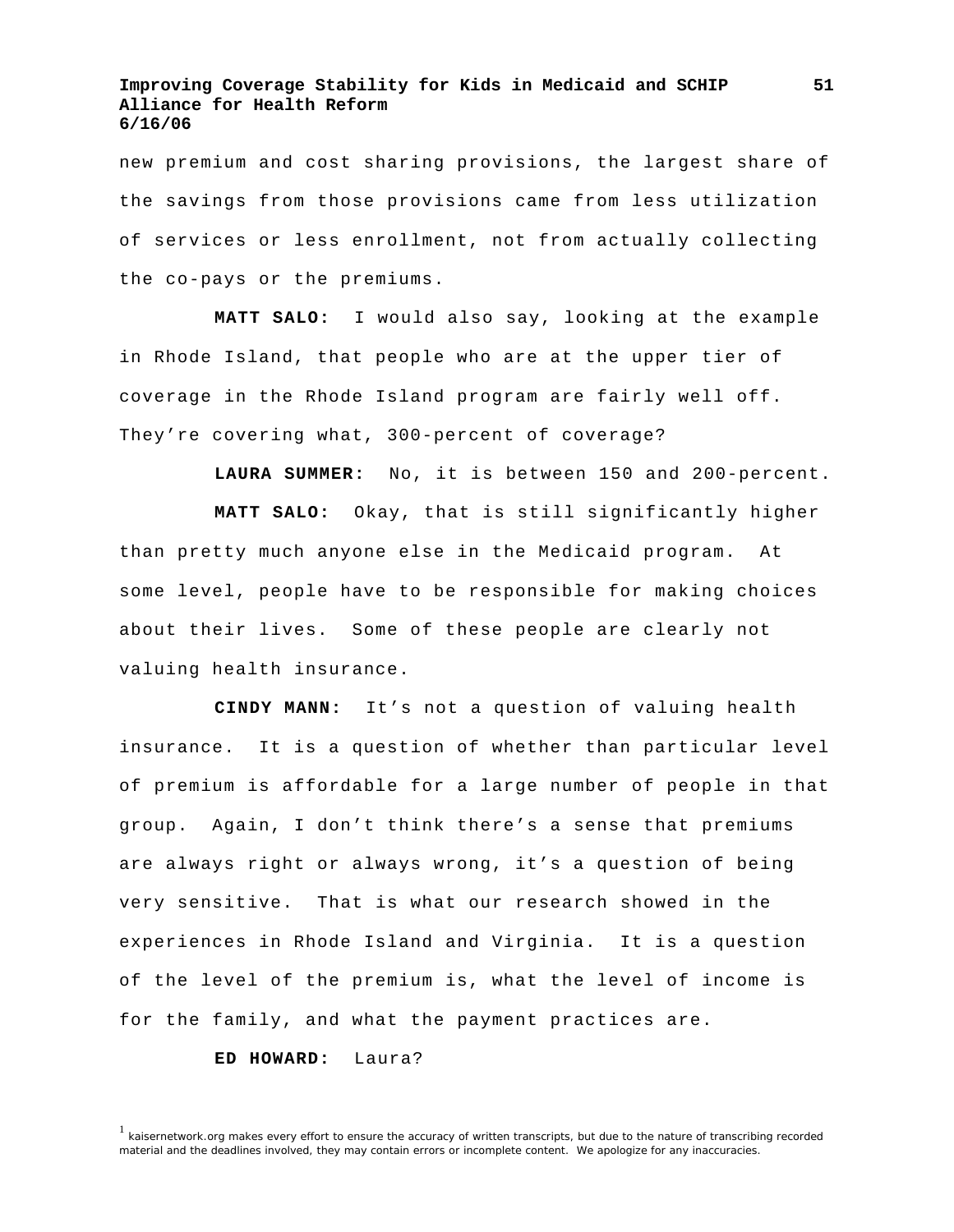new premium and cost sharing provisions, the largest share of the savings from those provisions came from less utilization of services or less enrollment, not from actually collecting the co-pays or the premiums.

**MATT SALO:** I would also say, looking at the example in Rhode Island, that people who are at the upper tier of coverage in the Rhode Island program are fairly well off. They're covering what, 300-percent of coverage?

**LAURA SUMMER:** No, it is between 150 and 200-percent.

**MATT SALO:** Okay, that is still significantly higher than pretty much anyone else in the Medicaid program. At some level, people have to be responsible for making choices about their lives. Some of these people are clearly not valuing health insurance.

**CINDY MANN:** It's not a question of valuing health insurance. It is a question of whether than particular level of premium is affordable for a large number of people in that group. Again, I don't think there's a sense that premiums are always right or always wrong, it's a question of being very sensitive. That is what our research showed in the experiences in Rhode Island and Virginia. It is a question of the level of the premium is, what the level of income is for the family, and what the payment practices are.

#### **ED HOWARD:** Laura?

**51**

<sup>&</sup>lt;sup>1</sup> kaisernetwork.org makes every effort to ensure the accuracy of written transcripts, but due to the nature of transcribing recorded material and the deadlines involved, they may contain errors or incomplete content. We apologize for any inaccuracies.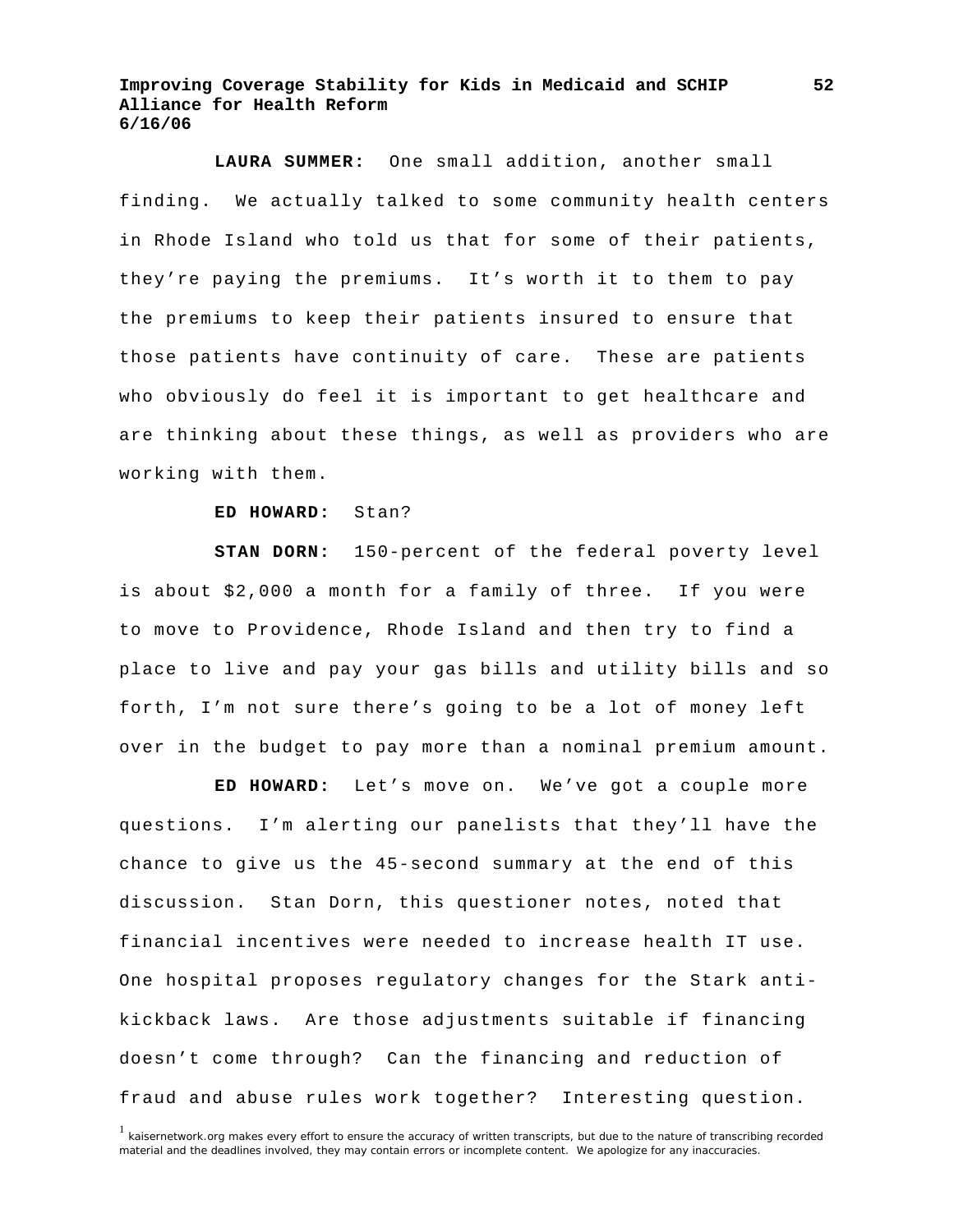**LAURA SUMMER:** One small addition, another small finding. We actually talked to some community health centers in Rhode Island who told us that for some of their patients, they're paying the premiums. It's worth it to them to pay the premiums to keep their patients insured to ensure that those patients have continuity of care. These are patients who obviously do feel it is important to get healthcare and are thinking about these things, as well as providers who are working with them.

#### **ED HOWARD:** Stan?

**STAN DORN:** 150-percent of the federal poverty level is about \$2,000 a month for a family of three. If you were to move to Providence, Rhode Island and then try to find a place to live and pay your gas bills and utility bills and so forth, I'm not sure there's going to be a lot of money left over in the budget to pay more than a nominal premium amount.

**ED HOWARD:** Let's move on. We've got a couple more questions. I'm alerting our panelists that they'll have the chance to give us the 45-second summary at the end of this discussion. Stan Dorn, this questioner notes, noted that financial incentives were needed to increase health IT use. One hospital proposes regulatory changes for the Stark antikickback laws. Are those adjustments suitable if financing doesn't come through? Can the financing and reduction of fraud and abuse rules work together? Interesting question.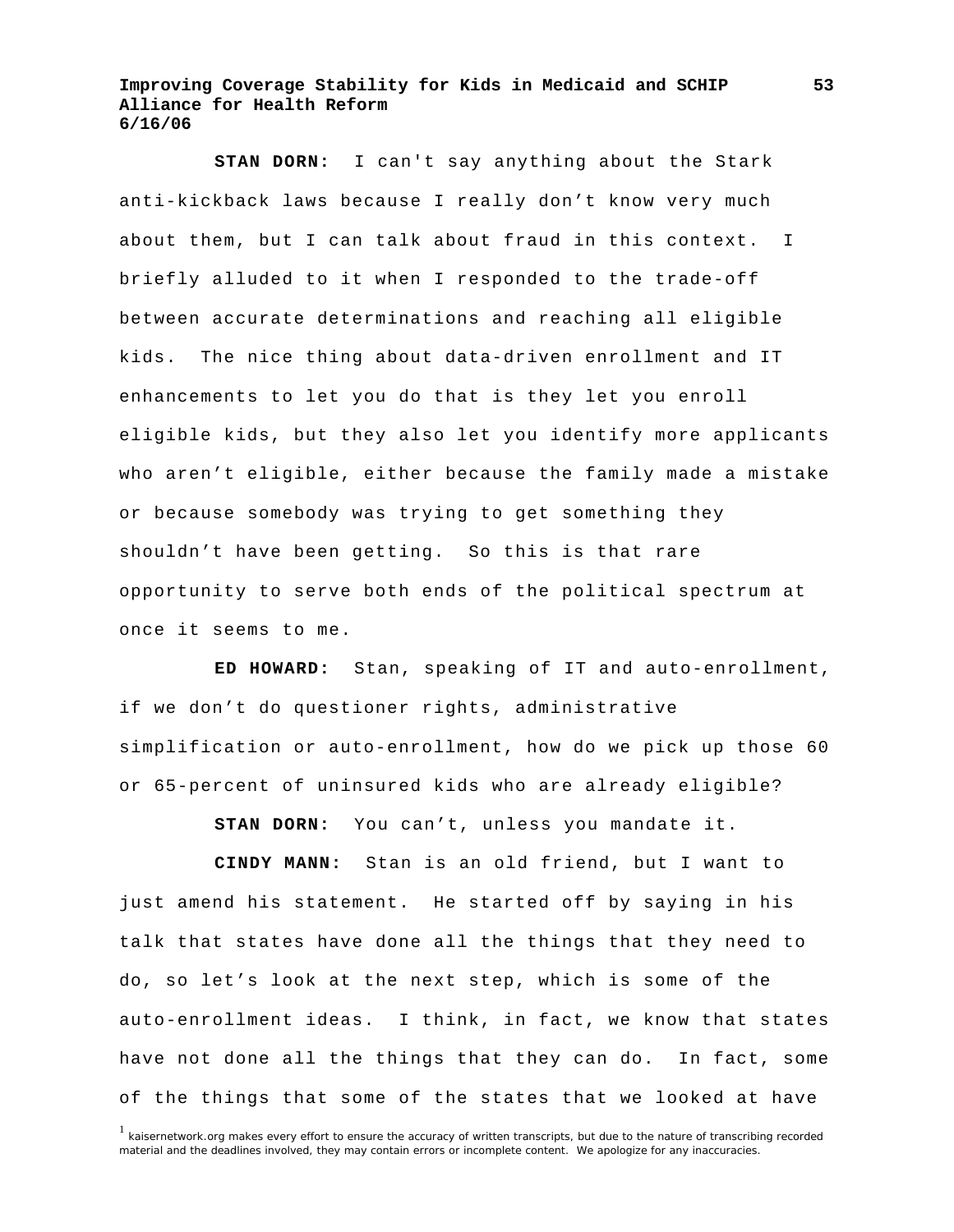**STAN DORN:** I can't say anything about the Stark anti-kickback laws because I really don't know very much about them, but I can talk about fraud in this context. I briefly alluded to it when I responded to the trade-off between accurate determinations and reaching all eligible kids. The nice thing about data-driven enrollment and IT enhancements to let you do that is they let you enroll eligible kids, but they also let you identify more applicants who aren't eligible, either because the family made a mistake or because somebody was trying to get something they shouldn't have been getting. So this is that rare opportunity to serve both ends of the political spectrum at once it seems to me.

**ED HOWARD:** Stan, speaking of IT and auto-enrollment, if we don't do questioner rights, administrative simplification or auto-enrollment, how do we pick up those 60 or 65-percent of uninsured kids who are already eligible?

**STAN DORN:** You can't, unless you mandate it.

**CINDY MANN:** Stan is an old friend, but I want to just amend his statement. He started off by saying in his talk that states have done all the things that they need to do, so let's look at the next step, which is some of the auto-enrollment ideas. I think, in fact, we know that states have not done all the things that they can do. In fact, some of the things that some of the states that we looked at have

 $1$  kaisernetwork.org makes every effort to ensure the accuracy of written transcripts, but due to the nature of transcribing recorded material and the deadlines involved, they may contain errors or incomplete content. We apologize for any inaccuracies.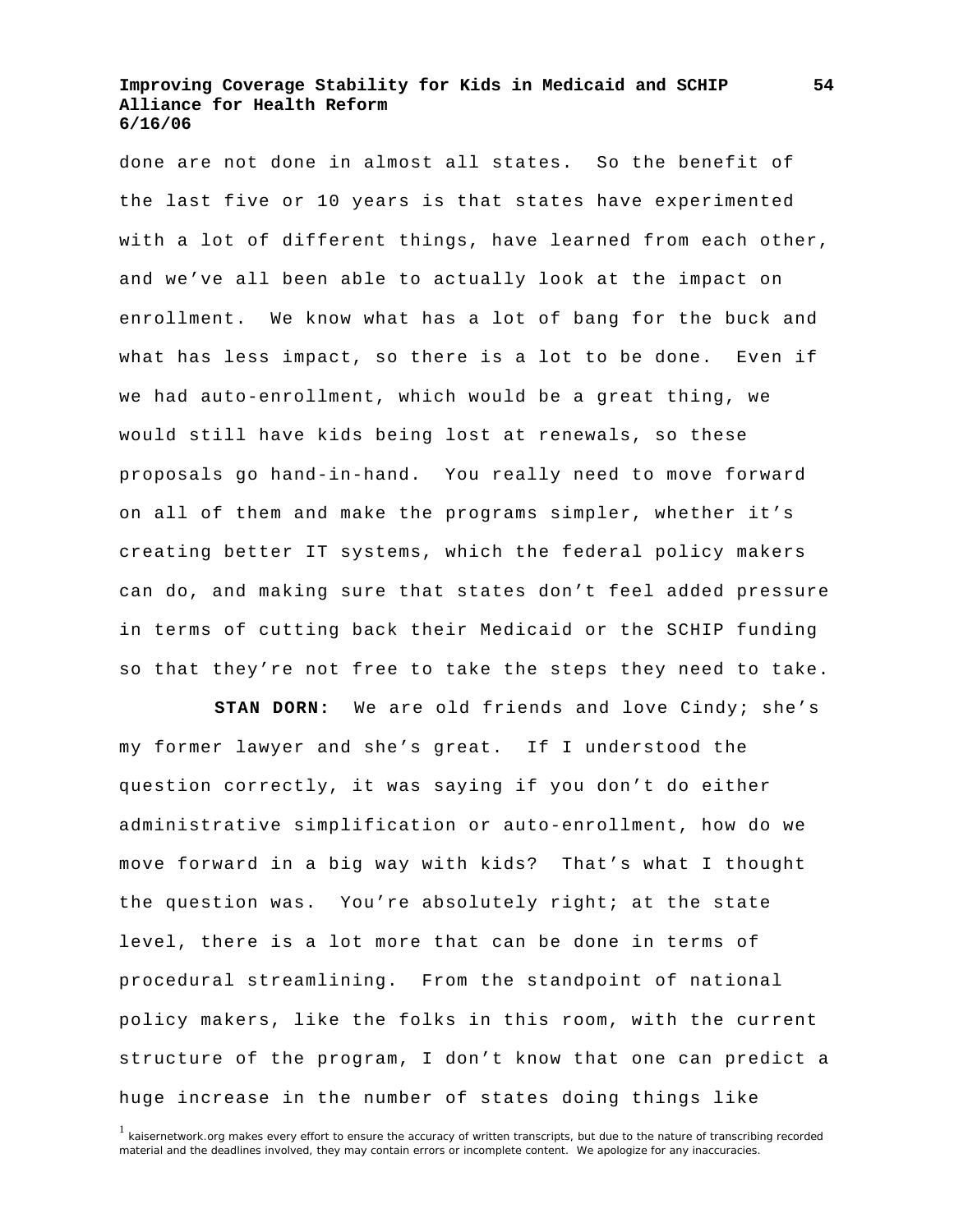done are not done in almost all states. So the benefit of the last five or 10 years is that states have experimented with a lot of different things, have learned from each other, and we've all been able to actually look at the impact on enrollment. We know what has a lot of bang for the buck and what has less impact, so there is a lot to be done. Even if we had auto-enrollment, which would be a great thing, we would still have kids being lost at renewals, so these proposals go hand-in-hand. You really need to move forward on all of them and make the programs simpler, whether it's creating better IT systems, which the federal policy makers can do, and making sure that states don't feel added pressure in terms of cutting back their Medicaid or the SCHIP funding so that they're not free to take the steps they need to take.

**STAN DORN:** We are old friends and love Cindy; she's my former lawyer and she's great. If I understood the question correctly, it was saying if you don't do either administrative simplification or auto-enrollment, how do we move forward in a big way with kids? That's what I thought the question was. You're absolutely right; at the state level, there is a lot more that can be done in terms of procedural streamlining. From the standpoint of national policy makers, like the folks in this room, with the current structure of the program, I don't know that one can predict a huge increase in the number of states doing things like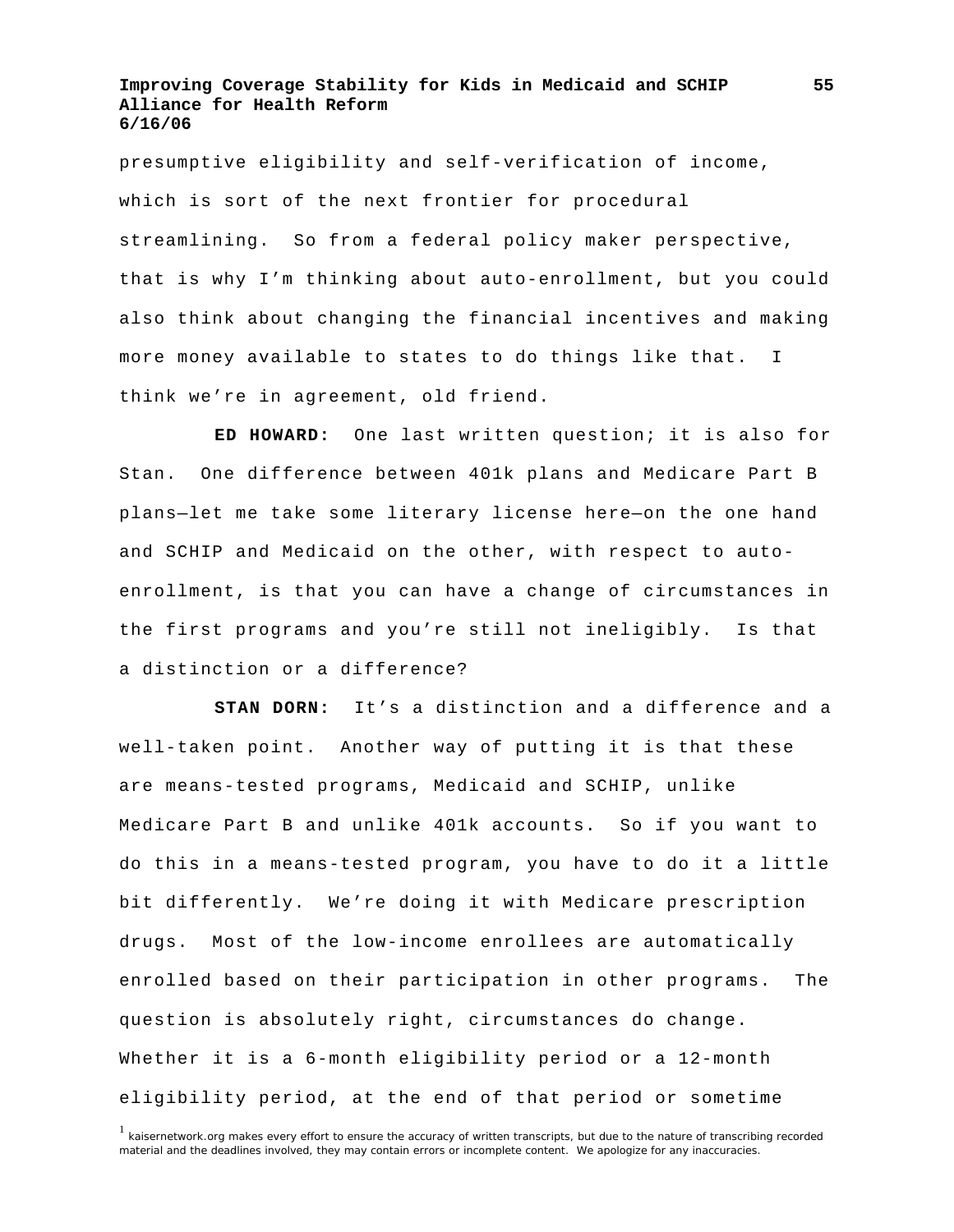presumptive eligibility and self-verification of income, which is sort of the next frontier for procedural streamlining. So from a federal policy maker perspective, that is why I'm thinking about auto-enrollment, but you could also think about changing the financial incentives and making more money available to states to do things like that. I think we're in agreement, old friend.

**ED HOWARD:** One last written question; it is also for Stan. One difference between 401k plans and Medicare Part B plans—let me take some literary license here—on the one hand and SCHIP and Medicaid on the other, with respect to autoenrollment, is that you can have a change of circumstances in the first programs and you're still not ineligibly. Is that a distinction or a difference?

**STAN DORN:** It's a distinction and a difference and a well-taken point. Another way of putting it is that these are means-tested programs, Medicaid and SCHIP, unlike Medicare Part B and unlike 401k accounts. So if you want to do this in a means-tested program, you have to do it a little bit differently. We're doing it with Medicare prescription drugs. Most of the low-income enrollees are automatically enrolled based on their participation in other programs. The question is absolutely right, circumstances do change. Whether it is a 6-month eligibility period or a 12-month eligibility period, at the end of that period or sometime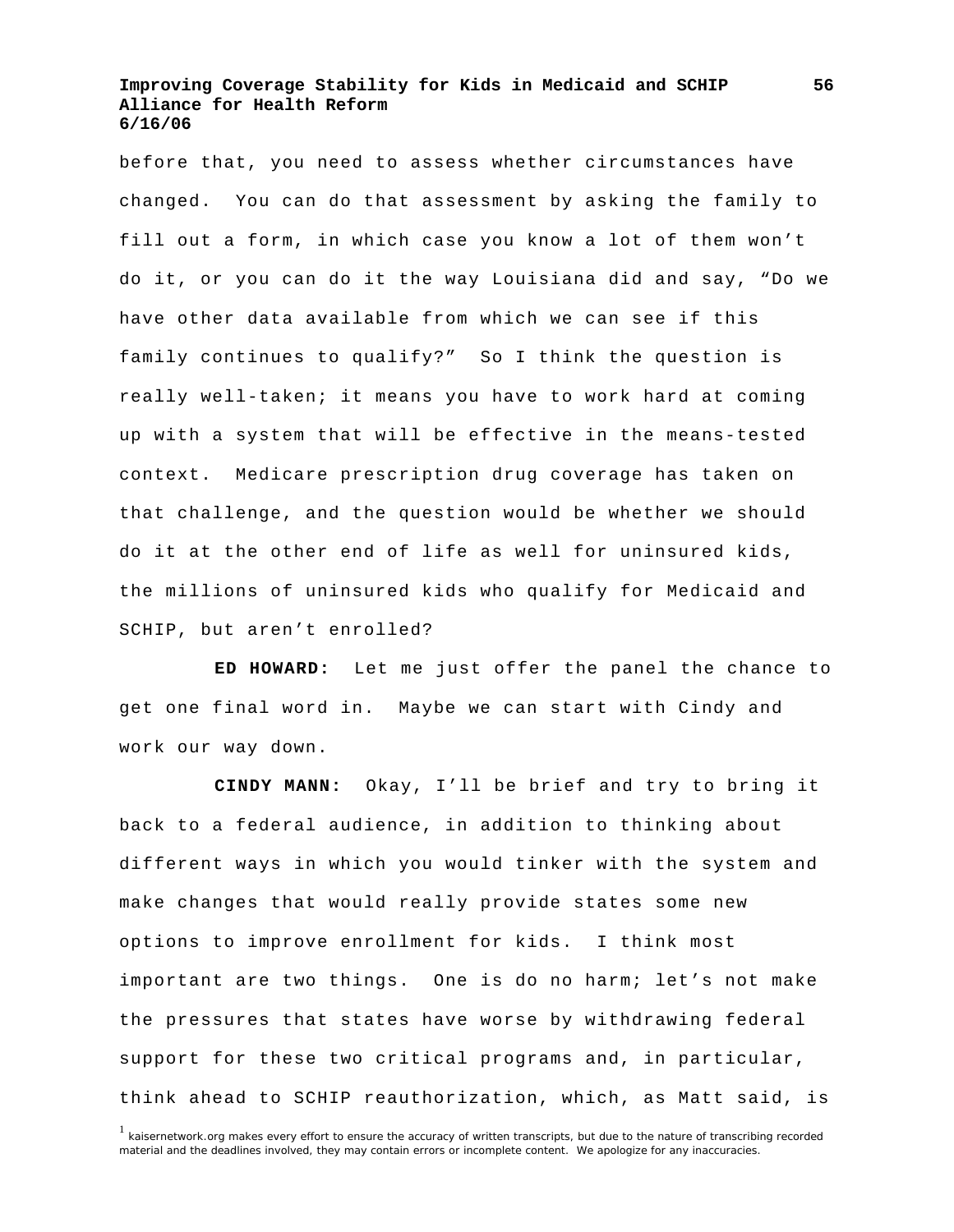before that, you need to assess whether circumstances have changed. You can do that assessment by asking the family to fill out a form, in which case you know a lot of them won't do it, or you can do it the way Louisiana did and say, "Do we have other data available from which we can see if this family continues to qualify?" So I think the question is really well-taken; it means you have to work hard at coming up with a system that will be effective in the means-tested context. Medicare prescription drug coverage has taken on that challenge, and the question would be whether we should do it at the other end of life as well for uninsured kids, the millions of uninsured kids who qualify for Medicaid and SCHIP, but aren't enrolled?

**ED HOWARD:** Let me just offer the panel the chance to get one final word in. Maybe we can start with Cindy and work our way down.

**CINDY MANN:** Okay, I'll be brief and try to bring it back to a federal audience, in addition to thinking about different ways in which you would tinker with the system and make changes that would really provide states some new options to improve enrollment for kids. I think most important are two things. One is do no harm; let's not make the pressures that states have worse by withdrawing federal support for these two critical programs and, in particular, think ahead to SCHIP reauthorization, which, as Matt said, is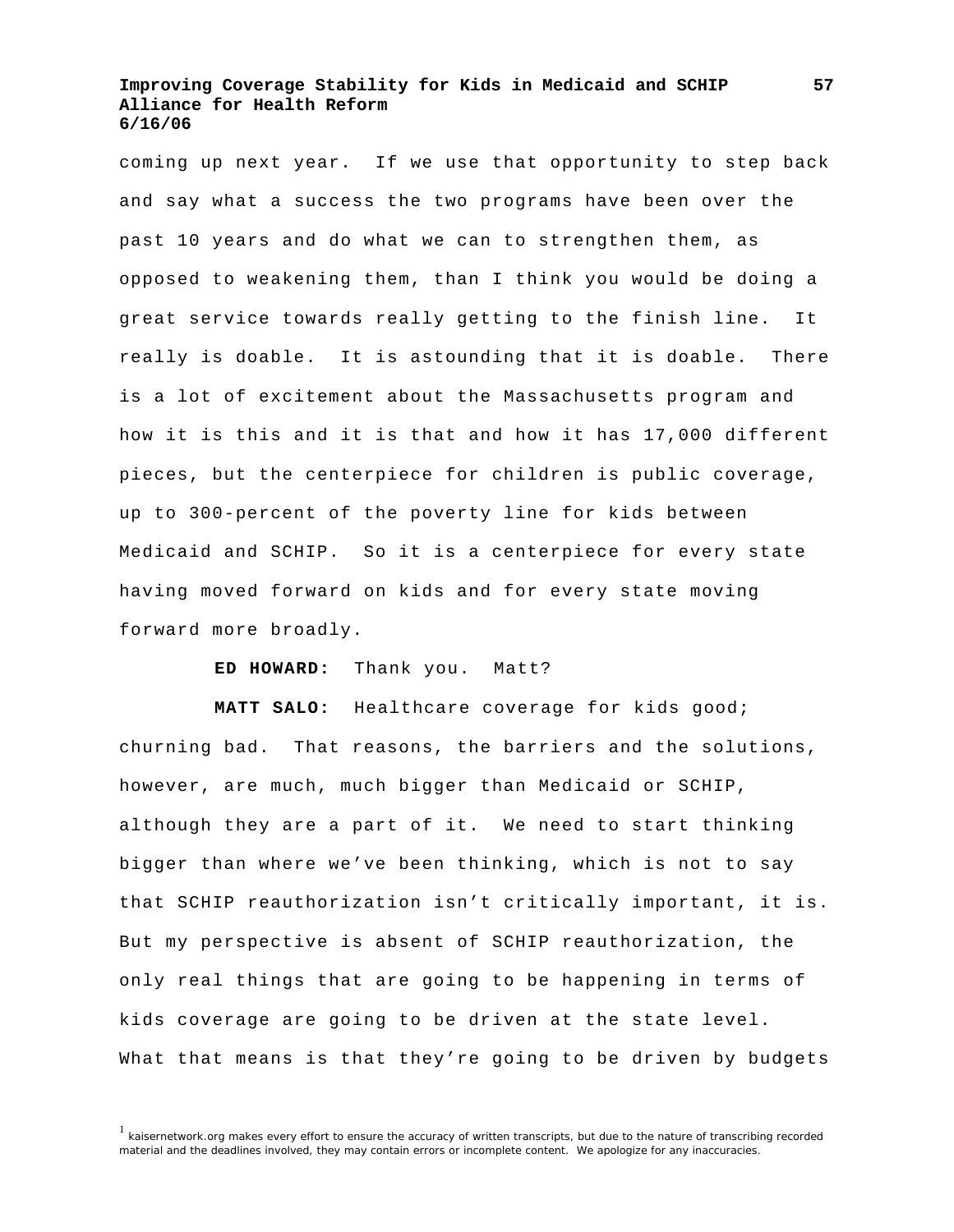coming up next year. If we use that opportunity to step back and say what a success the two programs have been over the past 10 years and do what we can to strengthen them, as opposed to weakening them, than I think you would be doing a great service towards really getting to the finish line. It really is doable. It is astounding that it is doable. There is a lot of excitement about the Massachusetts program and how it is this and it is that and how it has 17,000 different pieces, but the centerpiece for children is public coverage, up to 300-percent of the poverty line for kids between Medicaid and SCHIP. So it is a centerpiece for every state having moved forward on kids and for every state moving forward more broadly.

**ED HOWARD:** Thank you. Matt?

**MATT SALO:** Healthcare coverage for kids good; churning bad. That reasons, the barriers and the solutions, however, are much, much bigger than Medicaid or SCHIP, although they are a part of it. We need to start thinking bigger than where we've been thinking, which is not to say that SCHIP reauthorization isn't critically important, it is. But my perspective is absent of SCHIP reauthorization, the only real things that are going to be happening in terms of kids coverage are going to be driven at the state level. What that means is that they're going to be driven by budgets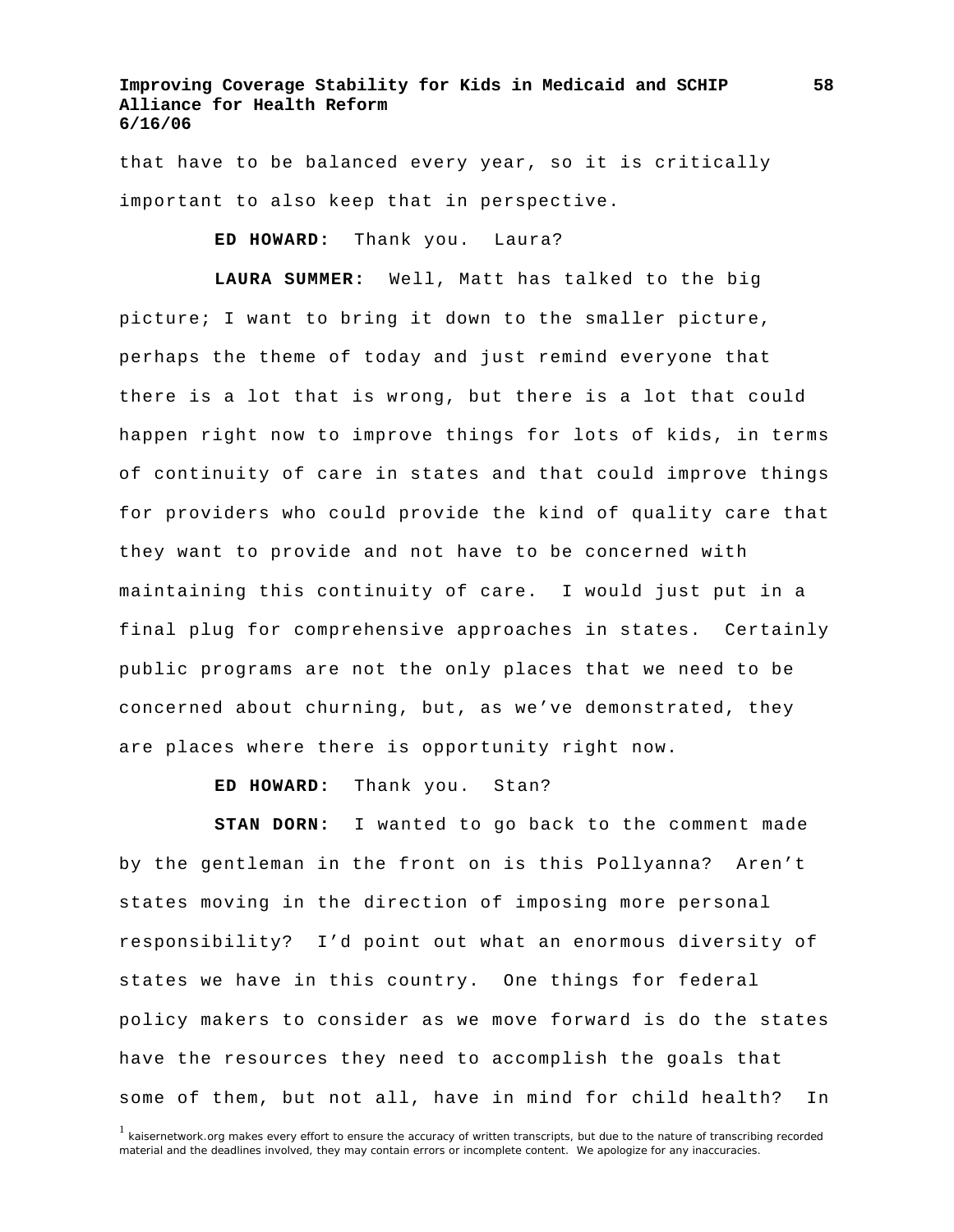that have to be balanced every year, so it is critically important to also keep that in perspective.

**ED HOWARD:** Thank you. Laura?

**LAURA SUMMER:** Well, Matt has talked to the big picture; I want to bring it down to the smaller picture, perhaps the theme of today and just remind everyone that there is a lot that is wrong, but there is a lot that could happen right now to improve things for lots of kids, in terms of continuity of care in states and that could improve things for providers who could provide the kind of quality care that they want to provide and not have to be concerned with maintaining this continuity of care. I would just put in a final plug for comprehensive approaches in states. Certainly public programs are not the only places that we need to be concerned about churning, but, as we've demonstrated, they are places where there is opportunity right now.

**ED HOWARD:** Thank you. Stan?

**STAN DORN:** I wanted to go back to the comment made by the gentleman in the front on is this Pollyanna? Aren't states moving in the direction of imposing more personal responsibility? I'd point out what an enormous diversity of states we have in this country. One things for federal policy makers to consider as we move forward is do the states have the resources they need to accomplish the goals that some of them, but not all, have in mind for child health? In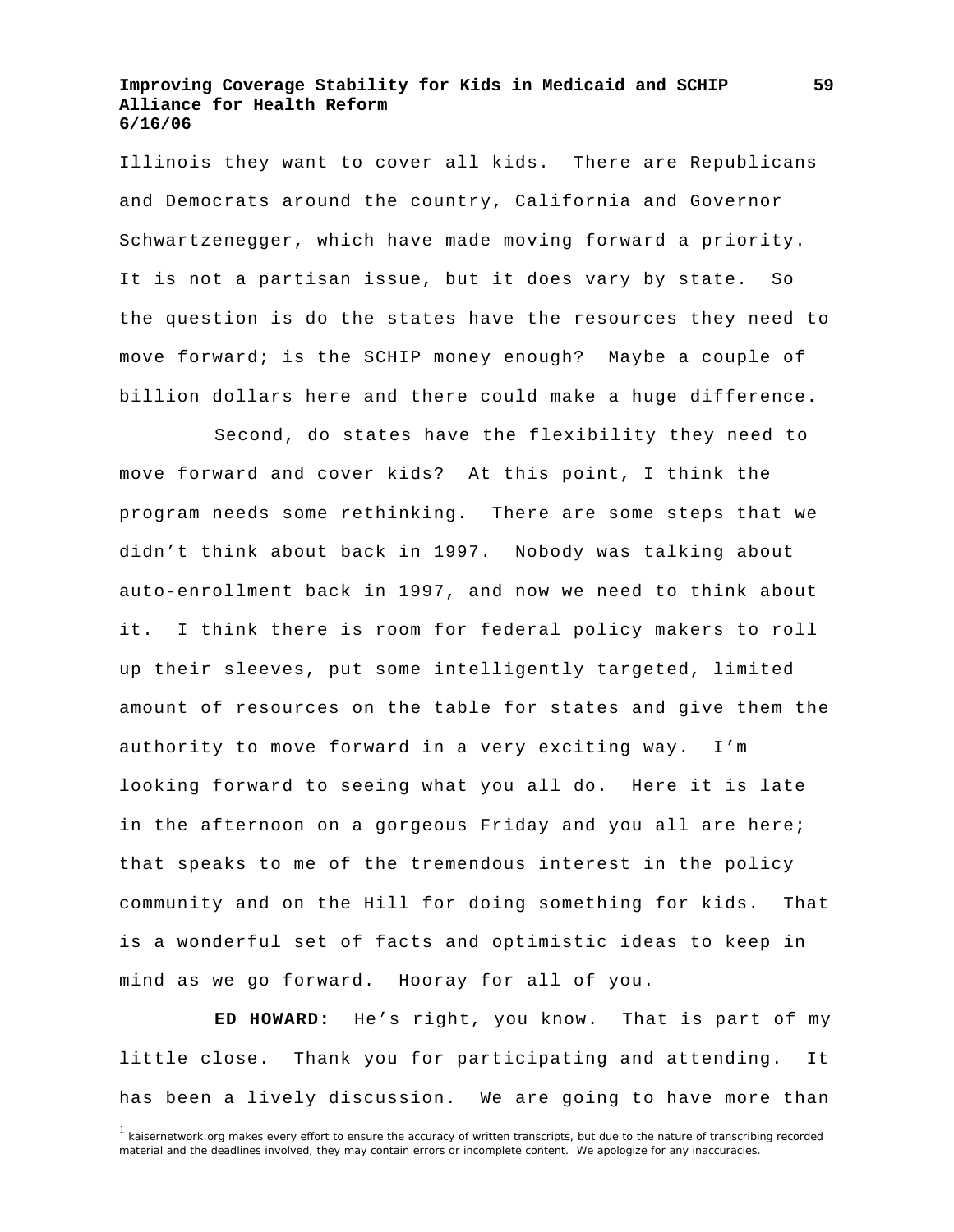Illinois they want to cover all kids. There are Republicans and Democrats around the country, California and Governor Schwartzenegger, which have made moving forward a priority. It is not a partisan issue, but it does vary by state. So the question is do the states have the resources they need to move forward; is the SCHIP money enough? Maybe a couple of billion dollars here and there could make a huge difference.

 Second, do states have the flexibility they need to move forward and cover kids? At this point, I think the program needs some rethinking. There are some steps that we didn't think about back in 1997. Nobody was talking about auto-enrollment back in 1997, and now we need to think about it. I think there is room for federal policy makers to roll up their sleeves, put some intelligently targeted, limited amount of resources on the table for states and give them the authority to move forward in a very exciting way. I'm looking forward to seeing what you all do. Here it is late in the afternoon on a gorgeous Friday and you all are here; that speaks to me of the tremendous interest in the policy community and on the Hill for doing something for kids. That is a wonderful set of facts and optimistic ideas to keep in mind as we go forward. Hooray for all of you.

**ED HOWARD:** He's right, you know. That is part of my little close. Thank you for participating and attending. It has been a lively discussion. We are going to have more than

**59**

<sup>&</sup>lt;sup>1</sup> kaisernetwork.org makes every effort to ensure the accuracy of written transcripts, but due to the nature of transcribing recorded material and the deadlines involved, they may contain errors or incomplete content. We apologize for any inaccuracies.